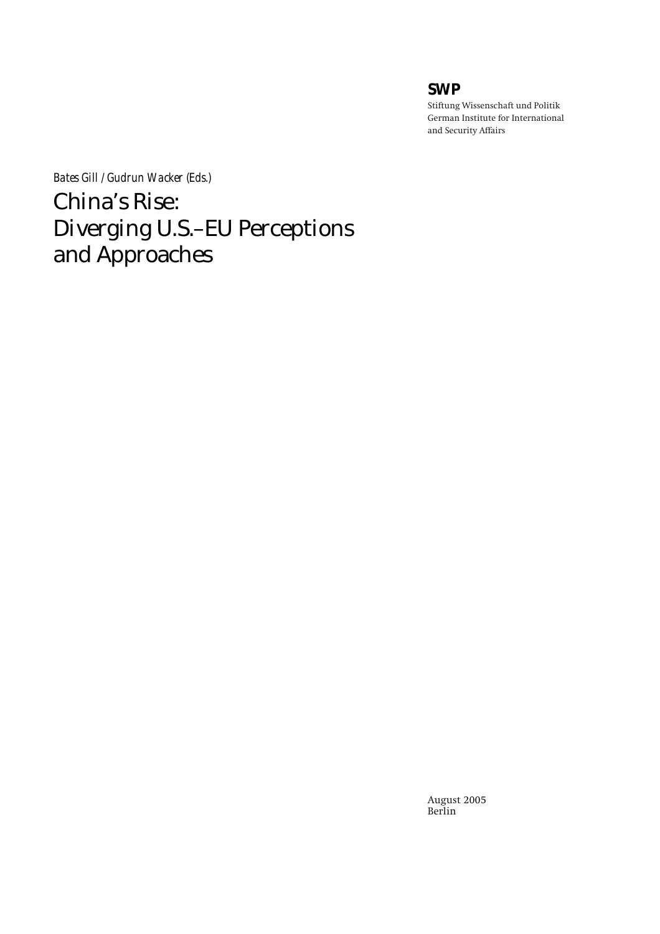# **SWP**

**Stiftung Wissenschaft und Politik German Institute for International and Security Affairs** 

*Bates Gill / Gudrun Wacker (Eds.)* 

China's Rise: Diverging U.S.–EU Perceptions and Approaches

> **August 2005 Berlin**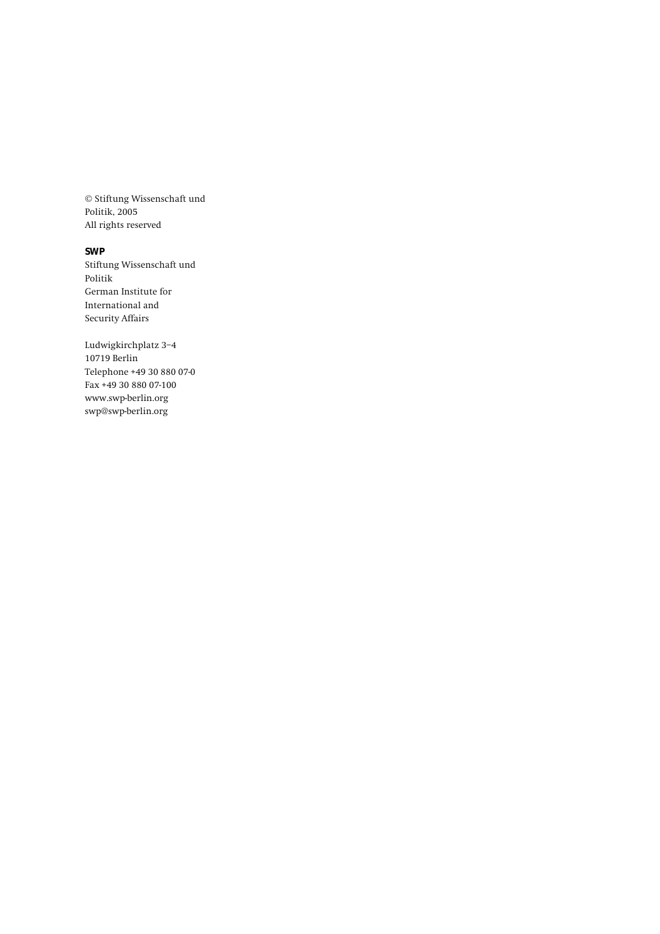**© Stiftung Wissenschaft und Politik, 2005 All rights reserved** 

**SWP** 

**Stiftung Wissenschaft und Politik German Institute for International and Security Affairs** 

**Ludwigkirchplatz 3−4 10719 Berlin Telephone +49 30 880 07-0 Fax +49 30 880 07-100 www.swp-berlin.org swp@swp-berlin.org**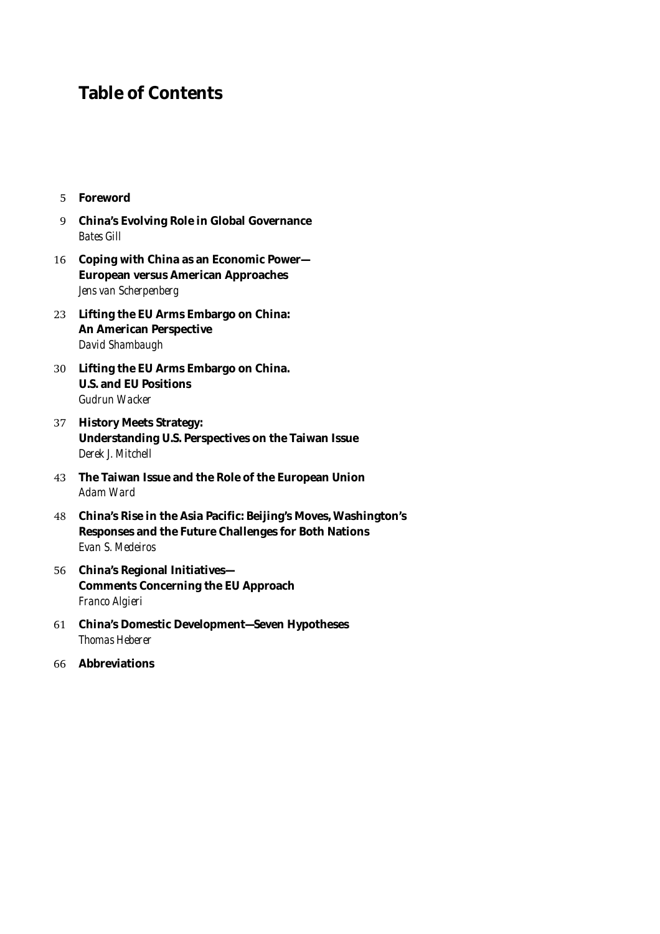# **Table of Contents**

- **5 Foreword**
- **9 China's Evolving Role in Global Governance**  *Bates Gill*
- **16 Coping with China as an Economic Power— European versus American Approaches**   *Jens van Scherpenberg*
- **23 Lifting the EU Arms Embargo on China: An American Perspective**   *David Shambaugh*
- **30 Lifting the EU Arms Embargo on China. U.S. and EU Positions**   *Gudrun Wacker*
- **37 History Meets Strategy: Understanding U.S. Perspectives on the Taiwan Issue**   *Derek J. Mitchell*
- **43 The Taiwan Issue and the Role of the European Union**   *Adam Ward*
- **48 China's Rise in the Asia Pacific: Beijing's Moves, Washington's Responses and the Future Challenges for Both Nations**   *Evan S. Medeiros*
- **56 China's Regional Initiatives— Comments Concerning the EU Approach**   *Franco Algieri*
- **61 China's Domestic Development—Seven Hypotheses**   *Thomas Heberer*
- **66 Abbreviations**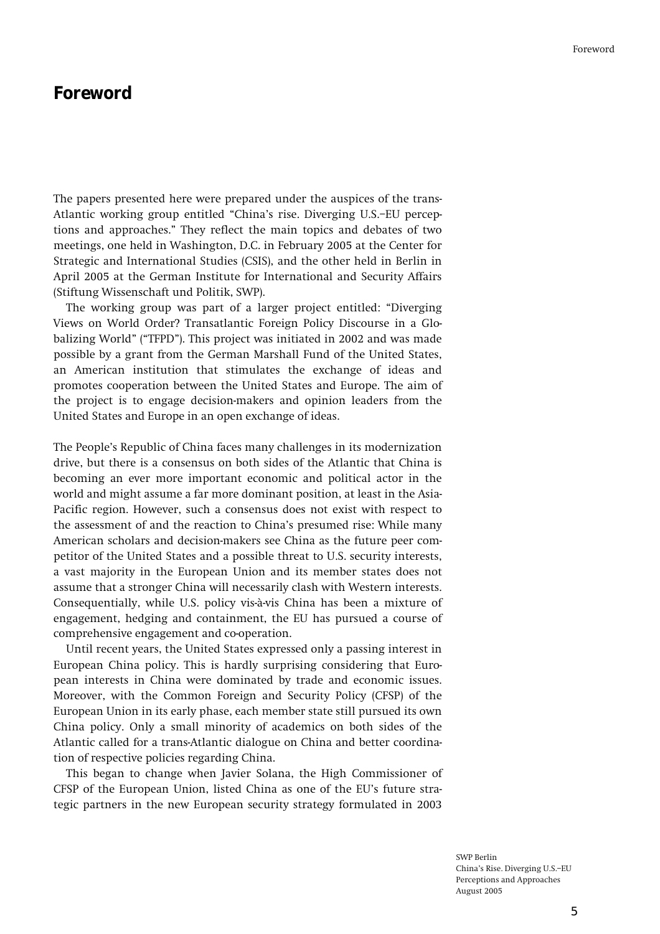# **Foreword**

**The papers presented here were prepared under the auspices of the trans-**Atlantic working group entitled "China's rise. Diverging U.S.-EU percep**tions and approaches.î They reflect the main topics and debates of two meetings, one held in Washington, D.C. in February 2005 at the Center for Strategic and International Studies (CSIS), and the other held in Berlin in April 2005 at the German Institute for International and Security Affairs (Stiftung Wissenschaft und Politik, SWP).** 

The working group was part of a larger project entitled: "Diverging" **Views on World Order? Transatlantic Foreign Policy Discourse in a Glo**balizing World" ("TFPD"). This project was initiated in 2002 and was made **possible by a grant from the German Marshall Fund of the United States, an American institution that stimulates the exchange of ideas and promotes cooperation between the United States and Europe. The aim of the project is to engage decision-makers and opinion leaders from the United States and Europe in an open exchange of ideas.** 

**The Peopleís Republic of China faces many challenges in its modernization drive, but there is a consensus on both sides of the Atlantic that China is becoming an ever more important economic and political actor in the world and might assume a far more dominant position, at least in the Asia-Pacific region. However, such a consensus does not exist with respect to the assessment of and the reaction to Chinaís presumed rise: While many American scholars and decision-makers see China as the future peer competitor of the United States and a possible threat to U.S. security interests, a vast majority in the European Union and its member states does not assume that a stronger China will necessarily clash with Western interests. Consequentially, while U.S. policy vis-‡-vis China has been a mixture of engagement, hedging and containment, the EU has pursued a course of comprehensive engagement and co-operation.** 

**Until recent years, the United States expressed only a passing interest in European China policy. This is hardly surprising considering that European interests in China were dominated by trade and economic issues. Moreover, with the Common Foreign and Security Policy (CFSP) of the European Union in its early phase, each member state still pursued its own China policy. Only a small minority of academics on both sides of the Atlantic called for a trans-Atlantic dialogue on China and better coordination of respective policies regarding China.** 

**This began to change when Javier Solana, the High Commissioner of**  CFSP of the European Union, listed China as one of the EU's future stra**tegic partners in the new European security strategy formulated in 2003**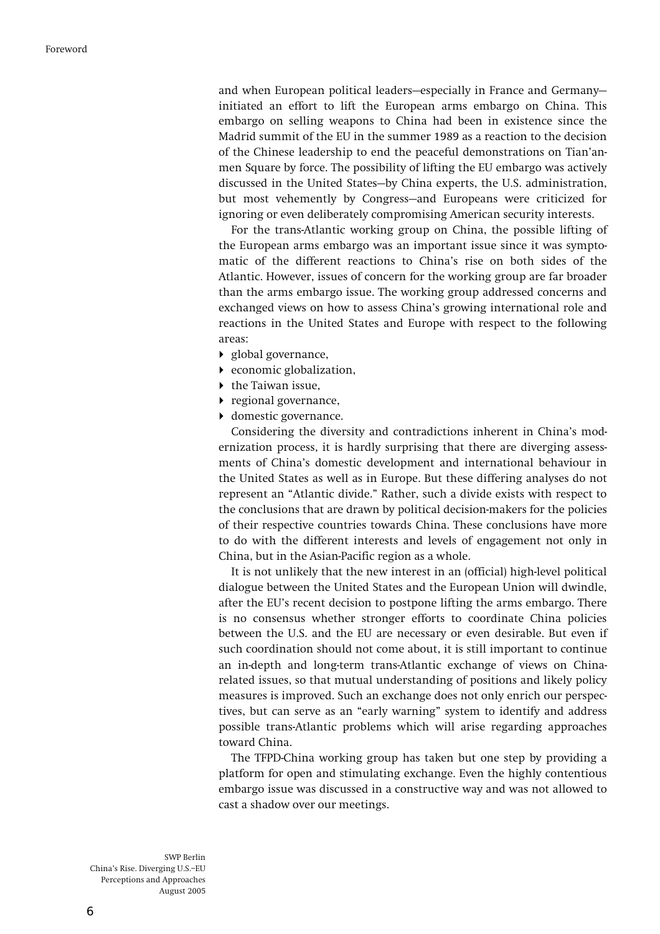and when European political leaders-especially in France and Germany**initiated an effort to lift the European arms embargo on China. This embargo on selling weapons to China had been in existence since the Madrid summit of the EU in the summer 1989 as a reaction to the decision of the Chinese leadership to end the peaceful demonstrations on Tianíanmen Square by force. The possibility of lifting the EU embargo was actively**  discussed in the United States-by China experts, the U.S. administration, but most vehemently by Congress–and Europeans were criticized for **ignoring or even deliberately compromising American security interests.** 

**For the trans-Atlantic working group on China, the possible lifting of the European arms embargo was an important issue since it was symptomatic of the different reactions to Chinaís rise on both sides of the Atlantic. However, issues of concern for the working group are far broader than the arms embargo issue. The working group addressed concerns and exchanged views on how to assess Chinaís growing international role and reactions in the United States and Europe with respect to the following areas:** 

- ! **global governance,**
- ! **economic globalization,**
- ! **the Taiwan issue,**
- ! **regional governance,**
- $\blacktriangleright$  domestic governance.

**Considering the diversity and contradictions inherent in Chinaís modernization process, it is hardly surprising that there are diverging assessments of Chinaís domestic development and international behaviour in the United States as well as in Europe. But these differing analyses do not**  represent an "Atlantic divide." Rather, such a divide exists with respect to **the conclusions that are drawn by political decision-makers for the policies of their respective countries towards China. These conclusions have more to do with the different interests and levels of engagement not only in China, but in the Asian-Pacific region as a whole.** 

**It is not unlikely that the new interest in an (official) high-level political dialogue between the United States and the European Union will dwindle, after the EUís recent decision to postpone lifting the arms embargo. There is no consensus whether stronger efforts to coordinate China policies between the U.S. and the EU are necessary or even desirable. But even if such coordination should not come about, it is still important to continue an in-depth and long-term trans-Atlantic exchange of views on Chinarelated issues, so that mutual understanding of positions and likely policy measures is improved. Such an exchange does not only enrich our perspec**tives, but can serve as an "early warning" system to identify and address **possible trans-Atlantic problems which will arise regarding approaches toward China.** 

**The TFPD-China working group has taken but one step by providing a platform for open and stimulating exchange. Even the highly contentious embargo issue was discussed in a constructive way and was not allowed to cast a shadow over our meetings.**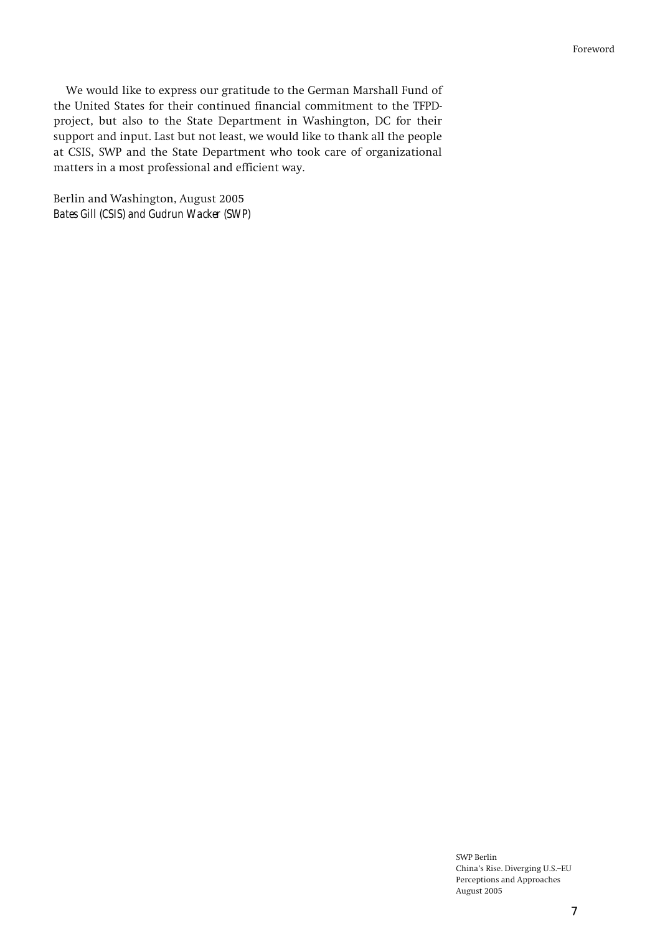**We would like to express our gratitude to the German Marshall Fund of the United States for their continued financial commitment to the TFPDproject, but also to the State Department in Washington, DC for their support and input. Last but not least, we would like to thank all the people at CSIS, SWP and the State Department who took care of organizational matters in a most professional and efficient way.** 

**Berlin and Washington, August 2005**  *Bates Gill (CSIS) and Gudrun Wacker (SWP)*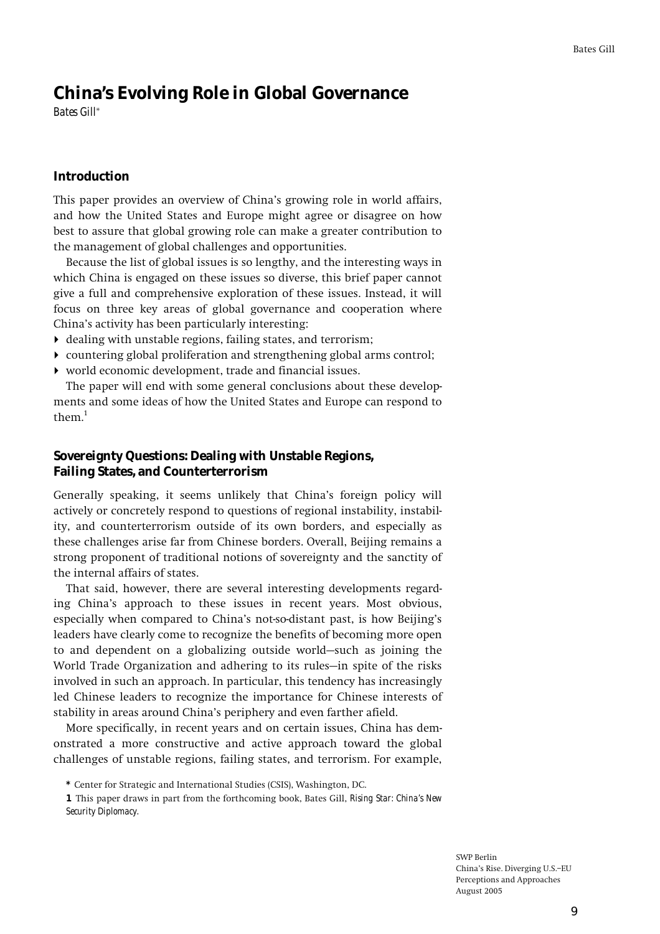# **China's Evolving Role in Global Governance**  *Bates Gill***\***

### **Introduction**

**This paper provides an overview of Chinaís growing role in world affairs, and how the United States and Europe might agree or disagree on how best to assure that global growing role can make a greater contribution to the management of global challenges and opportunities.** 

**Because the list of global issues is so lengthy, and the interesting ways in which China is engaged on these issues so diverse, this brief paper cannot give a full and comprehensive exploration of these issues. Instead, it will focus on three key areas of global governance and cooperation where Chinaís activity has been particularly interesting:** 

- ! **dealing with unstable regions, failing states, and terrorism;**
- ! **countering global proliferation and strengthening global arms control;**
- ! **world economic development, trade and financial issues.**

**The paper will end with some general conclusions about these developments and some ideas of how the United States and Europe can respond to**   $them<sup>1</sup>$ 

# **Sovereignty Questions: Dealing with Unstable Regions, Failing States, and Counterterrorism**

**Generally speaking, it seems unlikely that Chinaís foreign policy will actively or concretely respond to questions of regional instability, instability, and counterterrorism outside of its own borders, and especially as these challenges arise far from Chinese borders. Overall, Beijing remains a strong proponent of traditional notions of sovereignty and the sanctity of the internal affairs of states.** 

**That said, however, there are several interesting developments regarding Chinaís approach to these issues in recent years. Most obvious, especially when compared to Chinaís not-so-distant past, is how Beijingís leaders have clearly come to recognize the benefits of becoming more open**  to and dependent on a globalizing outside world–such as joining the World Trade Organization and adhering to its rules—in spite of the risks **involved in such an approach. In particular, this tendency has increasingly led Chinese leaders to recognize the importance for Chinese interests of stability in areas around Chinaís periphery and even farther afield.** 

**More specifically, in recent years and on certain issues, China has demonstrated a more constructive and active approach toward the global challenges of unstable regions, failing states, and terrorism. For example,** 

**1 This paper draws in part from the forthcoming book, Bates Gill,** *Rising Star: China's New Security Diplomacy.*

**<sup>\*</sup> Center for Strategic and International Studies (CSIS), Washington, DC.**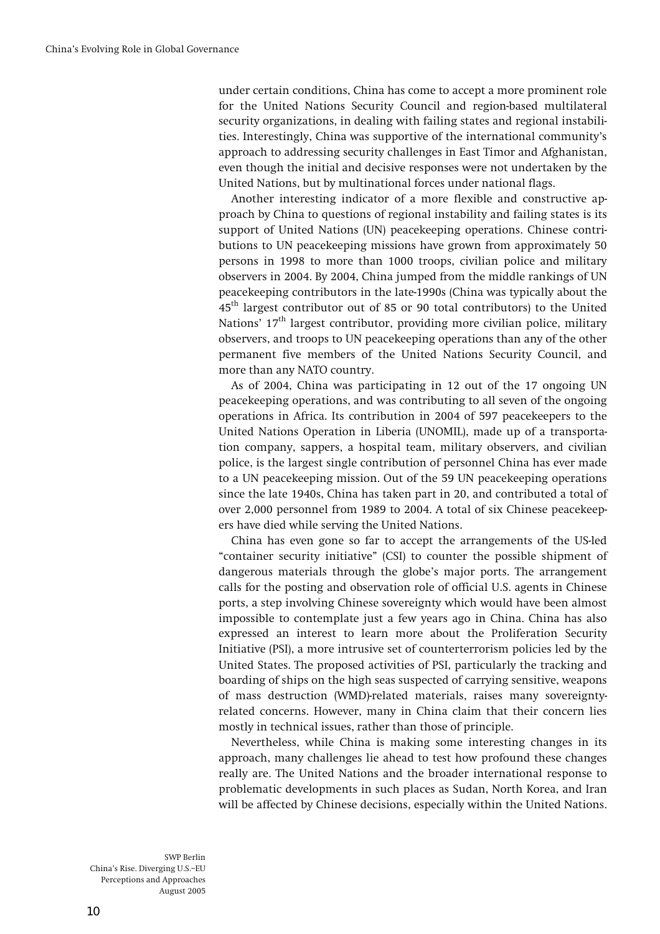**under certain conditions, China has come to accept a more prominent role for the United Nations Security Council and region-based multilateral security organizations, in dealing with failing states and regional instabilities. Interestingly, China was supportive of the international communityís approach to addressing security challenges in East Timor and Afghanistan, even though the initial and decisive responses were not undertaken by the United Nations, but by multinational forces under national flags.** 

**Another interesting indicator of a more flexible and constructive approach by China to questions of regional instability and failing states is its support of United Nations (UN) peacekeeping operations. Chinese contributions to UN peacekeeping missions have grown from approximately 50 persons in 1998 to more than 1000 troops, civilian police and military observers in 2004. By 2004, China jumped from the middle rankings of UN peacekeeping contributors in the late-1990s (China was typically about the 45th largest contributor out of 85 or 90 total contributors) to the United**  Nations'  $17<sup>th</sup>$  largest contributor, providing more civilian police, military **observers, and troops to UN peacekeeping operations than any of the other permanent five members of the United Nations Security Council, and more than any NATO country.** 

**As of 2004, China was participating in 12 out of the 17 ongoing UN peacekeeping operations, and was contributing to all seven of the ongoing operations in Africa. Its contribution in 2004 of 597 peacekeepers to the United Nations Operation in Liberia (UNOMIL), made up of a transportation company, sappers, a hospital team, military observers, and civilian police, is the largest single contribution of personnel China has ever made to a UN peacekeeping mission. Out of the 59 UN peacekeeping operations since the late 1940s, China has taken part in 20, and contributed a total of over 2,000 personnel from 1989 to 2004. A total of six Chinese peacekeepers have died while serving the United Nations.** 

**China has even gone so far to accept the arrangements of the US-led ìcontainer security initiativeî (CSI) to counter the possible shipment of**  dangerous materials through the globe's major ports. The arrangement **calls for the posting and observation role of official U.S. agents in Chinese ports, a step involving Chinese sovereignty which would have been almost impossible to contemplate just a few years ago in China. China has also expressed an interest to learn more about the Proliferation Security Initiative (PSI), a more intrusive set of counterterrorism policies led by the United States. The proposed activities of PSI, particularly the tracking and boarding of ships on the high seas suspected of carrying sensitive, weapons of mass destruction (WMD)-related materials, raises many sovereigntyrelated concerns. However, many in China claim that their concern lies mostly in technical issues, rather than those of principle.** 

**Nevertheless, while China is making some interesting changes in its approach, many challenges lie ahead to test how profound these changes really are. The United Nations and the broader international response to problematic developments in such places as Sudan, North Korea, and Iran will be affected by Chinese decisions, especially within the United Nations.**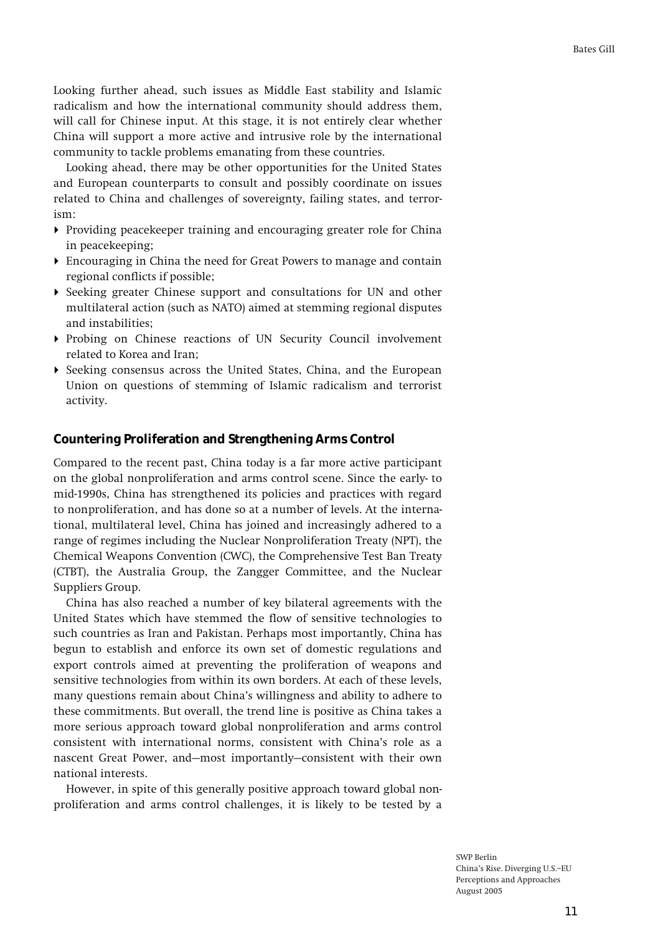**Looking further ahead, such issues as Middle East stability and Islamic radicalism and how the international community should address them, will call for Chinese input. At this stage, it is not entirely clear whether China will support a more active and intrusive role by the international community to tackle problems emanating from these countries.** 

**Looking ahead, there may be other opportunities for the United States and European counterparts to consult and possibly coordinate on issues related to China and challenges of sovereignty, failing states, and terrorism:** 

- ! **Providing peacekeeper training and encouraging greater role for China in peacekeeping;**
- ! **Encouraging in China the need for Great Powers to manage and contain regional conflicts if possible;**
- ! **Seeking greater Chinese support and consultations for UN and other multilateral action (such as NATO) aimed at stemming regional disputes and instabilities;**
- ! **Probing on Chinese reactions of UN Security Council involvement related to Korea and Iran;**
- ! **Seeking consensus across the United States, China, and the European Union on questions of stemming of Islamic radicalism and terrorist activity.**

### **Countering Proliferation and Strengthening Arms Control**

**Compared to the recent past, China today is a far more active participant on the global nonproliferation and arms control scene. Since the early- to mid-1990s, China has strengthened its policies and practices with regard to nonproliferation, and has done so at a number of levels. At the international, multilateral level, China has joined and increasingly adhered to a range of regimes including the Nuclear Nonproliferation Treaty (NPT), the Chemical Weapons Convention (CWC), the Comprehensive Test Ban Treaty (CTBT), the Australia Group, the Zangger Committee, and the Nuclear Suppliers Group.** 

**China has also reached a number of key bilateral agreements with the United States which have stemmed the flow of sensitive technologies to such countries as Iran and Pakistan. Perhaps most importantly, China has begun to establish and enforce its own set of domestic regulations and export controls aimed at preventing the proliferation of weapons and sensitive technologies from within its own borders. At each of these levels, many questions remain about Chinaís willingness and ability to adhere to these commitments. But overall, the trend line is positive as China takes a more serious approach toward global nonproliferation and arms control consistent with international norms, consistent with Chinaís role as a**  nascent Great Power, and–most importantly–consistent with their own **national interests.** 

**However, in spite of this generally positive approach toward global nonproliferation and arms control challenges, it is likely to be tested by a**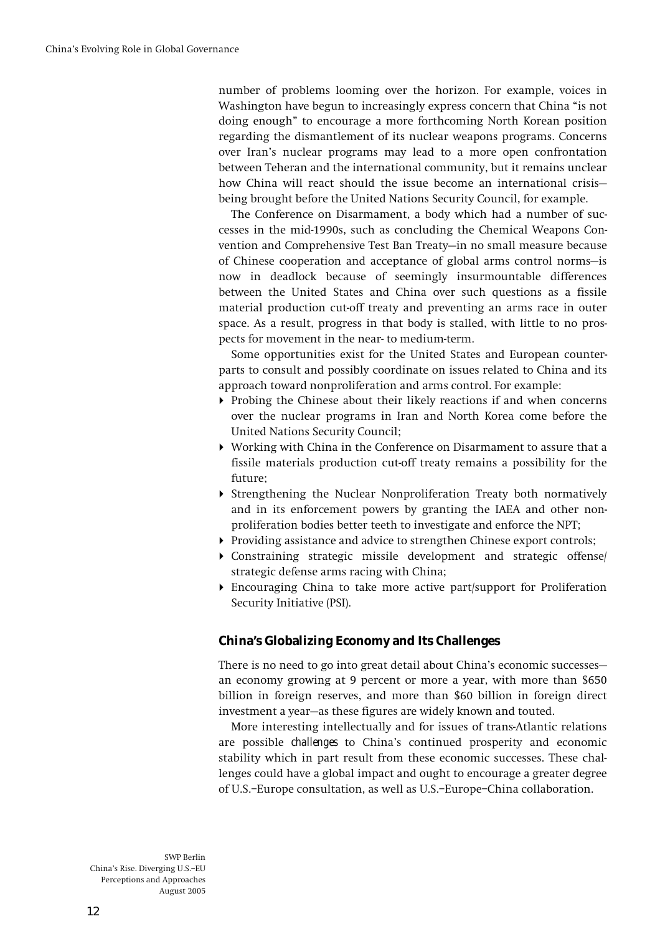**number of problems looming over the horizon. For example, voices in**  Washington have begun to increasingly express concern that China "is not **doing enoughî to encourage a more forthcoming North Korean position regarding the dismantlement of its nuclear weapons programs. Concerns over Iranís nuclear programs may lead to a more open confrontation between Teheran and the international community, but it remains unclear**  how China will react should the issue become an international crisis**being brought before the United Nations Security Council, for example.** 

**The Conference on Disarmament, a body which had a number of successes in the mid-1990s, such as concluding the Chemical Weapons Con**vention and Comprehensive Test Ban Treaty—in no small measure because of Chinese cooperation and acceptance of global arms control norms-is **now in deadlock because of seemingly insurmountable differences between the United States and China over such questions as a fissile material production cut-off treaty and preventing an arms race in outer space. As a result, progress in that body is stalled, with little to no prospects for movement in the near- to medium-term.** 

**Some opportunities exist for the United States and European counterparts to consult and possibly coordinate on issues related to China and its approach toward nonproliferation and arms control. For example:** 

- ! **Probing the Chinese about their likely reactions if and when concerns over the nuclear programs in Iran and North Korea come before the United Nations Security Council;**
- ! **Working with China in the Conference on Disarmament to assure that a fissile materials production cut-off treaty remains a possibility for the future;**
- ! **Strengthening the Nuclear Nonproliferation Treaty both normatively and in its enforcement powers by granting the IAEA and other nonproliferation bodies better teeth to investigate and enforce the NPT;**
- ! **Providing assistance and advice to strengthen Chinese export controls;**
- ! **Constraining strategic missile development and strategic offense/ strategic defense arms racing with China;**
- ! **Encouraging China to take more active part/support for Proliferation Security Initiative (PSI).**

# **China's Globalizing Economy and Its Challenges**

There is no need to go into great detail about China's economic successes**an economy growing at 9 percent or more a year, with more than \$650 billion in foreign reserves, and more than \$60 billion in foreign direct**  investment a year-as these figures are widely known and touted.

**More interesting intellectually and for issues of trans-Atlantic relations are possible** *challenges* **to Chinaís continued prosperity and economic stability which in part result from these economic successes. These challenges could have a global impact and ought to encourage a greater degree**  of U.S.-Europe consultation, as well as U.S.-Europe-China collaboration.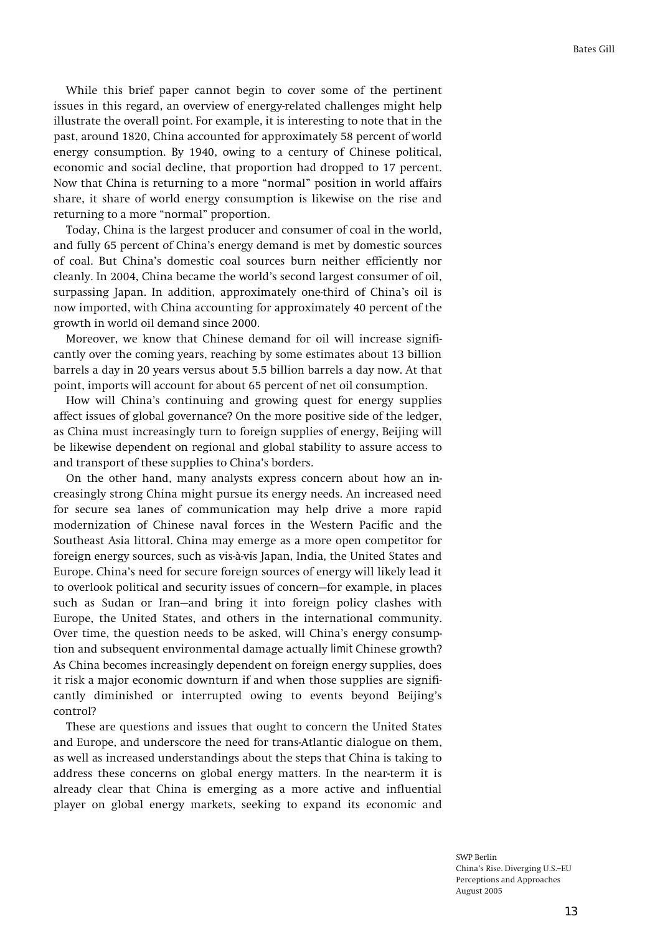**While this brief paper cannot begin to cover some of the pertinent issues in this regard, an overview of energy-related challenges might help illustrate the overall point. For example, it is interesting to note that in the past, around 1820, China accounted for approximately 58 percent of world energy consumption. By 1940, owing to a century of Chinese political, economic and social decline, that proportion had dropped to 17 percent.**  Now that China is returning to a more "normal" position in world affairs **share, it share of world energy consumption is likewise on the rise and**  returning to a more "normal" proportion.

**Today, China is the largest producer and consumer of coal in the world, and fully 65 percent of Chinaís energy demand is met by domestic sources of coal. But Chinaís domestic coal sources burn neither efficiently nor cleanly. In 2004, China became the worldís second largest consumer of oil, surpassing Japan. In addition, approximately one-third of Chinaís oil is now imported, with China accounting for approximately 40 percent of the growth in world oil demand since 2000.** 

**Moreover, we know that Chinese demand for oil will increase significantly over the coming years, reaching by some estimates about 13 billion barrels a day in 20 years versus about 5.5 billion barrels a day now. At that point, imports will account for about 65 percent of net oil consumption.** 

**How will Chinaís continuing and growing quest for energy supplies affect issues of global governance? On the more positive side of the ledger, as China must increasingly turn to foreign supplies of energy, Beijing will be likewise dependent on regional and global stability to assure access to and transport of these supplies to Chinaís borders.** 

**On the other hand, many analysts express concern about how an increasingly strong China might pursue its energy needs. An increased need for secure sea lanes of communication may help drive a more rapid modernization of Chinese naval forces in the Western Pacific and the Southeast Asia littoral. China may emerge as a more open competitor for foreign energy sources, such as vis-‡-vis Japan, India, the United States and Europe. Chinaís need for secure foreign sources of energy will likely lead it**  to overlook political and security issues of concern–for example, in places such as Sudan or Iran-and bring it into foreign policy clashes with **Europe, the United States, and others in the international community.**  Over time, the question needs to be asked, will China's energy consump**tion and subsequent environmental damage actually** *limit* **Chinese growth? As China becomes increasingly dependent on foreign energy supplies, does it risk a major economic downturn if and when those supplies are significantly diminished or interrupted owing to events beyond Beijingís control?** 

**These are questions and issues that ought to concern the United States and Europe, and underscore the need for trans-Atlantic dialogue on them, as well as increased understandings about the steps that China is taking to address these concerns on global energy matters. In the near-term it is already clear that China is emerging as a more active and influential player on global energy markets, seeking to expand its economic and**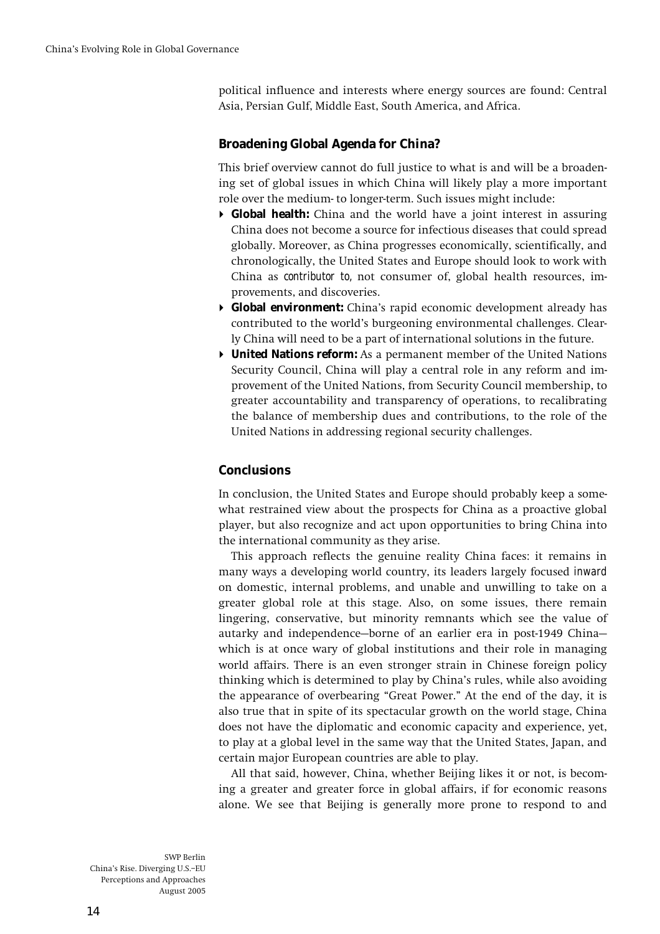**political influence and interests where energy sources are found: Central Asia, Persian Gulf, Middle East, South America, and Africa.** 

# **Broadening Global Agenda for China?**

**This brief overview cannot do full justice to what is and will be a broadening set of global issues in which China will likely play a more important role over the medium- to longer-term. Such issues might include:** 

- ! **Global health: China and the world have a joint interest in assuring China does not become a source for infectious diseases that could spread globally. Moreover, as China progresses economically, scientifically, and chronologically, the United States and Europe should look to work with China as** *contributor to,* **not consumer of, global health resources, improvements, and discoveries.**
- ! **Global environment: Chinaís rapid economic development already has**  contributed to the world's burgeoning environmental challenges. Clear**ly China will need to be a part of international solutions in the future.**
- ! **United Nations reform: As a permanent member of the United Nations Security Council, China will play a central role in any reform and improvement of the United Nations, from Security Council membership, to greater accountability and transparency of operations, to recalibrating the balance of membership dues and contributions, to the role of the United Nations in addressing regional security challenges.**

# **Conclusions**

**In conclusion, the United States and Europe should probably keep a somewhat restrained view about the prospects for China as a proactive global player, but also recognize and act upon opportunities to bring China into the international community as they arise.** 

**This approach reflects the genuine reality China faces: it remains in many ways a developing world country, its leaders largely focused** *inward*  **on domestic, internal problems, and unable and unwilling to take on a greater global role at this stage. Also, on some issues, there remain lingering, conservative, but minority remnants which see the value of autarky and independence–borne of an earlier era in post-1949 China– which is at once wary of global institutions and their role in managing world affairs. There is an even stronger strain in Chinese foreign policy thinking which is determined to play by Chinaís rules, while also avoiding**  the appearance of overbearing "Great Power." At the end of the day, it is **also true that in spite of its spectacular growth on the world stage, China does not have the diplomatic and economic capacity and experience, yet, to play at a global level in the same way that the United States, Japan, and certain major European countries are able to play.** 

**All that said, however, China, whether Beijing likes it or not, is becoming a greater and greater force in global affairs, if for economic reasons alone. We see that Beijing is generally more prone to respond to and**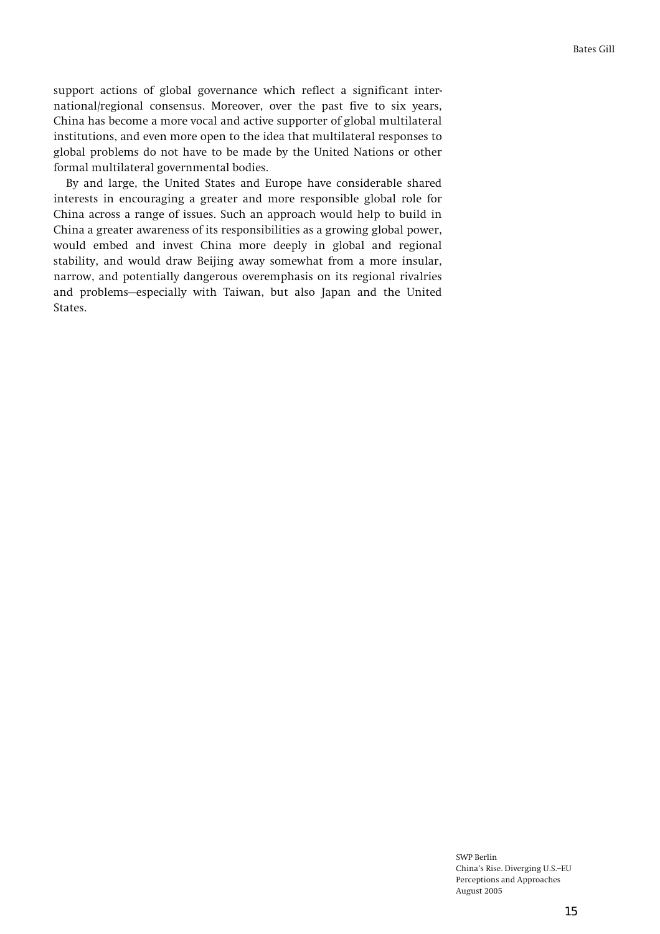**support actions of global governance which reflect a significant international/regional consensus. Moreover, over the past five to six years, China has become a more vocal and active supporter of global multilateral institutions, and even more open to the idea that multilateral responses to global problems do not have to be made by the United Nations or other formal multilateral governmental bodies.** 

**By and large, the United States and Europe have considerable shared interests in encouraging a greater and more responsible global role for China across a range of issues. Such an approach would help to build in China a greater awareness of its responsibilities as a growing global power, would embed and invest China more deeply in global and regional stability, and would draw Beijing away somewhat from a more insular, narrow, and potentially dangerous overemphasis on its regional rivalries**  and problems–especially with Taiwan, but also Japan and the United **States.**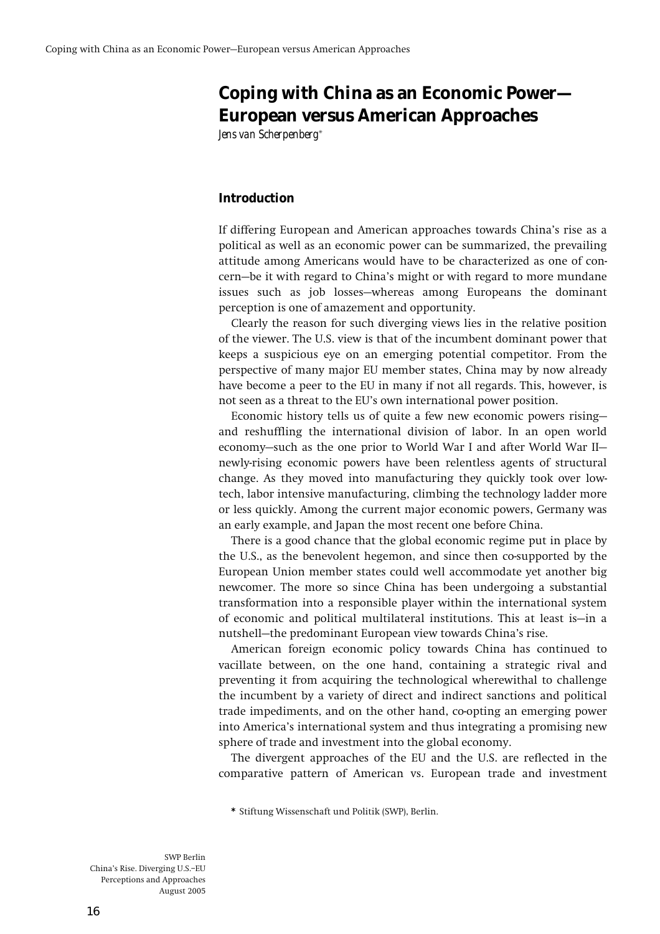# **Coping with China as an Economic Power— European versus American Approaches**

*Jens van Scherpenberg***\***

### **Introduction**

**If differing European and American approaches towards Chinaís rise as a political as well as an economic power can be summarized, the prevailing attitude among Americans would have to be characterized as one of con**cern–be it with regard to China's might or with regard to more mundane issues such as job losses—whereas among Europeans the dominant **perception is one of amazement and opportunity.** 

**Clearly the reason for such diverging views lies in the relative position of the viewer. The U.S. view is that of the incumbent dominant power that keeps a suspicious eye on an emerging potential competitor. From the perspective of many major EU member states, China may by now already have become a peer to the EU in many if not all regards. This, however, is not seen as a threat to the EUís own international power position.** 

Economic history tells us of quite a few new economic powers rising**and reshuffling the international division of labor. In an open world**  economy–such as the one prior to World War I and after World War II– **newly-rising economic powers have been relentless agents of structural change. As they moved into manufacturing they quickly took over lowtech, labor intensive manufacturing, climbing the technology ladder more or less quickly. Among the current major economic powers, Germany was an early example, and Japan the most recent one before China.** 

**There is a good chance that the global economic regime put in place by the U.S., as the benevolent hegemon, and since then co-supported by the European Union member states could well accommodate yet another big newcomer. The more so since China has been undergoing a substantial transformation into a responsible player within the international system**  of economic and political multilateral institutions. This at least is-in a nutshell-the predominant European view towards China's rise.

**American foreign economic policy towards China has continued to vacillate between, on the one hand, containing a strategic rival and preventing it from acquiring the technological wherewithal to challenge the incumbent by a variety of direct and indirect sanctions and political trade impediments, and on the other hand, co-opting an emerging power into Americaís international system and thus integrating a promising new sphere of trade and investment into the global economy.** 

**The divergent approaches of the EU and the U.S. are reflected in the comparative pattern of American vs. European trade and investment** 

**\* Stiftung Wissenschaft und Politik (SWP), Berlin.**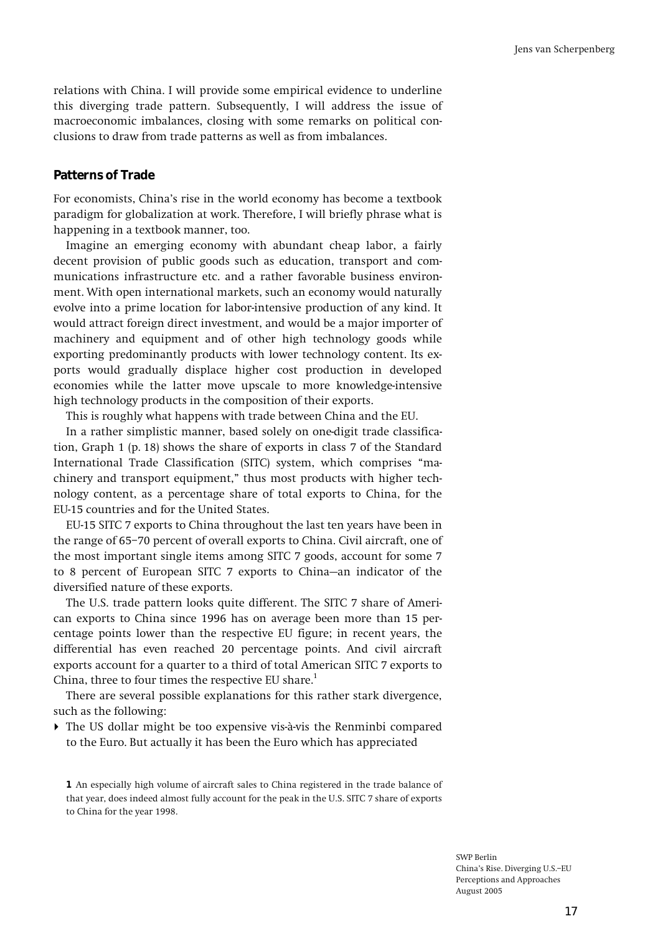**relations with China. I will provide some empirical evidence to underline this diverging trade pattern. Subsequently, I will address the issue of macroeconomic imbalances, closing with some remarks on political conclusions to draw from trade patterns as well as from imbalances.** 

### **Patterns of Trade**

**For economists, Chinaís rise in the world economy has become a textbook paradigm for globalization at work. Therefore, I will briefly phrase what is happening in a textbook manner, too.** 

**Imagine an emerging economy with abundant cheap labor, a fairly decent provision of public goods such as education, transport and communications infrastructure etc. and a rather favorable business environment. With open international markets, such an economy would naturally evolve into a prime location for labor-intensive production of any kind. It would attract foreign direct investment, and would be a major importer of machinery and equipment and of other high technology goods while exporting predominantly products with lower technology content. Its exports would gradually displace higher cost production in developed economies while the latter move upscale to more knowledge-intensive high technology products in the composition of their exports.** 

**This is roughly what happens with trade between China and the EU.** 

**In a rather simplistic manner, based solely on one-digit trade classification, Graph 1 (p. 18) shows the share of exports in class 7 of the Standard**  International Trade Classification (SITC) system, which comprises "machinery and transport equipment," thus most products with higher tech**nology content, as a percentage share of total exports to China, for the EU-15 countries and for the United States.** 

**EU-15 SITC 7 exports to China throughout the last ten years have been in**  the range of 65-70 percent of overall exports to China. Civil aircraft, one of **the most important single items among SITC 7 goods, account for some 7**  to 8 percent of European SITC 7 exports to China-an indicator of the **diversified nature of these exports.** 

**The U.S. trade pattern looks quite different. The SITC 7 share of American exports to China since 1996 has on average been more than 15 percentage points lower than the respective EU figure; in recent years, the differential has even reached 20 percentage points. And civil aircraft exports account for a quarter to a third of total American SITC 7 exports to China, three to four times the respective EU share.<sup>1</sup>**

**There are several possible explanations for this rather stark divergence, such as the following:** 

! **The US dollar might be too expensive vis-‡-vis the Renminbi compared to the Euro. But actually it has been the Euro which has appreciated** 

**<sup>1</sup> An especially high volume of aircraft sales to China registered in the trade balance of that year, does indeed almost fully account for the peak in the U.S. SITC 7 share of exports to China for the year 1998.**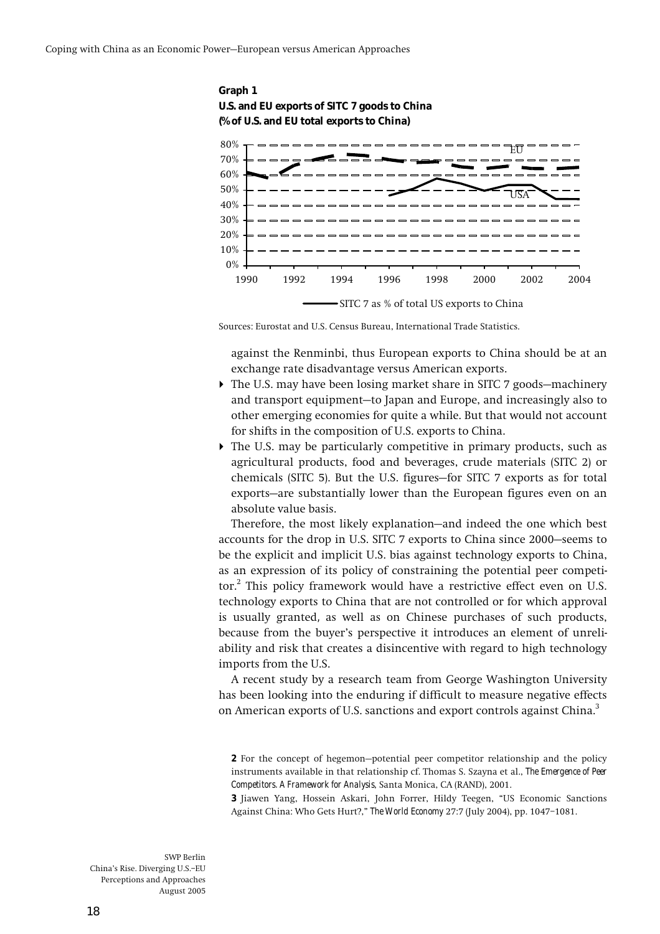



**Sources: Eurostat and U.S. Census Bureau, International Trade Statistics.** 

 **against the Renminbi, thus European exports to China should be at an exchange rate disadvantage versus American exports.** 

- If The U.S. may have been losing market share in SITC 7 goods–machinery and transport equipment-to Japan and Europe, and increasingly also to **other emerging economies for quite a while. But that would not account for shifts in the composition of U.S. exports to China.**
- ! **The U.S. may be particularly competitive in primary products, such as agricultural products, food and beverages, crude materials (SITC 2) or**  chemicals (SITC 5). But the U.S. figures-for SITC 7 exports as for total exports–are substantially lower than the European figures even on an **absolute value basis.**

Therefore, the most likely explanation–and indeed the one which best accounts for the drop in U.S. SITC 7 exports to China since 2000–seems to **be the explicit and implicit U.S. bias against technology exports to China, as an expression of its policy of constraining the potential peer competitor.2 This policy framework would have a restrictive effect even on U.S. technology exports to China that are not controlled or for which approval is usually granted***,* **as well as on Chinese purchases of such products,**  because from the buyer's perspective it introduces an element of unreli**ability and risk that creates a disincentive with regard to high technology imports from the U.S.** 

**A recent study by a research team from George Washington University has been looking into the enduring if difficult to measure negative effects on American exports of U.S. sanctions and export controls against China.3**

**<sup>2</sup>** For the concept of hegemon–potential peer competitor relationship and the policy **instruments available in that relationship cf. Thomas S. Szayna et al.,** *The Emergence of Peer Competitors. A Framework for Analysis***, Santa Monica, CA (RAND), 2001.** 

**<sup>3</sup>** Jiawen Yang, Hossein Askari, John Forrer, Hildy Teegen, "US Economic Sanctions Against China: Who Gets Hurt?," **The World Economy** 27:7 (July 2004), pp. 1047-1081.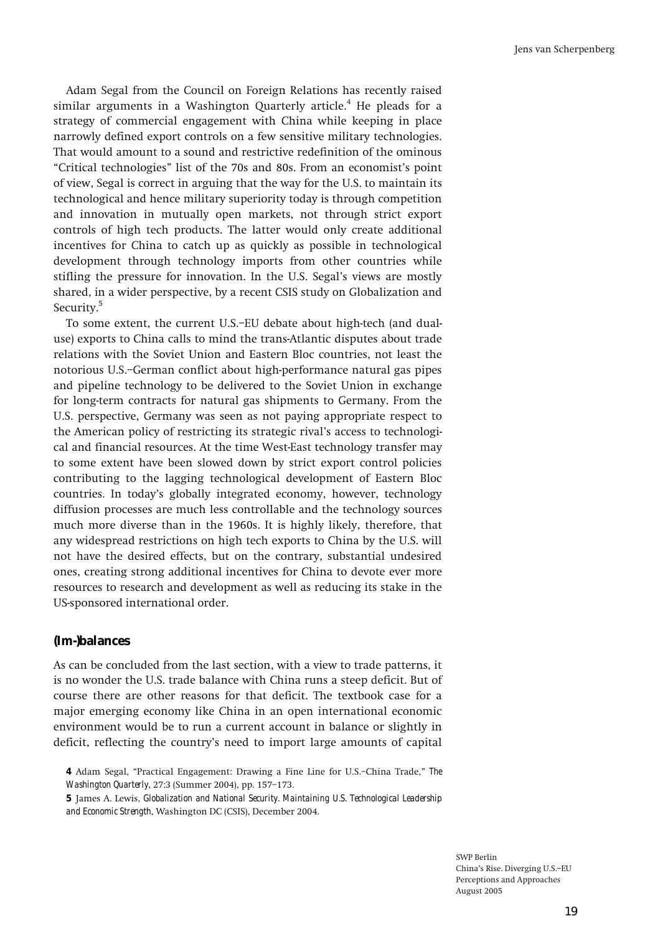**Adam Segal from the Council on Foreign Relations has recently raised similar arguments in a Washington Quarterly article.<sup>4</sup> He pleads for a strategy of commercial engagement with China while keeping in place narrowly defined export controls on a few sensitive military technologies. That would amount to a sound and restrictive redefinition of the ominous ìCritical technologiesî list of the 70s and 80s. From an economistís point of view, Segal is correct in arguing that the way for the U.S. to maintain its technological and hence military superiority today is through competition and innovation in mutually open markets, not through strict export controls of high tech products. The latter would only create additional incentives for China to catch up as quickly as possible in technological development through technology imports from other countries while stifling the pressure for innovation. In the U.S. Segalís views are mostly shared, in a wider perspective, by a recent CSIS study on Globalization and Security.5**

To some extent, the current U.S.-EU debate about high-tech (and dual**use) exports to China calls to mind the trans-Atlantic disputes about trade relations with the Soviet Union and Eastern Bloc countries, not least the**  notorious U.S.-German conflict about high-performance natural gas pipes **and pipeline technology to be delivered to the Soviet Union in exchange for long-term contracts for natural gas shipments to Germany. From the U.S. perspective, Germany was seen as not paying appropriate respect to the American policy of restricting its strategic rivalís access to technological and financial resources. At the time West-East technology transfer may to some extent have been slowed down by strict export control policies contributing to the lagging technological development of Eastern Bloc countries. In todayís globally integrated economy, however, technology diffusion processes are much less controllable and the technology sources much more diverse than in the 1960s. It is highly likely, therefore, that any widespread restrictions on high tech exports to China by the U.S. will not have the desired effects, but on the contrary, substantial undesired ones, creating strong additional incentives for China to devote ever more resources to research and development as well as reducing its stake in the US-sponsored international order.** 

### **(Im-)balances**

**As can be concluded from the last section, with a view to trade patterns, it is no wonder the U.S. trade balance with China runs a steep deficit. But of course there are other reasons for that deficit. The textbook case for a major emerging economy like China in an open international economic environment would be to run a current account in balance or slightly in deficit, reflecting the countryís need to import large amounts of capital** 

**<sup>4</sup>** Adam Segal, "Practical Engagement: Drawing a Fine Line for U.S.–China Trade," *The Washington Quarterly*, 27:3 (Summer 2004), pp. 157-173.

**<sup>5</sup> James A. Lewis,** *Globalization and National Security. Maintaining U.S. Technological Leadership and Economic Strength***, Washington DC (CSIS), December 2004.**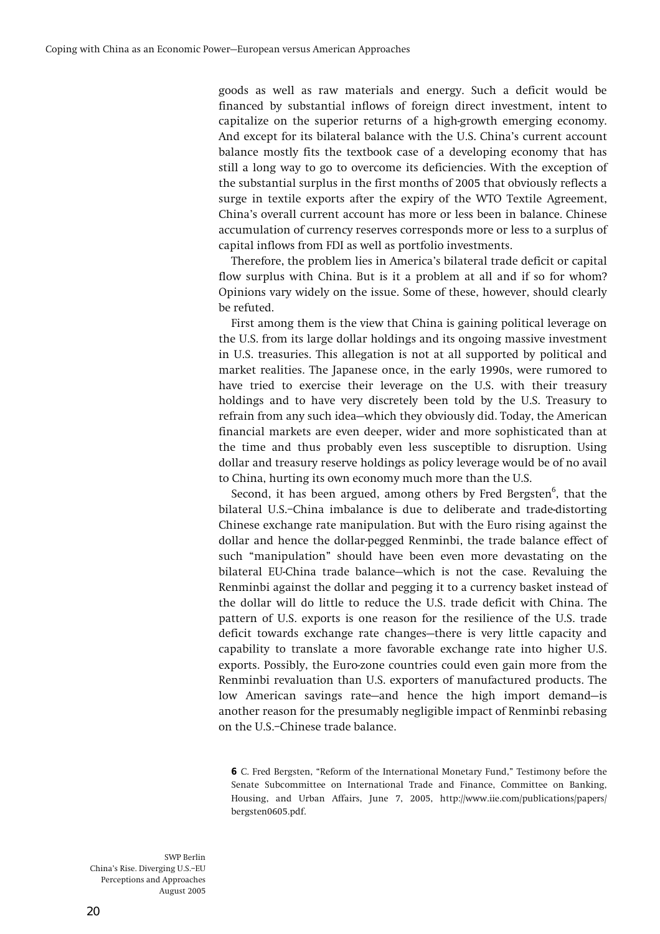**goods as well as raw materials and energy. Such a deficit would be financed by substantial inflows of foreign direct investment, intent to capitalize on the superior returns of a high-growth emerging economy. And except for its bilateral balance with the U.S. Chinaís current account balance mostly fits the textbook case of a developing economy that has still a long way to go to overcome its deficiencies. With the exception of the substantial surplus in the first months of 2005 that obviously reflects a surge in textile exports after the expiry of the WTO Textile Agreement, Chinaís overall current account has more or less been in balance. Chinese accumulation of currency reserves corresponds more or less to a surplus of capital inflows from FDI as well as portfolio investments.** 

**Therefore, the problem lies in Americaís bilateral trade deficit or capital flow surplus with China. But is it a problem at all and if so for whom? Opinions vary widely on the issue. Some of these, however, should clearly be refuted.** 

**First among them is the view that China is gaining political leverage on the U.S. from its large dollar holdings and its ongoing massive investment in U.S. treasuries. This allegation is not at all supported by political and market realities. The Japanese once, in the early 1990s, were rumored to have tried to exercise their leverage on the U.S. with their treasury holdings and to have very discretely been told by the U.S. Treasury to**  refrain from any such idea–which they obviously did. Today, the American **financial markets are even deeper, wider and more sophisticated than at the time and thus probably even less susceptible to disruption. Using dollar and treasury reserve holdings as policy leverage would be of no avail to China, hurting its own economy much more than the U.S.** 

Second, it has been argued, among others by Fred Bergsten<sup>6</sup>, that the bilateral U.S.-China imbalance is due to deliberate and trade-distorting **Chinese exchange rate manipulation. But with the Euro rising against the dollar and hence the dollar-pegged Renminbi, the trade balance effect of**  such "manipulation" should have been even more devastating on the bilateral EU-China trade balance-which is not the case. Revaluing the **Renminbi against the dollar and pegging it to a currency basket instead of the dollar will do little to reduce the U.S. trade deficit with China. The pattern of U.S. exports is one reason for the resilience of the U.S. trade**  deficit towards exchange rate changes-there is very little capacity and **capability to translate a more favorable exchange rate into higher U.S. exports. Possibly, the Euro-zone countries could even gain more from the Renminbi revaluation than U.S. exporters of manufactured products. The**  low American savings rate—and hence the high import demand—is **another reason for the presumably negligible impact of Renminbi rebasing**  on the U.S.-Chinese trade balance.

**6** C. Fred Bergsten, "Reform of the International Monetary Fund," Testimony before the **Senate Subcommittee on International Trade and Finance, Committee on Banking, Housing, and Urban Affairs, June 7, 2005, http://www.iie.com/publications/papers/ bergsten0605.pdf.**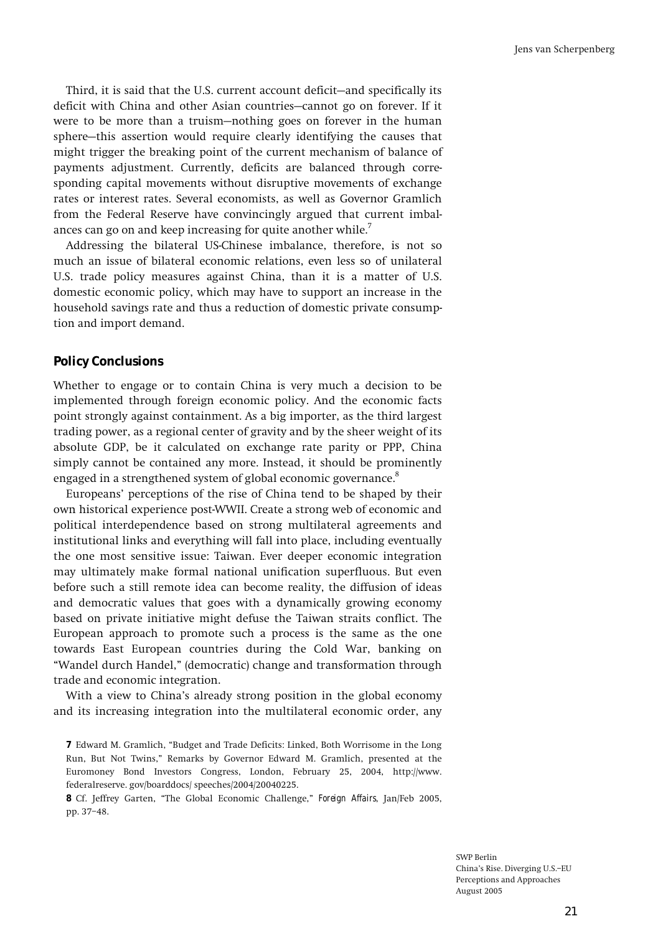Third, it is said that the U.S. current account deficit-and specifically its deficit with China and other Asian countries–cannot go on forever. If it were to be more than a truism–nothing goes on forever in the human sphere–this assertion would require clearly identifying the causes that **might trigger the breaking point of the current mechanism of balance of payments adjustment. Currently, deficits are balanced through corresponding capital movements without disruptive movements of exchange rates or interest rates. Several economists, as well as Governor Gramlich from the Federal Reserve have convincingly argued that current imbalances can go on and keep increasing for quite another while.<sup>7</sup>**

**Addressing the bilateral US-Chinese imbalance, therefore, is not so much an issue of bilateral economic relations, even less so of unilateral U.S. trade policy measures against China, than it is a matter of U.S. domestic economic policy, which may have to support an increase in the household savings rate and thus a reduction of domestic private consumption and import demand.** 

### **Policy Conclusions**

**Whether to engage or to contain China is very much a decision to be implemented through foreign economic policy. And the economic facts point strongly against containment. As a big importer, as the third largest trading power, as a regional center of gravity and by the sheer weight of its absolute GDP, be it calculated on exchange rate parity or PPP, China simply cannot be contained any more. Instead, it should be prominently engaged in a strengthened system of global economic governance.8**

**Europeansí perceptions of the rise of China tend to be shaped by their own historical experience post-WWII. Create a strong web of economic and political interdependence based on strong multilateral agreements and institutional links and everything will fall into place, including eventually the one most sensitive issue: Taiwan. Ever deeper economic integration may ultimately make formal national unification superfluous. But even before such a still remote idea can become reality, the diffusion of ideas and democratic values that goes with a dynamically growing economy based on private initiative might defuse the Taiwan straits conflict. The European approach to promote such a process is the same as the one towards East European countries during the Cold War, banking on ìWandel durch Handel,î (democratic) change and transformation through trade and economic integration.** 

**With a view to Chinaís already strong position in the global economy and its increasing integration into the multilateral economic order, any** 

**8** Cf. Jeffrey Garten, "The Global Economic Challenge," *Foreign Affairs*, Jan/Feb 2005, pp. 37-48.

**<sup>7</sup>** Edward M. Gramlich, "Budget and Trade Deficits: Linked, Both Worrisome in the Long **Run, But Not Twins,î Remarks by Governor Edward M. Gramlich, presented at the Euromoney Bond Investors Congress, London, February 25, 2004, http://www. federalreserve. gov/boarddocs/ speeches/2004/20040225.**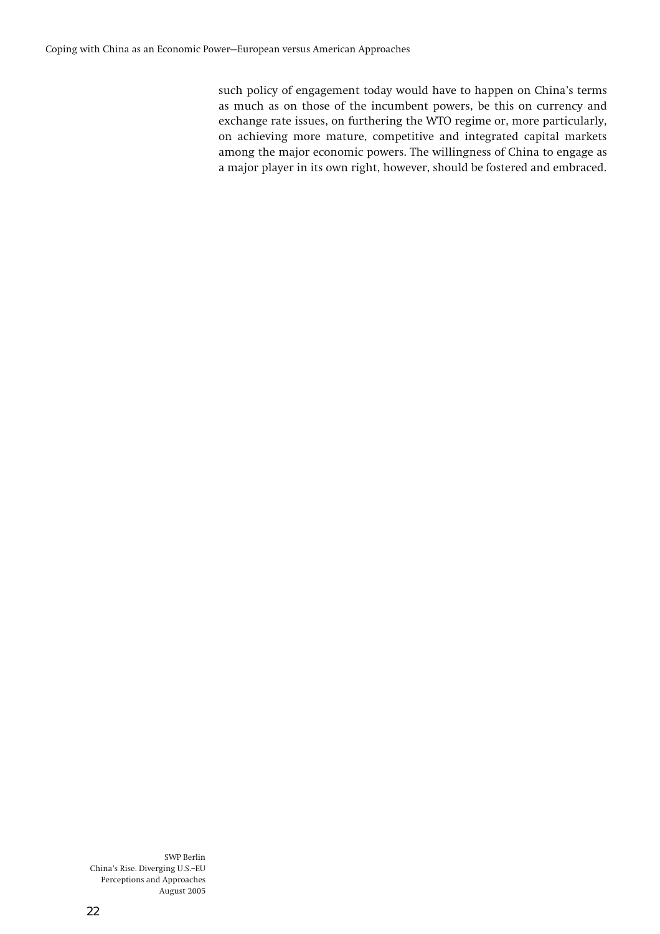**such policy of engagement today would have to happen on Chinaís terms as much as on those of the incumbent powers, be this on currency and exchange rate issues, on furthering the WTO regime or, more particularly, on achieving more mature, competitive and integrated capital markets among the major economic powers. The willingness of China to engage as a major player in its own right, however, should be fostered and embraced.**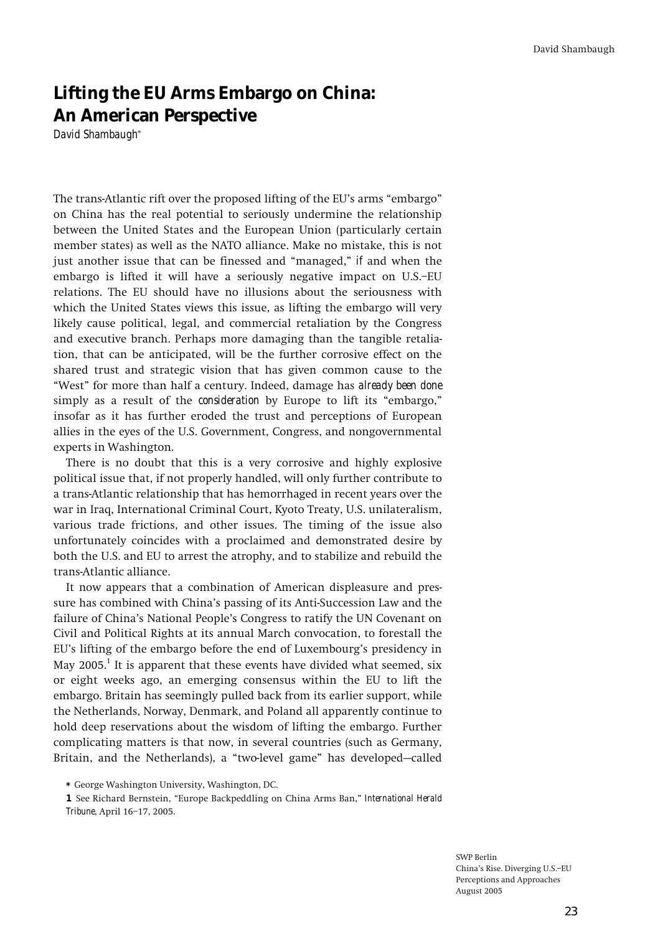# **Lifting the EU Arms Embargo on China: An American Perspective**

*David Shambaugh***\***

The trans-Atlantic rift over the proposed lifting of the EU's arms "embargo" **on China has the real potential to seriously undermine the relationship between the United States and the European Union (particularly certain member states) as well as the NATO alliance. Make no mistake, this is not just another issue that can be finessed and "managed,"** *if* **and when the** embargo is lifted it will have a seriously negative impact on U.S.-EU **relations. The EU should have no illusions about the seriousness with which the United States views this issue, as lifting the embargo will very likely cause political, legal, and commercial retaliation by the Congress and executive branch. Perhaps more damaging than the tangible retaliation, that can be anticipated, will be the further corrosive effect on the shared trust and strategic vision that has given common cause to the ìWestî for more than half a century. Indeed, damage has** *already been done* simply as a result of the *consideration* by Europe to lift its "embargo," **insofar as it has further eroded the trust and perceptions of European allies in the eyes of the U.S. Government, Congress, and nongovernmental experts in Washington.** 

**There is no doubt that this is a very corrosive and highly explosive political issue that, if not properly handled, will only further contribute to a trans-Atlantic relationship that has hemorrhaged in recent years over the war in Iraq, International Criminal Court, Kyoto Treaty, U.S. unilateralism, various trade frictions, and other issues. The timing of the issue also unfortunately coincides with a proclaimed and demonstrated desire by both the U.S. and EU to arrest the atrophy, and to stabilize and rebuild the trans-Atlantic alliance.** 

**It now appears that a combination of American displeasure and pressure has combined with Chinaís passing of its Anti-Succession Law and the failure of Chinaís National Peopleís Congress to ratify the UN Covenant on Civil and Political Rights at its annual March convocation, to forestall the**  EU's lifting of the embargo before the end of Luxembourg's presidency in **May 2005.<sup>1</sup> It is apparent that these events have divided what seemed, six or eight weeks ago, an emerging consensus within the EU to lift the embargo. Britain has seemingly pulled back from its earlier support, while the Netherlands, Norway, Denmark, and Poland all apparently continue to hold deep reservations about the wisdom of lifting the embargo. Further complicating matters is that now, in several countries (such as Germany,**  Britain, and the Netherlands), a "two-level game" has developed-called

**1** See Richard Bernstein, "Europe Backpeddling on China Arms Ban," *International Herald Tribune***, April 16ñ17, 2005.** 

**<sup>\*</sup> George Washington University, Washington, DC.**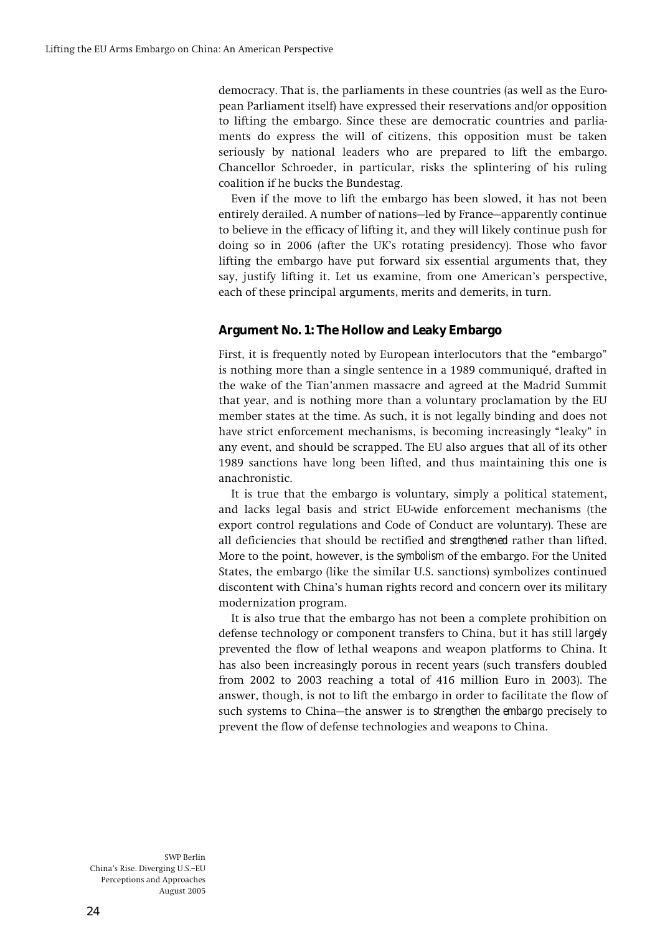**democracy. That is, the parliaments in these countries (as well as the European Parliament itself) have expressed their reservations and/or opposition to lifting the embargo. Since these are democratic countries and parliaments do express the will of citizens, this opposition must be taken seriously by national leaders who are prepared to lift the embargo. Chancellor Schroeder, in particular, risks the splintering of his ruling coalition if he bucks the Bundestag.** 

**Even if the move to lift the embargo has been slowed, it has not been**  entirely derailed. A number of nations–led by France–apparently continue **to believe in the efficacy of lifting it, and they will likely continue push for doing so in 2006 (after the UKís rotating presidency). Those who favor lifting the embargo have put forward six essential arguments that, they say, justify lifting it. Let us examine, from one Americanís perspective, each of these principal arguments, merits and demerits, in turn.** 

# **Argument No. 1: The Hollow and Leaky Embargo**

First, it is frequently noted by European interlocutors that the "embargo" **is nothing more than a single sentence in a 1989 communiquÈ, drafted in the wake of the Tianíanmen massacre and agreed at the Madrid Summit that year, and is nothing more than a voluntary proclamation by the EU member states at the time. As such, it is not legally binding and does not**  have strict enforcement mechanisms, is becoming increasingly "leaky" in **any event, and should be scrapped. The EU also argues that all of its other 1989 sanctions have long been lifted, and thus maintaining this one is anachronistic.** 

**It is true that the embargo is voluntary, simply a political statement, and lacks legal basis and strict EU-wide enforcement mechanisms (the export control regulations and Code of Conduct are voluntary). These are all deficiencies that should be rectified** *and strengthened* **rather than lifted. More to the point, however, is the** *symbolism* **of the embargo. For the United States, the embargo (like the similar U.S. sanctions) symbolizes continued discontent with Chinaís human rights record and concern over its military modernization program.** 

**It is also true that the embargo has not been a complete prohibition on defense technology or component transfers to China, but it has still** *largely*  **prevented the flow of lethal weapons and weapon platforms to China. It has also been increasingly porous in recent years (such transfers doubled from 2002 to 2003 reaching a total of 416 million Euro in 2003). The answer, though, is not to lift the embargo in order to facilitate the flow of such systems to China–the answer is to** *strengthen the embargo* **precisely to prevent the flow of defense technologies and weapons to China.**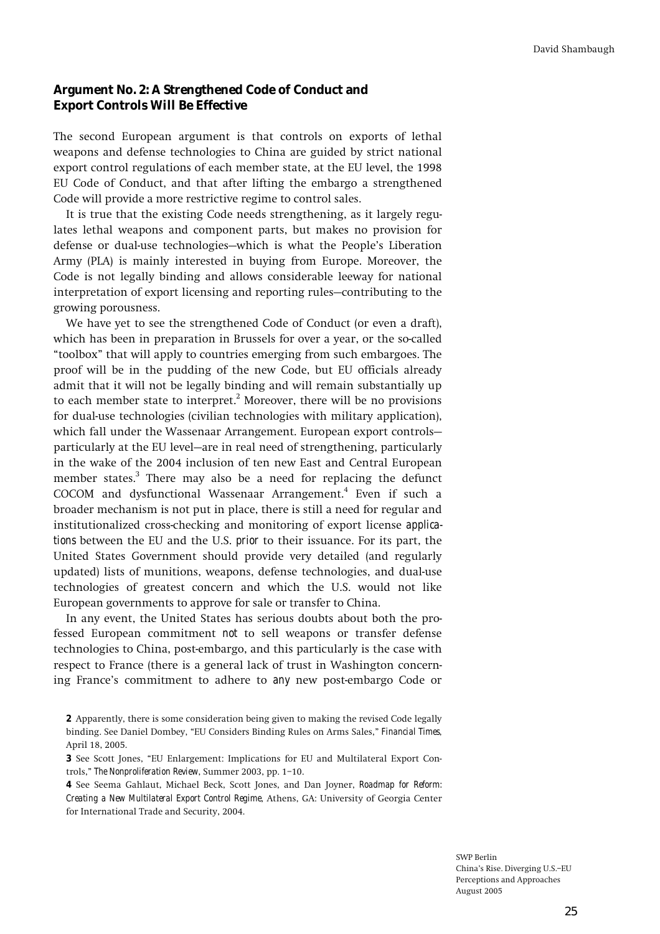### **Argument No. 2: A Strengthened Code of Conduct and Export Controls Will Be Effective**

**The second European argument is that controls on exports of lethal weapons and defense technologies to China are guided by strict national export control regulations of each member state, at the EU level, the 1998 EU Code of Conduct, and that after lifting the embargo a strengthened Code will provide a more restrictive regime to control sales.** 

**It is true that the existing Code needs strengthening, as it largely regulates lethal weapons and component parts, but makes no provision for**  defense or dual-use technologies—which is what the People's Liberation **Army (PLA) is mainly interested in buying from Europe. Moreover, the Code is not legally binding and allows considerable leeway for national**  interpretation of export licensing and reporting rules–contributing to the **growing porousness.** 

**We have yet to see the strengthened Code of Conduct (or even a draft), which has been in preparation in Brussels for over a year, or the so-called ìtoolboxî that will apply to countries emerging from such embargoes. The proof will be in the pudding of the new Code, but EU officials already admit that it will not be legally binding and will remain substantially up to each member state to interpret.2 Moreover, there will be no provisions for dual-use technologies (civilian technologies with military application),**  which fall under the Wassenaar Arrangement. European export controls– **particularly at the EU level–are in real need of strengthening, particularly in the wake of the 2004 inclusion of ten new East and Central European member states.3 There may also be a need for replacing the defunct COCOM and dysfunctional Wassenaar Arrangement.4 Even if such a broader mechanism is not put in place, there is still a need for regular and institutionalized cross-checking and monitoring of export license** *applications* **between the EU and the U.S.** *prior* **to their issuance. For its part, the United States Government should provide very detailed (and regularly updated) lists of munitions, weapons, defense technologies, and dual-use technologies of greatest concern and which the U.S. would not like European governments to approve for sale or transfer to China.** 

**In any event, the United States has serious doubts about both the professed European commitment** *not* **to sell weapons or transfer defense technologies to China, post-embargo, and this particularly is the case with respect to France (there is a general lack of trust in Washington concerning Franceís commitment to adhere to** *any* **new post-embargo Code or** 

**4 See Seema Gahlaut, Michael Beck, Scott Jones, and Dan Joyner,** *Roadmap for Reform: Creating a New Multilateral Export Control Regime***, Athens, GA: University of Georgia Center for International Trade and Security, 2004.** 

**<sup>2</sup> Apparently, there is some consideration being given to making the revised Code legally**  binding. See Daniel Dombey, "EU Considers Binding Rules on Arms Sales," **Financial Times**, **April 18, 2005.** 

**<sup>3</sup>** See Scott Jones, "EU Enlargement: Implications for EU and Multilateral Export Con**trols,î** *The Nonproliferation Review***, Summer 2003, pp. 1ñ10.**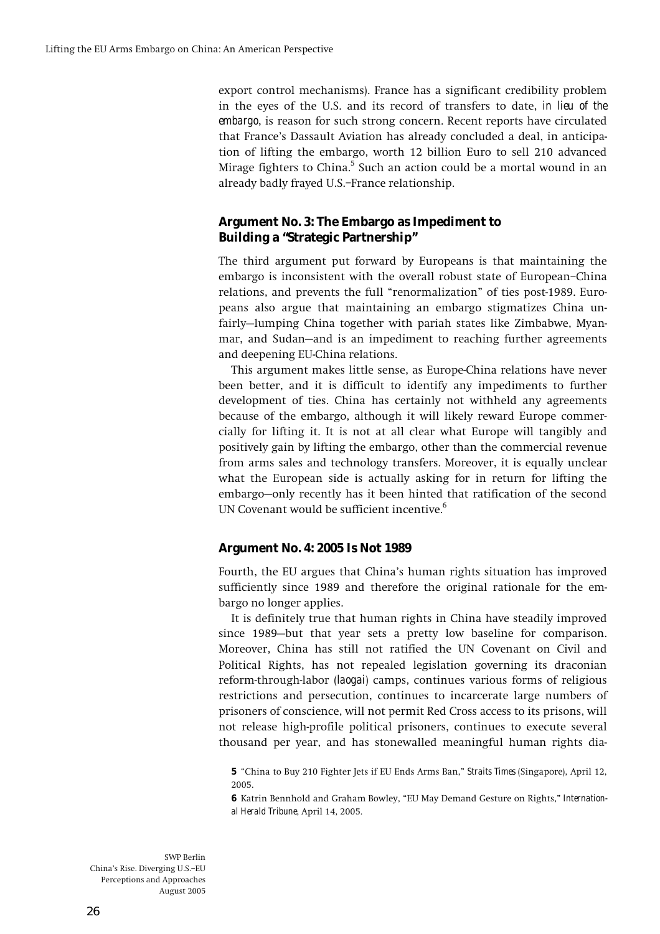**export control mechanisms). France has a significant credibility problem in the eyes of the U.S. and its record of transfers to date,** *in lieu of the embargo***, is reason for such strong concern. Recent reports have circulated that Franceís Dassault Aviation has already concluded a deal, in anticipation of lifting the embargo, worth 12 billion Euro to sell 210 advanced Mirage fighters to China.5 Such an action could be a mortal wound in an**  already badly frayed U.S.-France relationship.

# **Argument No. 3: The Embargo as Impediment to Building a "Strategic Partnership"**

**The third argument put forward by Europeans is that maintaining the embargo is inconsistent with the overall robust state of European–China** relations, and prevents the full "renormalization" of ties post-1989. Euro**peans also argue that maintaining an embargo stigmatizes China un**fairly–lumping China together with pariah states like Zimbabwe, Myanmar, and Sudan–and is an impediment to reaching further agreements **and deepening EU-China relations.** 

**This argument makes little sense, as Europe-China relations have never been better, and it is difficult to identify any impediments to further development of ties. China has certainly not withheld any agreements because of the embargo, although it will likely reward Europe commercially for lifting it. It is not at all clear what Europe will tangibly and positively gain by lifting the embargo, other than the commercial revenue from arms sales and technology transfers. Moreover, it is equally unclear what the European side is actually asking for in return for lifting the**  embargo–only recently has it been hinted that ratification of the second **UN Covenant would be sufficient incentive.6**

# **Argument No. 4: 2005 Is Not 1989**

**Fourth, the EU argues that Chinaís human rights situation has improved sufficiently since 1989 and therefore the original rationale for the embargo no longer applies.** 

**It is definitely true that human rights in China have steadily improved**  since **1989**-but that year sets a pretty low baseline for comparison. **Moreover, China has still not ratified the UN Covenant on Civil and Political Rights, has not repealed legislation governing its draconian reform-through-labor (***laogai***) camps, continues various forms of religious restrictions and persecution, continues to incarcerate large numbers of prisoners of conscience, will not permit Red Cross access to its prisons, will not release high-profile political prisoners, continues to execute several thousand per year, and has stonewalled meaningful human rights dia-**

**5 ìChina to Buy 210 Fighter Jets if EU Ends Arms Ban,î** *Straits Times* **(Singapore), April 12, 2005.** 

**6** Katrin Bennhold and Graham Bowley, "EU May Demand Gesture on Rights," *International Herald Tribune***, April 14, 2005.**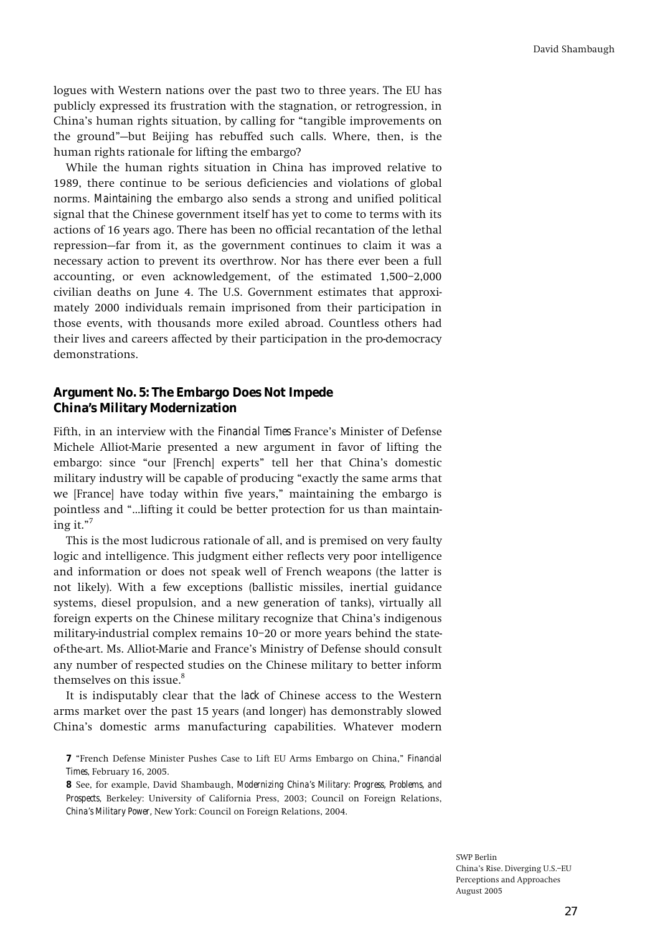**logues with Western nations over the past two to three years. The EU has publicly expressed its frustration with the stagnation, or retrogression, in**  China's human rights situation, by calling for "tangible improvements on the ground<sup>"</sup>-but Beijing has rebuffed such calls. Where, then, is the **human rights rationale for lifting the embargo?** 

**While the human rights situation in China has improved relative to 1989, there continue to be serious deficiencies and violations of global norms.** *Maintaining* **the embargo also sends a strong and unified political signal that the Chinese government itself has yet to come to terms with its actions of 16 years ago. There has been no official recantation of the lethal**  repression–far from it, as the government continues to claim it was a **necessary action to prevent its overthrow. Nor has there ever been a full accounting, or even acknowledgement, of the estimated**  $1,500-2,000$ **civilian deaths on June 4. The U.S. Government estimates that approximately 2000 individuals remain imprisoned from their participation in those events, with thousands more exiled abroad. Countless others had their lives and careers affected by their participation in the pro-democracy demonstrations.** 

# **Argument No. 5: The Embargo Does Not Impede China's Military Modernization**

**Fifth, in an interview with the** *Financial Times* **Franceís Minister of Defense Michele Alliot-Marie presented a new argument in favor of lifting the**  embargo: since "our [French] experts" tell her that China's domestic military industry will be capable of producing "exactly the same arms that we [France] have today within five years," maintaining the embargo is pointless and "...lifting it could be better protection for us than maintain- $\text{ing it.}^{7}$ 

**This is the most ludicrous rationale of all, and is premised on very faulty logic and intelligence. This judgment either reflects very poor intelligence and information or does not speak well of French weapons (the latter is not likely). With a few exceptions (ballistic missiles, inertial guidance systems, diesel propulsion, and a new generation of tanks), virtually all foreign experts on the Chinese military recognize that Chinaís indigenous**  military-industrial complex remains 10-20 or more years behind the state**of-the-art. Ms. Alliot-Marie and Franceís Ministry of Defense should consult any number of respected studies on the Chinese military to better inform themselves on this issue.8**

**It is indisputably clear that the** *lack* **of Chinese access to the Western arms market over the past 15 years (and longer) has demonstrably slowed Chinaís domestic arms manufacturing capabilities. Whatever modern** 

**<sup>7</sup>** "French Defense Minister Pushes Case to Lift EU Arms Embargo on China," *Financial Times***, February 16, 2005.** 

**<sup>8</sup> See, for example, David Shambaugh,** *Modernizing China's Military: Progress, Problems, and Prospects***, Berkeley: University of California Press, 2003; Council on Foreign Relations,**  *China's Military Power,* **New York: Council on Foreign Relations, 2004.**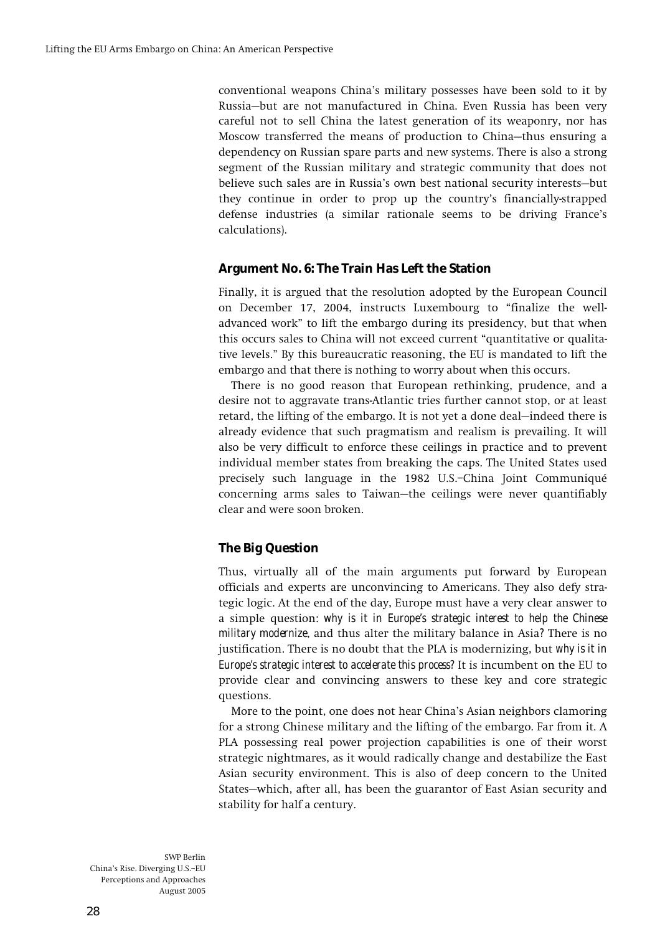**conventional weapons Chinaís military possesses have been sold to it by Russiaóbut are not manufactured in China. Even Russia has been very careful not to sell China the latest generation of its weaponry, nor has**  Moscow transferred the means of production to China-thus ensuring a **dependency on Russian spare parts and new systems. There is also a strong segment of the Russian military and strategic community that does not**  believe such sales are in Russia's own best national security interests-but **they continue in order to prop up the countryís financially-strapped defense industries (a similar rationale seems to be driving Franceís calculations).** 

# **Argument No. 6: The Train Has Left the Station**

**Finally, it is argued that the resolution adopted by the European Council on December 17, 2004, instructs Luxembourg to ìfinalize the welladvanced workî to lift the embargo during its presidency, but that when**  this occurs sales to China will not exceed current "quantitative or qualita**tive levels.î By this bureaucratic reasoning, the EU is mandated to lift the embargo and that there is nothing to worry about when this occurs.** 

**There is no good reason that European rethinking, prudence, and a desire not to aggravate trans-Atlantic tries further cannot stop, or at least**  retard, the lifting of the embargo. It is not yet a done deal—indeed there is **already evidence that such pragmatism and realism is prevailing. It will also be very difficult to enforce these ceilings in practice and to prevent individual member states from breaking the caps. The United States used precisely such language in the 1982 U.S.ñChina Joint CommuniquÈ**  concerning arms sales to Taiwan–the ceilings were never quantifiably **clear and were soon broken.** 

# **The Big Question**

**Thus, virtually all of the main arguments put forward by European officials and experts are unconvincing to Americans. They also defy strategic logic. At the end of the day, Europe must have a very clear answer to a simple question:** *why is it in Europe's strategic interest to help the Chinese military modernize***, and thus alter the military balance in Asia***?* **There is no justification. There is no doubt that the PLA is modernizing, but** *why is it in Europe's strategic interest to accelerate this process?* **It is incumbent on the EU to provide clear and convincing answers to these key and core strategic questions.** 

**More to the point, one does not hear Chinaís Asian neighbors clamoring for a strong Chinese military and the lifting of the embargo. Far from it. A PLA possessing real power projection capabilities is one of their worst strategic nightmares, as it would radically change and destabilize the East Asian security environment. This is also of deep concern to the United**  States–which, after all, has been the guarantor of East Asian security and **stability for half a century.**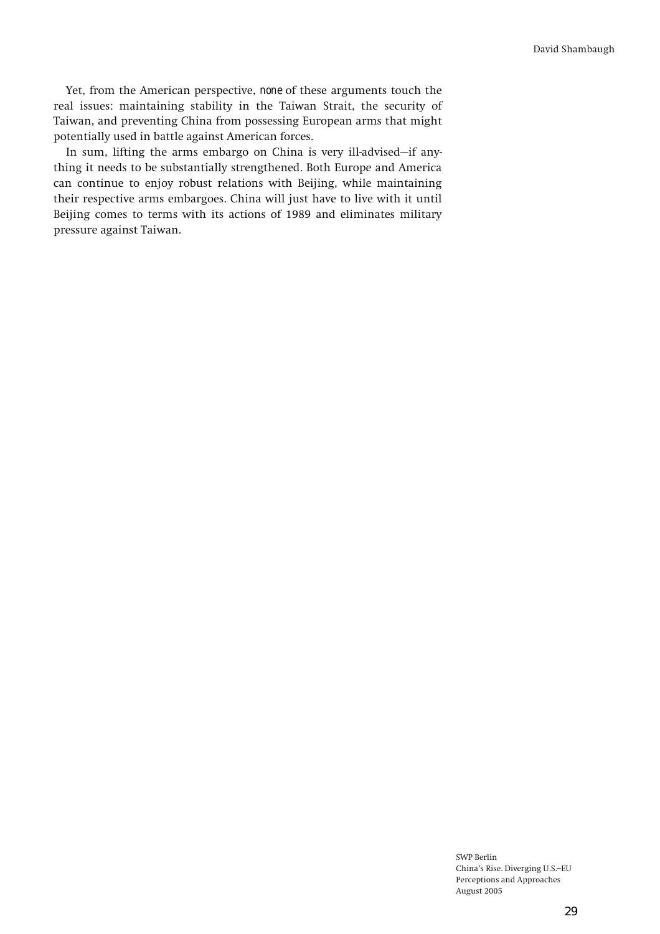**Yet, from the American perspective,** *none* **of these arguments touch the real issues: maintaining stability in the Taiwan Strait, the security of Taiwan, and preventing China from possessing European arms that might potentially used in battle against American forces.** 

In sum, lifting the arms embargo on China is very ill-advised-if any**thing it needs to be substantially strengthened. Both Europe and America can continue to enjoy robust relations with Beijing, while maintaining their respective arms embargoes. China will just have to live with it until Beijing comes to terms with its actions of 1989 and eliminates military pressure against Taiwan.**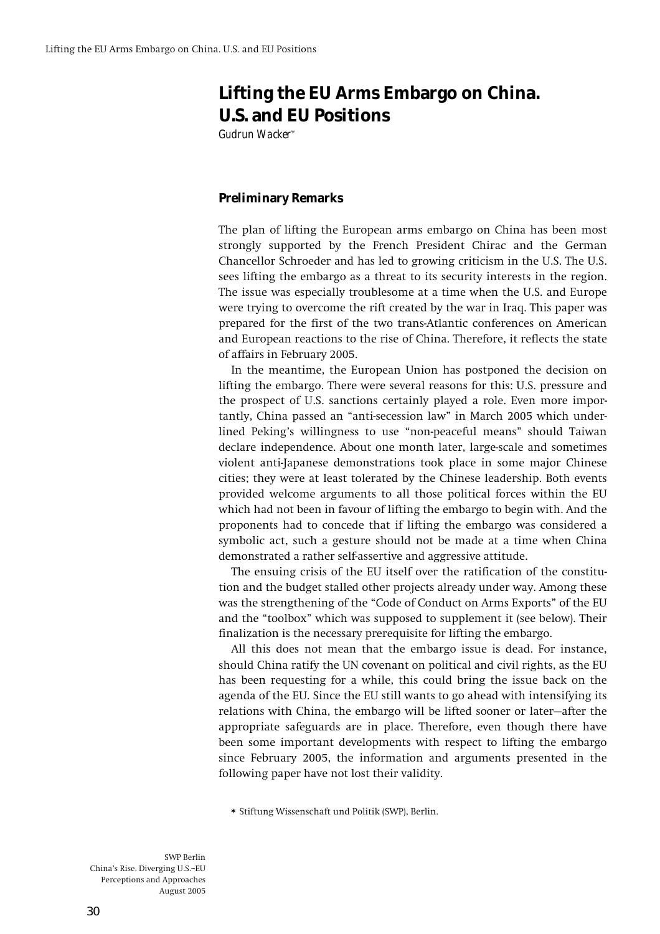# **Lifting the EU Arms Embargo on China. U.S. and EU Positions**

*Gudrun Wacker***\***

### **Preliminary Remarks**

**The plan of lifting the European arms embargo on China has been most strongly supported by the French President Chirac and the German Chancellor Schroeder and has led to growing criticism in the U.S. The U.S. sees lifting the embargo as a threat to its security interests in the region. The issue was especially troublesome at a time when the U.S. and Europe were trying to overcome the rift created by the war in Iraq. This paper was prepared for the first of the two trans-Atlantic conferences on American and European reactions to the rise of China. Therefore, it reflects the state of affairs in February 2005.** 

**In the meantime, the European Union has postponed the decision on lifting the embargo. There were several reasons for this: U.S. pressure and the prospect of U.S. sanctions certainly played a role. Even more impor**tantly, China passed an "anti-secession law" in March 2005 which under**lined Pekingís willingness to use ìnon-peaceful meansî should Taiwan declare independence. About one month later, large-scale and sometimes violent anti-Japanese demonstrations took place in some major Chinese cities; they were at least tolerated by the Chinese leadership. Both events provided welcome arguments to all those political forces within the EU which had not been in favour of lifting the embargo to begin with. And the proponents had to concede that if lifting the embargo was considered a symbolic act, such a gesture should not be made at a time when China demonstrated a rather self-assertive and aggressive attitude.** 

**The ensuing crisis of the EU itself over the ratification of the constitution and the budget stalled other projects already under way. Among these**  was the strengthening of the "Code of Conduct on Arms Exports" of the EU and the "toolbox" which was supposed to supplement it (see below). Their **finalization is the necessary prerequisite for lifting the embargo.** 

**All this does not mean that the embargo issue is dead. For instance, should China ratify the UN covenant on political and civil rights, as the EU has been requesting for a while, this could bring the issue back on the agenda of the EU. Since the EU still wants to go ahead with intensifying its**  relations with China, the embargo will be lifted sooner or later–after the **appropriate safeguards are in place. Therefore, even though there have been some important developments with respect to lifting the embargo since February 2005, the information and arguments presented in the following paper have not lost their validity.** 

**\* Stiftung Wissenschaft und Politik (SWP), Berlin.**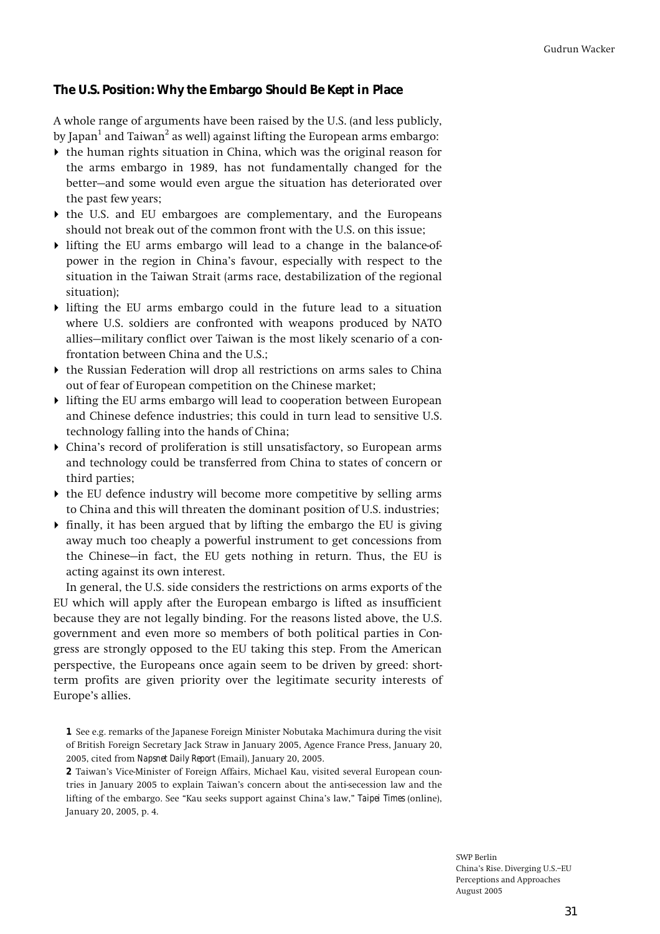# **The U.S. Position: Why the Embargo Should Be Kept in Place**

**A whole range of arguments have been raised by the U.S. (and less publicly,**  by Japan<sup>1</sup> and Taiwan<sup>2</sup> as well) against lifting the European arms embargo:

- ! **the human rights situation in China, which was the original reason for the arms embargo in 1989, has not fundamentally changed for the**  better-and some would even argue the situation has deteriorated over **the past few years;**
- ! **the U.S. and EU embargoes are complementary, and the Europeans should not break out of the common front with the U.S. on this issue;**
- ! **lifting the EU arms embargo will lead to a change in the balance-ofpower in the region in Chinaís favour, especially with respect to the situation in the Taiwan Strait (arms race, destabilization of the regional situation);**
- ! **lifting the EU arms embargo could in the future lead to a situation where U.S. soldiers are confronted with weapons produced by NATO**  allies–military conflict over Taiwan is the most likely scenario of a con**frontation between China and the U.S.;**
- ! **the Russian Federation will drop all restrictions on arms sales to China out of fear of European competition on the Chinese market;**
- ! **lifting the EU arms embargo will lead to cooperation between European and Chinese defence industries; this could in turn lead to sensitive U.S. technology falling into the hands of China;**
- ! **Chinaís record of proliferation is still unsatisfactory, so European arms and technology could be transferred from China to states of concern or third parties;**
- ! **the EU defence industry will become more competitive by selling arms to China and this will threaten the dominant position of U.S. industries;**
- ! **finally, it has been argued that by lifting the embargo the EU is giving away much too cheaply a powerful instrument to get concessions from**  the Chinese–in fact, the EU gets nothing in return. Thus, the EU is **acting against its own interest.**

**In general, the U.S. side considers the restrictions on arms exports of the EU which will apply after the European embargo is lifted as insufficient because they are not legally binding. For the reasons listed above, the U.S. government and even more so members of both political parties in Congress are strongly opposed to the EU taking this step. From the American perspective, the Europeans once again seem to be driven by greed: shortterm profits are given priority over the legitimate security interests of**  Europe's allies.

**1 See e.g. remarks of the Japanese Foreign Minister Nobutaka Machimura during the visit of British Foreign Secretary Jack Straw in January 2005, Agence France Press, January 20, 2005, cited from** *Napsnet Daily Report* **(Email), January 20, 2005.** 

**2 Taiwanís Vice-Minister of Foreign Affairs, Michael Kau, visited several European countries in January 2005 to explain Taiwanís concern about the anti-secession law and the**  lifting of the embargo. See "Kau seeks support against China's law," *Taipei Times* (online), **January 20, 2005, p. 4.**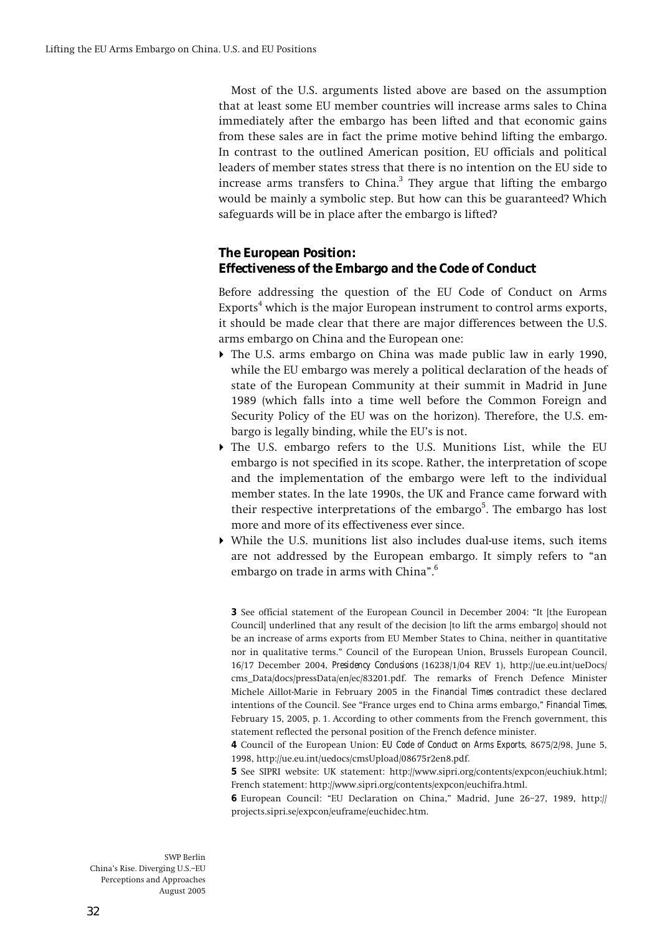**Most of the U.S. arguments listed above are based on the assumption that at least some EU member countries will increase arms sales to China immediately after the embargo has been lifted and that economic gains from these sales are in fact the prime motive behind lifting the embargo. In contrast to the outlined American position, EU officials and political leaders of member states stress that there is no intention on the EU side to increase arms transfers to China.3 They argue that lifting the embargo would be mainly a symbolic step. But how can this be guaranteed? Which safeguards will be in place after the embargo is lifted?** 

# **The European Position: Effectiveness of the Embargo and the Code of Conduct**

**Before addressing the question of the EU Code of Conduct on Arms Exports4 which is the major European instrument to control arms exports, it should be made clear that there are major differences between the U.S. arms embargo on China and the European one:** 

- ! **The U.S. arms embargo on China was made public law in early 1990, while the EU embargo was merely a political declaration of the heads of state of the European Community at their summit in Madrid in June 1989 (which falls into a time well before the Common Foreign and Security Policy of the EU was on the horizon). Therefore, the U.S. em**bargo is legally binding, while the EU's is not.
- ! **The U.S. embargo refers to the U.S. Munitions List, while the EU embargo is not specified in its scope. Rather, the interpretation of scope and the implementation of the embargo were left to the individual member states. In the late 1990s, the UK and France came forward with**  their respective interpretations of the embargo<sup>5</sup>. The embargo has lost **more and more of its effectiveness ever since.**
- ! **While the U.S. munitions list also includes dual-use items, such items**  are not addressed by the European embargo. It simply refers to "an **embargo on trade in arms with Chinaî.6**

**3** See official statement of the European Council in December 2004: "It [the European **Council] underlined that any result of the decision [to lift the arms embargo] should not be an increase of arms exports from EU Member States to China, neither in quantitative nor in qualitative terms.î Council of the European Union, Brussels European Council, 16/17 December 2004,** *Presidency Conclusions* **(16238/1/04 REV 1), http://ue.eu.int/ueDocs/ cms\_Data/docs/pressData/en/ec/83201.pdf. The remarks of French Defence Minister Michele Aillot-Marie in February 2005 in the** *Financial Times* **contradict these declared**  intentions of the Council. See "France urges end to China arms embargo," *Financial Times*, **February 15, 2005, p. 1. According to other comments from the French government, this statement reflected the personal position of the French defence minister.** 

**4 Council of the European Union:** *EU Code of Conduct on Arms Exports***, 8675/2/98, June 5, 1998, http://ue.eu.int/uedocs/cmsUpload/08675r2en8.pdf.** 

**5 See SIPRI website: UK statement: http://www.sipri.org/contents/expcon/euchiuk.html; French statement: http://www.sipri.org/contents/expcon/euchifra.html.** 

**6** European Council: "EU Declaration on China," Madrid, June 26-27, 1989, http:// **projects.sipri.se/expcon/euframe/euchidec.htm.**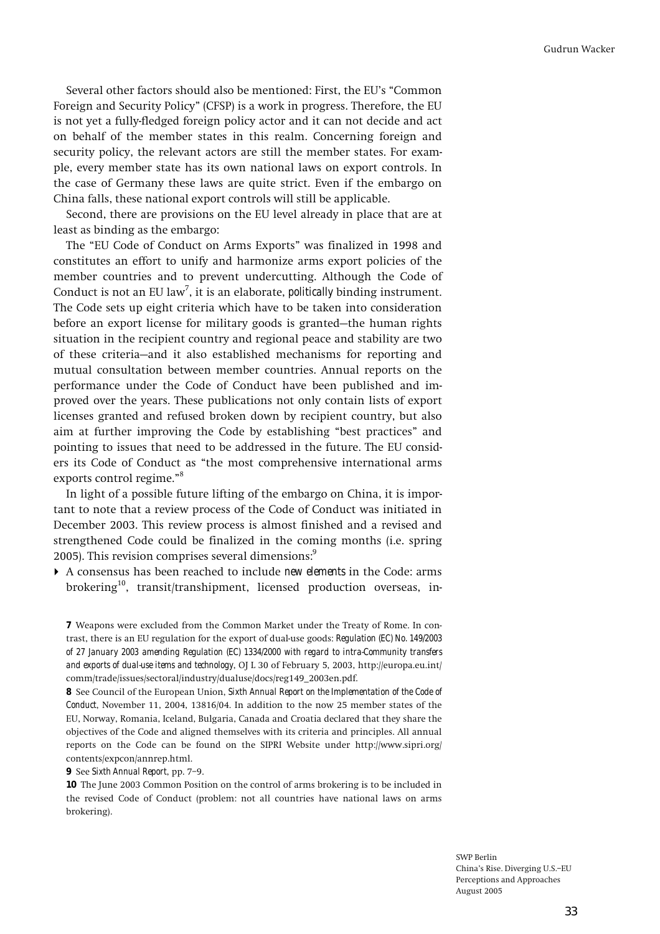Several other factors should also be mentioned: First, the EU's "Common **Foreign and Security Policyî (CFSP) is a work in progress. Therefore, the EU is not yet a fully-fledged foreign policy actor and it can not decide and act on behalf of the member states in this realm. Concerning foreign and security policy, the relevant actors are still the member states. For example, every member state has its own national laws on export controls. In the case of Germany these laws are quite strict. Even if the embargo on China falls, these national export controls will still be applicable.** 

**Second, there are provisions on the EU level already in place that are at least as binding as the embargo:** 

**The ìEU Code of Conduct on Arms Exportsî was finalized in 1998 and constitutes an effort to unify and harmonize arms export policies of the member countries and to prevent undercutting. Although the Code of Conduct is not an EU law7 , it is an elaborate,** *politically* **binding instrument. The Code sets up eight criteria which have to be taken into consideration**  before an export license for military goods is granted–the human rights **situation in the recipient country and regional peace and stability are two**  of these criteria–and it also established mechanisms for reporting and **mutual consultation between member countries. Annual reports on the performance under the Code of Conduct have been published and improved over the years. These publications not only contain lists of export licenses granted and refused broken down by recipient country, but also**  aim at further improving the Code by establishing "best practices" and **pointing to issues that need to be addressed in the future. The EU consid**ers its Code of Conduct as "the most comprehensive international arms exports control regime."<sup>8</sup>

**In light of a possible future lifting of the embargo on China, it is important to note that a review process of the Code of Conduct was initiated in December 2003. This review process is almost finished and a revised and strengthened Code could be finalized in the coming months (i.e. spring 2005). This revision comprises several dimensions:9**

! **A consensus has been reached to include** *new elements* **in the Code: arms brokering<sup>1</sup><sup>0</sup> , transit/transhipment, licensed production overseas, in-**

**7 Weapons were excluded from the Common Market under the Treaty of Rome. In contrast, there is an EU regulation for the export of dual-use goods:** *Regulation (EC) No. 149/2003 of 27 January 2003 amending Regulation (EC) 1334/2000 with regard to intra-Community transfers and exports of dual-use items and technology***, OJ L 30 of February 5, 2003, http://europa.eu.int/ comm/trade/issues/sectoral/industry/dualuse/docs/reg149\_2003en.pdf.** 

**8 See Council of the European Union,** *Sixth Annual Report on the Implementation of the Code of Conduct***, November 11, 2004, 13816/04. In addition to the now 25 member states of the EU, Norway, Romania, Iceland, Bulgaria, Canada and Croatia declared that they share the objectives of the Code and aligned themselves with its criteria and principles. All annual reports on the Code can be found on the SIPRI Website under http://www.sipri.org/ contents/expcon/annrep.html.** 

#### **9** See *Sixth Annual Report*, pp. 7-9.

**10 The June 2003 Common Position on the control of arms brokering is to be included in the revised Code of Conduct (problem: not all countries have national laws on arms brokering).**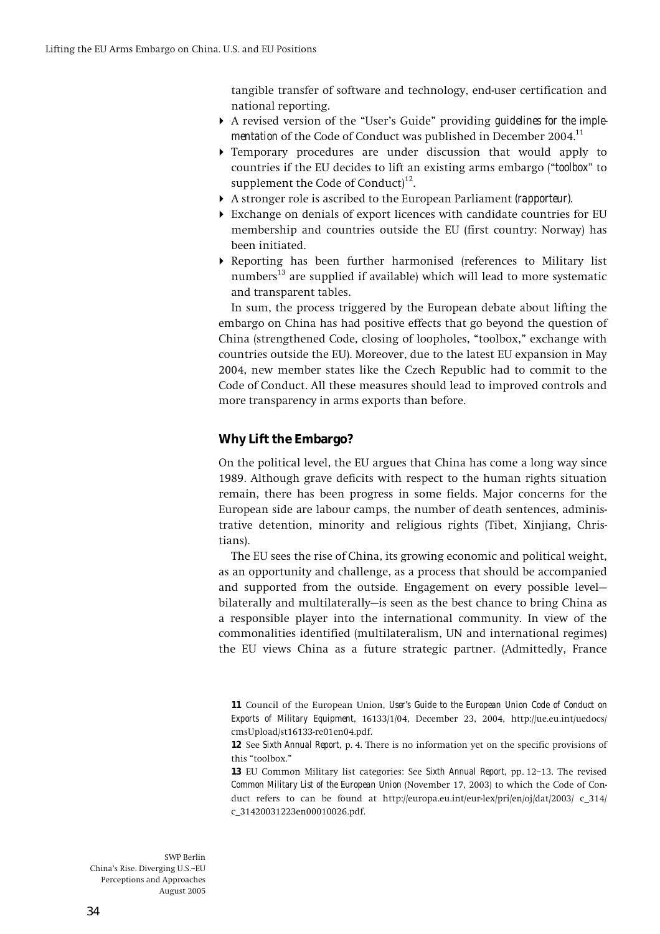**tangible transfer of software and technology, end-user certification and national reporting.** 

- **A** revised version of the "User's Guide" providing *quidelines for the implementation* **of the Code of Conduct was published in December 2004.<sup>11</sup>**
- ! **Temporary procedures are under discussion that would apply to countries if the EU decides to lift an existing arms embargo (ì***toolbox***î to supplement the Code of Conduct)<sup>1</sup><sup>2</sup> .**
- ! **A stronger role is ascribed to the European Parliament** *(rapporteur)***.**
- ! **Exchange on denials of export licences with candidate countries for EU membership and countries outside the EU (first country: Norway) has been initiated.**
- ! **Reporting has been further harmonised (references to Military list numbers<sup>1</sup><sup>3</sup> are supplied if available) which will lead to more systematic and transparent tables.**

**In sum, the process triggered by the European debate about lifting the embargo on China has had positive effects that go beyond the question of**  China (strengthened Code, closing of loopholes, "toolbox," exchange with **countries outside the EU). Moreover, due to the latest EU expansion in May 2004, new member states like the Czech Republic had to commit to the Code of Conduct. All these measures should lead to improved controls and more transparency in arms exports than before.** 

# **Why Lift the Embargo?**

**On the political level, the EU argues that China has come a long way since 1989. Although grave deficits with respect to the human rights situation remain, there has been progress in some fields. Major concerns for the European side are labour camps, the number of death sentences, administrative detention, minority and religious rights (Tibet, Xinjiang, Christians).** 

**The EU sees the rise of China, its growing economic and political weight, as an opportunity and challenge, as a process that should be accompanied**  and supported from the outside. Engagement on every possible levelbilaterally and multilaterally-is seen as the best chance to bring China as **a responsible player into the international community. In view of the commonalities identified (multilateralism, UN and international regimes) the EU views China as a future strategic partner. (Admittedly, France** 

**<sup>11</sup> Council of the European Union,** *User's Guide to the European Union Code of Conduct on Exports of Military Equipment***, 16133/1/04, December 23, 2004, http://ue.eu.int/uedocs/ cmsUpload/st16133-re01en04.pdf.** 

**<sup>12</sup> See** *Sixth Annual Report***, p. 4. There is no information yet on the specific provisions of**  this "toolbox."

**<sup>13</sup>** EU Common Military list categories: See *Sixth Annual Report*, pp. 12-13. The revised *Common Military List of the European Union* **(November 17, 2003) to which the Code of Conduct refers to can be found at http://europa.eu.int/eur-lex/pri/en/oj/dat/2003/ c\_314/ c\_31420031223en00010026.pdf.**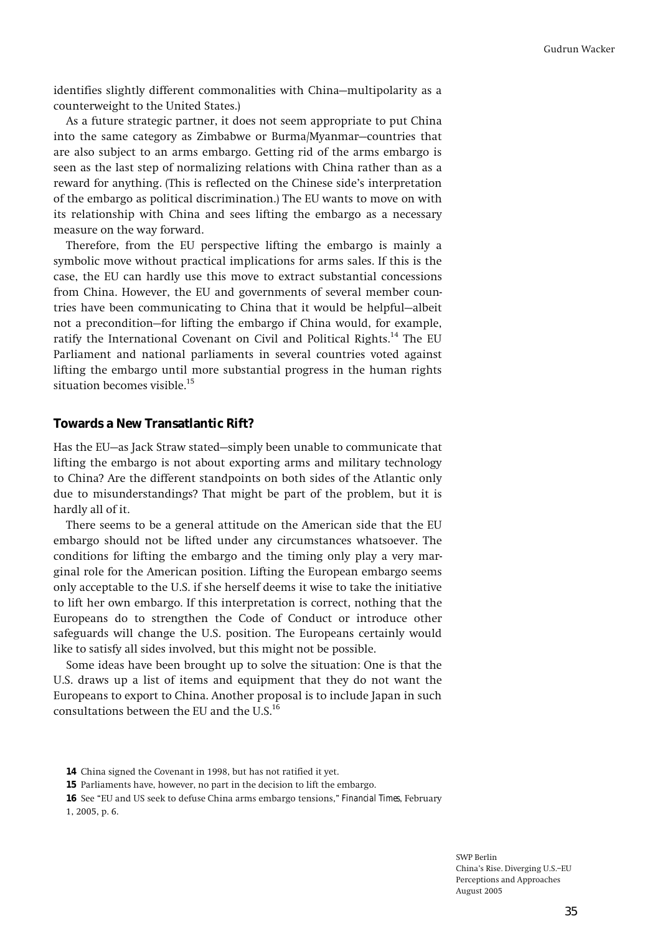identifies slightly different commonalities with China-multipolarity as a **counterweight to the United States.)** 

**As a future strategic partner, it does not seem appropriate to put China**  into the same category as Zimbabwe or Burma/Myanmar–countries that **are also subject to an arms embargo. Getting rid of the arms embargo is seen as the last step of normalizing relations with China rather than as a reward for anything. (This is reflected on the Chinese sideís interpretation of the embargo as political discrimination.) The EU wants to move on with its relationship with China and sees lifting the embargo as a necessary measure on the way forward.** 

**Therefore, from the EU perspective lifting the embargo is mainly a symbolic move without practical implications for arms sales. If this is the case, the EU can hardly use this move to extract substantial concessions from China. However, the EU and governments of several member coun**tries have been communicating to China that it would be helpful—albeit not a precondition–for lifting the embargo if China would, for example, **ratify the International Covenant on Civil and Political Rights.<sup>1</sup><sup>4</sup> The EU Parliament and national parliaments in several countries voted against lifting the embargo until more substantial progress in the human rights situation becomes visible.<sup>1</sup><sup>5</sup>**

#### **Towards a New Transatlantic Rift?**

Has the EU–as Jack Straw stated–simply been unable to communicate that **lifting the embargo is not about exporting arms and military technology to China? Are the different standpoints on both sides of the Atlantic only due to misunderstandings? That might be part of the problem, but it is hardly all of it.** 

**There seems to be a general attitude on the American side that the EU embargo should not be lifted under any circumstances whatsoever. The conditions for lifting the embargo and the timing only play a very marginal role for the American position. Lifting the European embargo seems only acceptable to the U.S. if she herself deems it wise to take the initiative to lift her own embargo. If this interpretation is correct, nothing that the Europeans do to strengthen the Code of Conduct or introduce other safeguards will change the U.S. position. The Europeans certainly would like to satisfy all sides involved, but this might not be possible.** 

**Some ideas have been brought up to solve the situation: One is that the U.S. draws up a list of items and equipment that they do not want the Europeans to export to China. Another proposal is to include Japan in such consultations between the EU and the U.S.<sup>1</sup><sup>6</sup>**

**16** See "EU and US seek to defuse China arms embargo tensions," *Financial Times*, February **1, 2005, p. 6.** 

**<sup>14</sup> China signed the Covenant in 1998, but has not ratified it yet.** 

**<sup>15</sup> Parliaments have, however, no part in the decision to lift the embargo.**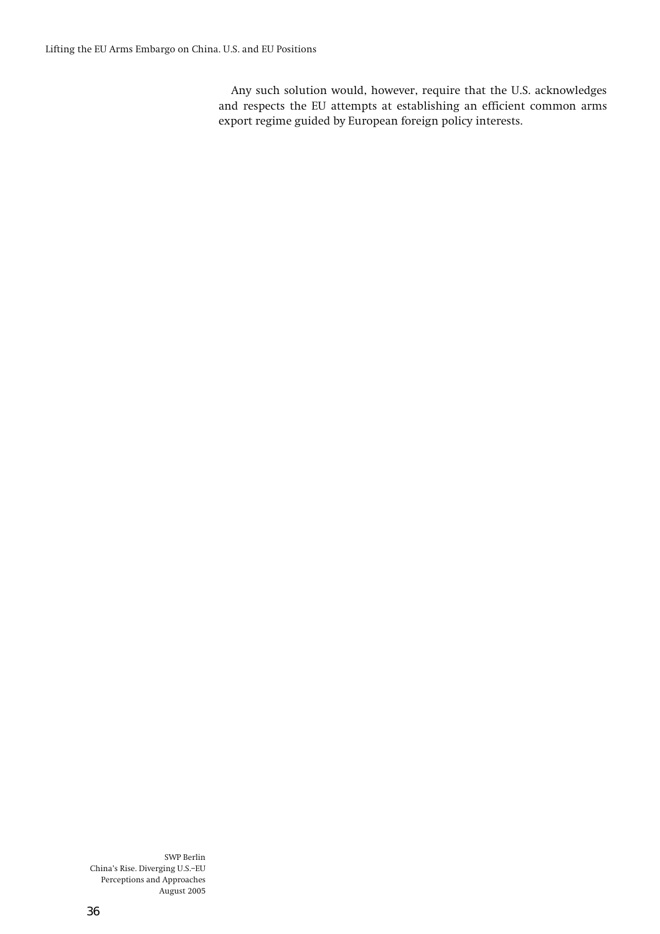**Any such solution would, however, require that the U.S. acknowledges and respects the EU attempts at establishing an efficient common arms export regime guided by European foreign policy interests.**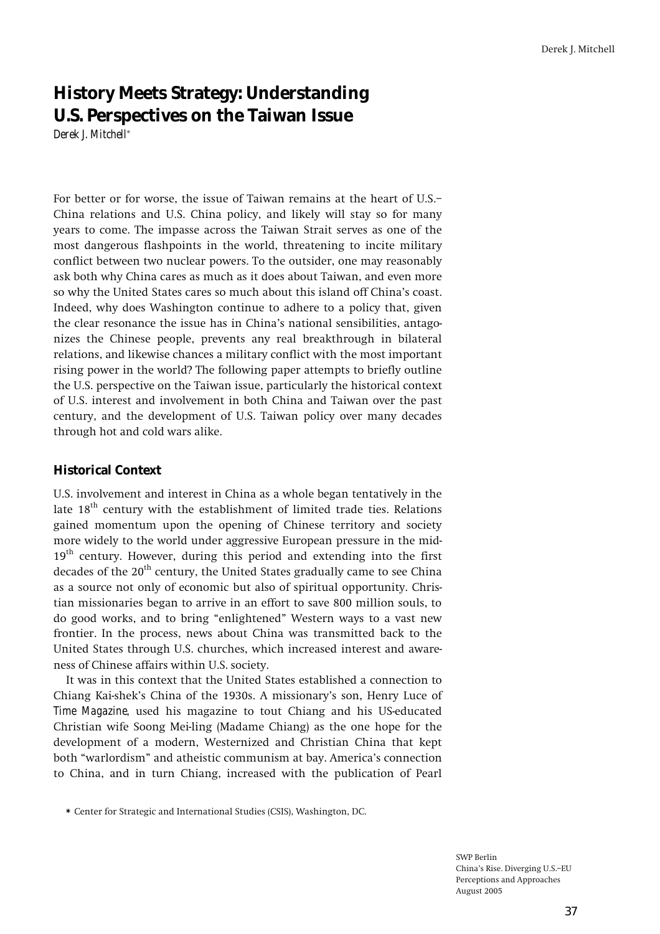# **History Meets Strategy: Understanding U.S. Perspectives on the Taiwan Issue**  *Derek J. Mitchell***\***

For better or for worse, the issue of Taiwan remains at the heart of U.S.– **China relations and U.S. China policy, and likely will stay so for many years to come. The impasse across the Taiwan Strait serves as one of the most dangerous flashpoints in the world, threatening to incite military conflict between two nuclear powers. To the outsider, one may reasonably ask both why China cares as much as it does about Taiwan, and even more so why the United States cares so much about this island off Chinaís coast. Indeed, why does Washington continue to adhere to a policy that, given the clear resonance the issue has in Chinaís national sensibilities, antagonizes the Chinese people, prevents any real breakthrough in bilateral relations, and likewise chances a military conflict with the most important rising power in the world? The following paper attempts to briefly outline the U.S. perspective on the Taiwan issue, particularly the historical context of U.S. interest and involvement in both China and Taiwan over the past century, and the development of U.S. Taiwan policy over many decades through hot and cold wars alike.** 

### **Historical Context**

**U.S. involvement and interest in China as a whole began tentatively in the late 18th century with the establishment of limited trade ties. Relations gained momentum upon the opening of Chinese territory and society more widely to the world under aggressive European pressure in the mid-19th century. However, during this period and extending into the first**  decades of the 20<sup>th</sup> century, the United States gradually came to see China **as a source not only of economic but also of spiritual opportunity. Christian missionaries began to arrive in an effort to save 800 million souls, to**  do good works, and to bring "enlightened" Western ways to a vast new **frontier. In the process, news about China was transmitted back to the United States through U.S. churches, which increased interest and awareness of Chinese affairs within U.S. society.** 

**It was in this context that the United States established a connection to Chiang Kai-shekís China of the 1930s. A missionaryís son, Henry Luce of**  *Time Magazine***, used his magazine to tout Chiang and his US-educated Christian wife Soong Mei-ling (Madame Chiang) as the one hope for the development of a modern, Westernized and Christian China that kept**  both "warlordism" and atheistic communism at bay. America's connection **to China, and in turn Chiang, increased with the publication of Pearl** 

**<sup>\*</sup> Center for Strategic and International Studies (CSIS), Washington, DC.**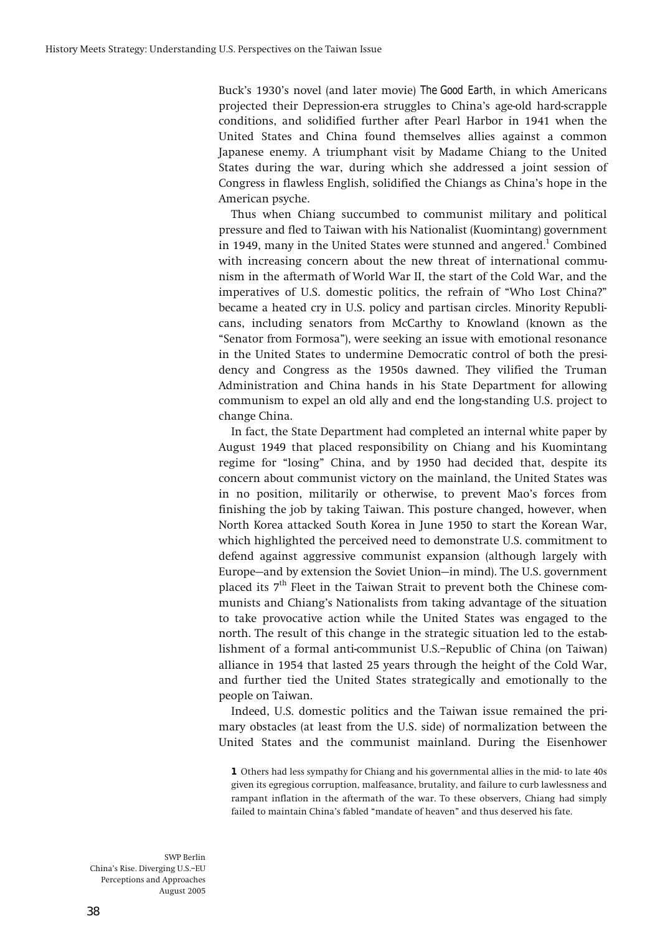**Buckís 1930ís novel (and later movie)** *The Good Earth***, in which Americans projected their Depression-era struggles to Chinaís age-old hard-scrapple conditions, and solidified further after Pearl Harbor in 1941 when the United States and China found themselves allies against a common Japanese enemy. A triumphant visit by Madame Chiang to the United States during the war, during which she addressed a joint session of Congress in flawless English, solidified the Chiangs as Chinaís hope in the American psyche.** 

**Thus when Chiang succumbed to communist military and political pressure and fled to Taiwan with his Nationalist (Kuomintang) government in 1949, many in the United States were stunned and angered.<sup>1</sup> Combined with increasing concern about the new threat of international communism in the aftermath of World War II, the start of the Cold War, and the**  imperatives of U.S. domestic politics, the refrain of "Who Lost China?" **became a heated cry in U.S. policy and partisan circles. Minority Republicans, including senators from McCarthy to Knowland (known as the ìSenator from Formosaî), were seeking an issue with emotional resonance in the United States to undermine Democratic control of both the presidency and Congress as the 1950s dawned. They vilified the Truman Administration and China hands in his State Department for allowing communism to expel an old ally and end the long-standing U.S. project to change China.** 

**In fact, the State Department had completed an internal white paper by August 1949 that placed responsibility on Chiang and his Kuomintang**  regime for "losing" China, and by 1950 had decided that, despite its **concern about communist victory on the mainland, the United States was in no position, militarily or otherwise, to prevent Maoís forces from finishing the job by taking Taiwan. This posture changed, however, when North Korea attacked South Korea in June 1950 to start the Korean War, which highlighted the perceived need to demonstrate U.S. commitment to defend against aggressive communist expansion (although largely with**  Europe—and by extension the Soviet Union—in mind). The U.S. government **placed its 7th Fleet in the Taiwan Strait to prevent both the Chinese communists and Chiangís Nationalists from taking advantage of the situation to take provocative action while the United States was engaged to the north. The result of this change in the strategic situation led to the estab**lishment of a formal anti-communist U.S.-Republic of China (on Taiwan) **alliance in 1954 that lasted 25 years through the height of the Cold War, and further tied the United States strategically and emotionally to the people on Taiwan.** 

**Indeed, U.S. domestic politics and the Taiwan issue remained the primary obstacles (at least from the U.S. side) of normalization between the United States and the communist mainland. During the Eisenhower** 

**1 Others had less sympathy for Chiang and his governmental allies in the mid- to late 40s given its egregious corruption, malfeasance, brutality, and failure to curb lawlessness and rampant inflation in the aftermath of the war. To these observers, Chiang had simply**  failed to maintain China's fabled "mandate of heaven" and thus deserved his fate.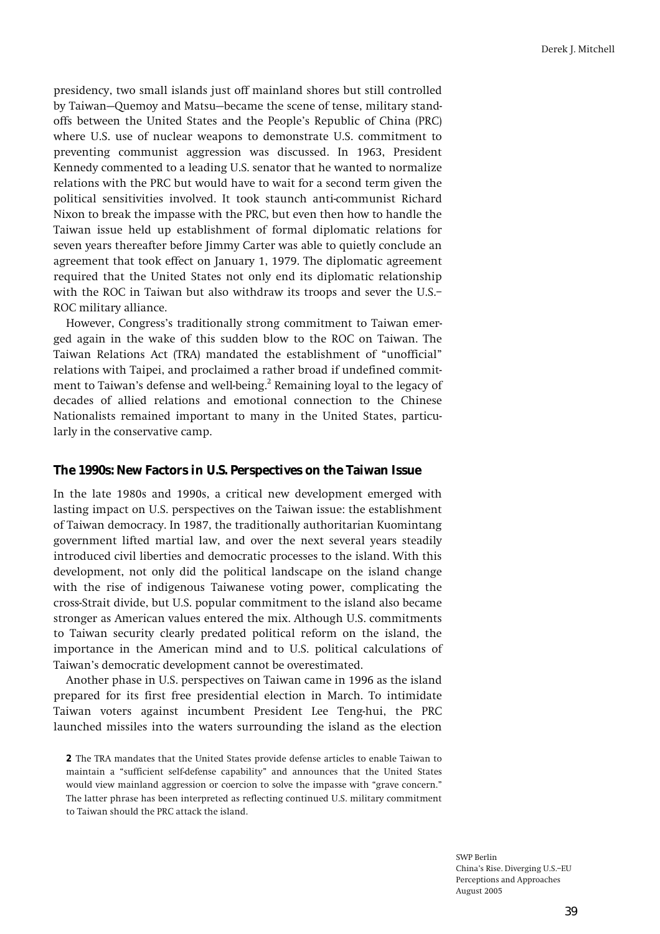**presidency, two small islands just off mainland shores but still controlled**  by Taiwan–Quemoy and Matsu–became the scene of tense, military stand**offs between the United States and the Peopleís Republic of China (PRC) where U.S. use of nuclear weapons to demonstrate U.S. commitment to preventing communist aggression was discussed. In 1963, President Kennedy commented to a leading U.S. senator that he wanted to normalize relations with the PRC but would have to wait for a second term given the political sensitivities involved. It took staunch anti-communist Richard Nixon to break the impasse with the PRC, but even then how to handle the Taiwan issue held up establishment of formal diplomatic relations for seven years thereafter before Jimmy Carter was able to quietly conclude an agreement that took effect on January 1, 1979. The diplomatic agreement required that the United States not only end its diplomatic relationship with the ROC in Taiwan but also withdraw its troops and sever the U.S.ñ ROC military alliance.** 

However, Congress's traditionally strong commitment to Taiwan emer**ged again in the wake of this sudden blow to the ROC on Taiwan. The**  Taiwan Relations Act (TRA) mandated the establishment of "unofficial" **relations with Taipei, and proclaimed a rather broad if undefined commit**ment to Taiwan's defense and well-being.<sup>2</sup> Remaining loyal to the legacy of **decades of allied relations and emotional connection to the Chinese Nationalists remained important to many in the United States, particularly in the conservative camp.** 

### **The 1990s: New Factors in U.S. Perspectives on the Taiwan Issue**

**In the late 1980s and 1990s, a critical new development emerged with lasting impact on U.S. perspectives on the Taiwan issue: the establishment of Taiwan democracy. In 1987, the traditionally authoritarian Kuomintang government lifted martial law, and over the next several years steadily introduced civil liberties and democratic processes to the island. With this development, not only did the political landscape on the island change with the rise of indigenous Taiwanese voting power, complicating the cross-Strait divide, but U.S. popular commitment to the island also became stronger as American values entered the mix. Although U.S. commitments to Taiwan security clearly predated political reform on the island, the importance in the American mind and to U.S. political calculations of**  Taiwan's democratic development cannot be overestimated.

**Another phase in U.S. perspectives on Taiwan came in 1996 as the island prepared for its first free presidential election in March. To intimidate Taiwan voters against incumbent President Lee Teng-hui, the PRC launched missiles into the waters surrounding the island as the election** 

**2 The TRA mandates that the United States provide defense articles to enable Taiwan to maintain a ìsufficient self-defense capabilityî and announces that the United States**  would view mainland aggression or coercion to solve the impasse with "grave concern." **The latter phrase has been interpreted as reflecting continued U.S. military commitment to Taiwan should the PRC attack the island.**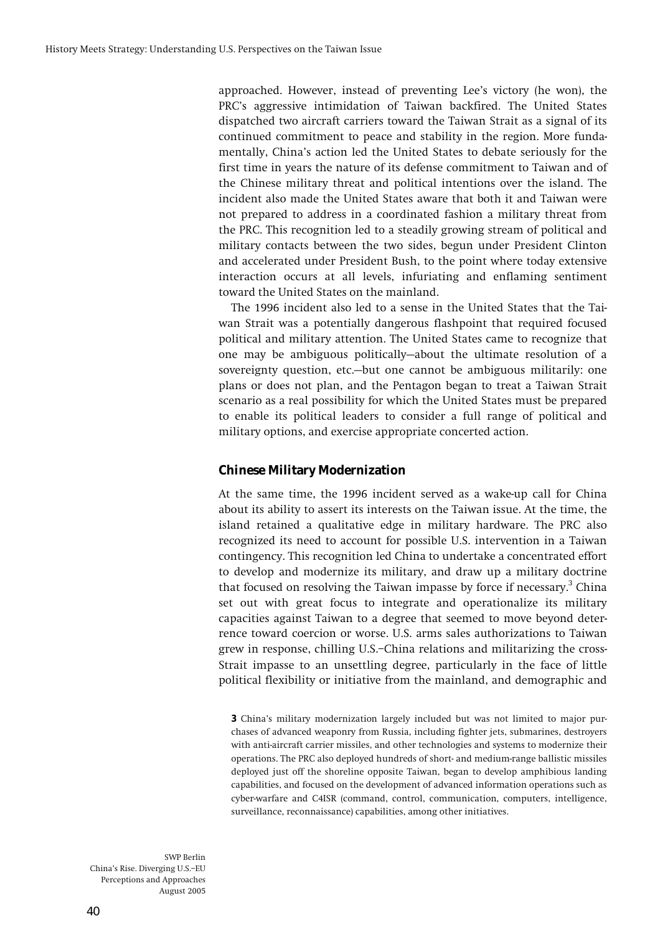approached. However, instead of preventing Lee's victory (he won), the PRC's aggressive intimidation of Taiwan backfired. The United States **dispatched two aircraft carriers toward the Taiwan Strait as a signal of its continued commitment to peace and stability in the region. More fundamentally, Chinaís action led the United States to debate seriously for the first time in years the nature of its defense commitment to Taiwan and of the Chinese military threat and political intentions over the island. The incident also made the United States aware that both it and Taiwan were not prepared to address in a coordinated fashion a military threat from the PRC. This recognition led to a steadily growing stream of political and military contacts between the two sides, begun under President Clinton and accelerated under President Bush, to the point where today extensive interaction occurs at all levels, infuriating and enflaming sentiment toward the United States on the mainland.** 

**The 1996 incident also led to a sense in the United States that the Taiwan Strait was a potentially dangerous flashpoint that required focused political and military attention. The United States came to recognize that**  one may be ambiguous politically–about the ultimate resolution of a sovereignty question, etc.—but one cannot be ambiguous militarily: one **plans or does not plan, and the Pentagon began to treat a Taiwan Strait scenario as a real possibility for which the United States must be prepared to enable its political leaders to consider a full range of political and military options, and exercise appropriate concerted action.** 

### **Chinese Military Modernization**

**At the same time, the 1996 incident served as a wake-up call for China about its ability to assert its interests on the Taiwan issue. At the time, the island retained a qualitative edge in military hardware. The PRC also recognized its need to account for possible U.S. intervention in a Taiwan contingency. This recognition led China to undertake a concentrated effort to develop and modernize its military, and draw up a military doctrine that focused on resolving the Taiwan impasse by force if necessary.3 China set out with great focus to integrate and operationalize its military capacities against Taiwan to a degree that seemed to move beyond deterrence toward coercion or worse. U.S. arms sales authorizations to Taiwan**  grew in response, chilling U.S.-China relations and militarizing the cross-**Strait impasse to an unsettling degree, particularly in the face of little political flexibility or initiative from the mainland, and demographic and** 

**3 Chinaís military modernization largely included but was not limited to major purchases of advanced weaponry from Russia, including fighter jets, submarines, destroyers with anti-aircraft carrier missiles, and other technologies and systems to modernize their operations. The PRC also deployed hundreds of short- and medium-range ballistic missiles deployed just off the shoreline opposite Taiwan, began to develop amphibious landing capabilities, and focused on the development of advanced information operations such as cyber-warfare and C4ISR (command, control, communication, computers, intelligence, surveillance, reconnaissance) capabilities, among other initiatives.**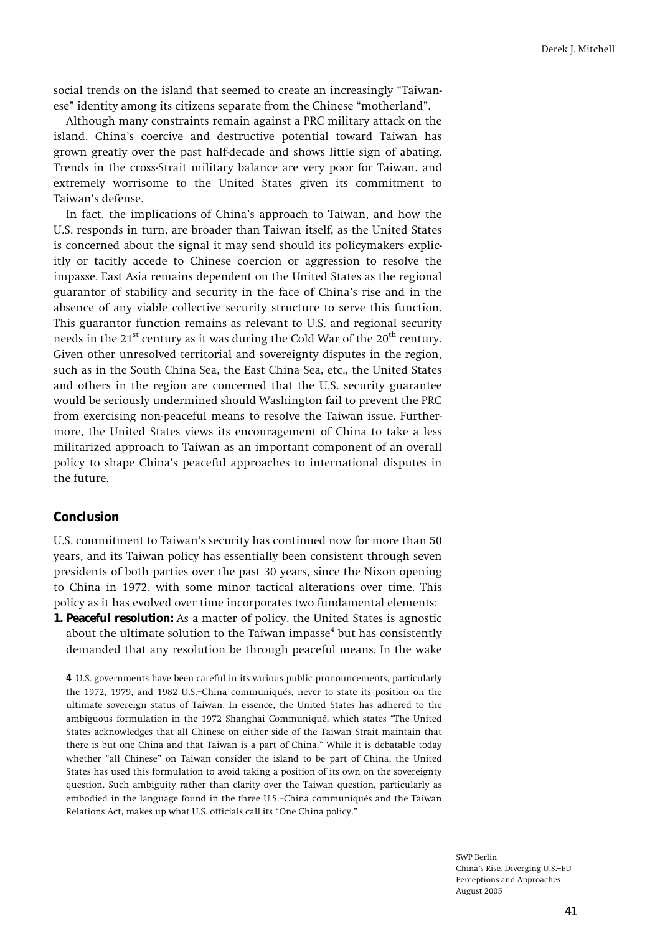social trends on the island that seemed to create an increasingly "Taiwanese" identity among its citizens separate from the Chinese "motherland".

**Although many constraints remain against a PRC military attack on the island, Chinaís coercive and destructive potential toward Taiwan has grown greatly over the past half-decade and shows little sign of abating. Trends in the cross-Strait military balance are very poor for Taiwan, and extremely worrisome to the United States given its commitment to**  Taiwan's defense.

**In fact, the implications of Chinaís approach to Taiwan, and how the U.S. responds in turn, are broader than Taiwan itself, as the United States is concerned about the signal it may send should its policymakers explicitly or tacitly accede to Chinese coercion or aggression to resolve the impasse. East Asia remains dependent on the United States as the regional guarantor of stability and security in the face of Chinaís rise and in the absence of any viable collective security structure to serve this function. This guarantor function remains as relevant to U.S. and regional security needs in the 21<sup>st</sup> century as it was during the Cold War of the 20<sup>th</sup> century. Given other unresolved territorial and sovereignty disputes in the region, such as in the South China Sea, the East China Sea, etc., the United States and others in the region are concerned that the U.S. security guarantee would be seriously undermined should Washington fail to prevent the PRC from exercising non-peaceful means to resolve the Taiwan issue. Furthermore, the United States views its encouragement of China to take a less militarized approach to Taiwan as an important component of an overall policy to shape Chinaís peaceful approaches to international disputes in the future.** 

### **Conclusion**

**U.S. commitment to Taiwanís security has continued now for more than 50 years, and its Taiwan policy has essentially been consistent through seven presidents of both parties over the past 30 years, since the Nixon opening to China in 1972, with some minor tactical alterations over time. This policy as it has evolved over time incorporates two fundamental elements:** 

**1. Peaceful resolution: As a matter of policy, the United States is agnostic**  about the ultimate solution to the Taiwan impasse<sup>4</sup> but has consistently **demanded that any resolution be through peaceful means. In the wake** 

**<sup>4</sup> U.S. governments have been careful in its various public pronouncements, particularly the 1972, 1979, and 1982 U.S.-China communiqués, never to state its position on the ultimate sovereign status of Taiwan. In essence, the United States has adhered to the**  ambiguous formulation in the 1972 Shanghai Communiqué, which states "The United **States acknowledges that all Chinese on either side of the Taiwan Strait maintain that there is but one China and that Taiwan is a part of China.î While it is debatable today**  whether "all Chinese" on Taiwan consider the island to be part of China, the United **States has used this formulation to avoid taking a position of its own on the sovereignty question. Such ambiguity rather than clarity over the Taiwan question, particularly as**  embodied in the language found in the three U.S.-China communiqués and the Taiwan Relations Act, makes up what U.S. officials call its "One China policy."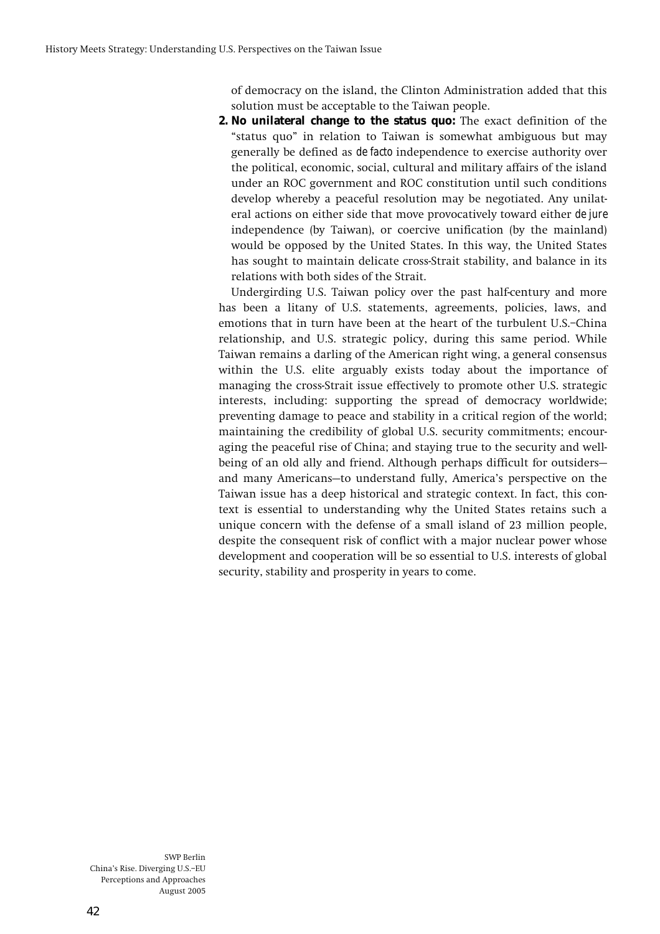**of democracy on the island, the Clinton Administration added that this solution must be acceptable to the Taiwan people.** 

**2. No unilateral change to the status quo: The exact definition of the ìstatus quoî in relation to Taiwan is somewhat ambiguous but may generally be defined as** *de facto* **independence to exercise authority over the political, economic, social, cultural and military affairs of the island under an ROC government and ROC constitution until such conditions develop whereby a peaceful resolution may be negotiated. Any unilateral actions on either side that move provocatively toward either** *de jure* **independence (by Taiwan), or coercive unification (by the mainland) would be opposed by the United States. In this way, the United States has sought to maintain delicate cross-Strait stability, and balance in its relations with both sides of the Strait.** 

**Undergirding U.S. Taiwan policy over the past half-century and more has been a litany of U.S. statements, agreements, policies, laws, and**  emotions that in turn have been at the heart of the turbulent U.S.-China **relationship, and U.S. strategic policy, during this same period. While Taiwan remains a darling of the American right wing, a general consensus within the U.S. elite arguably exists today about the importance of managing the cross-Strait issue effectively to promote other U.S. strategic interests, including: supporting the spread of democracy worldwide; preventing damage to peace and stability in a critical region of the world; maintaining the credibility of global U.S. security commitments; encouraging the peaceful rise of China; and staying true to the security and well**being of an old ally and friend. Although perhaps difficult for outsidersand many Americans-to understand fully, America's perspective on the **Taiwan issue has a deep historical and strategic context. In fact, this context is essential to understanding why the United States retains such a unique concern with the defense of a small island of 23 million people, despite the consequent risk of conflict with a major nuclear power whose development and cooperation will be so essential to U.S. interests of global security, stability and prosperity in years to come.**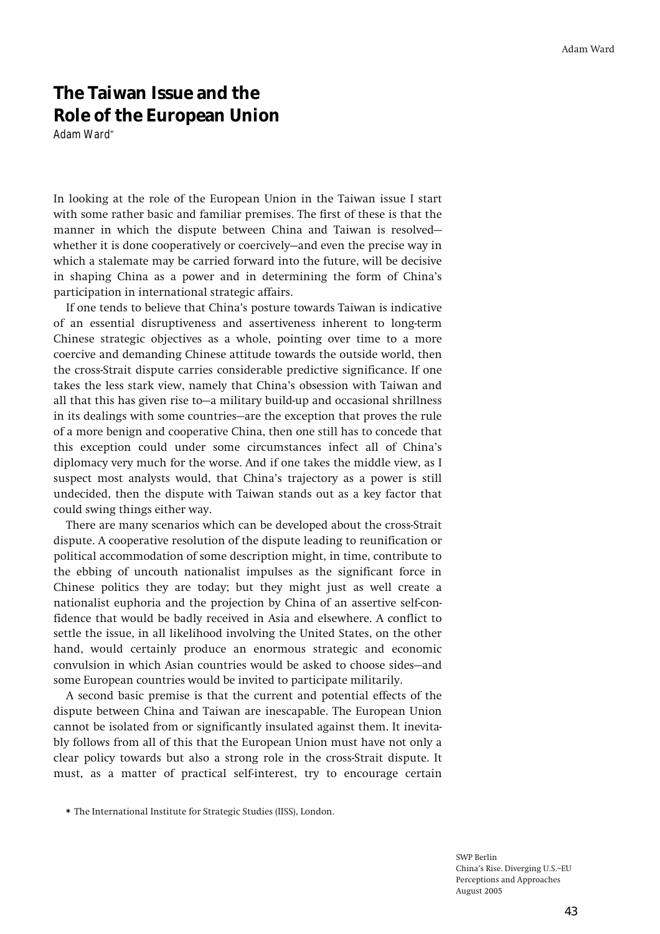# **The Taiwan Issue and the Role of the European Union**

*Adam Ward***\***

**In looking at the role of the European Union in the Taiwan issue I start with some rather basic and familiar premises. The first of these is that the**  manner in which the dispute between China and Taiwan is resolved– whether it is done cooperatively or coercively–and even the precise way in **which a stalemate may be carried forward into the future, will be decisive in shaping China as a power and in determining the form of Chinaís participation in international strategic affairs.** 

**If one tends to believe that Chinaís posture towards Taiwan is indicative of an essential disruptiveness and assertiveness inherent to long-term Chinese strategic objectives as a whole, pointing over time to a more coercive and demanding Chinese attitude towards the outside world, then the cross-Strait dispute carries considerable predictive significance. If one takes the less stark view, namely that Chinaís obsession with Taiwan and**  all that this has given rise to-a military build-up and occasional shrillness in its dealings with some countries—are the exception that proves the rule **of a more benign and cooperative China, then one still has to concede that this exception could under some circumstances infect all of Chinaís diplomacy very much for the worse. And if one takes the middle view, as I**  suspect most analysts would, that China's trajectory as a power is still **undecided, then the dispute with Taiwan stands out as a key factor that could swing things either way.** 

**There are many scenarios which can be developed about the cross-Strait dispute. A cooperative resolution of the dispute leading to reunification or political accommodation of some description might, in time, contribute to the ebbing of uncouth nationalist impulses as the significant force in Chinese politics they are today; but they might just as well create a nationalist euphoria and the projection by China of an assertive self-confidence that would be badly received in Asia and elsewhere. A conflict to settle the issue, in all likelihood involving the United States, on the other hand, would certainly produce an enormous strategic and economic**  convulsion in which Asian countries would be asked to choose sides-and **some European countries would be invited to participate militarily.** 

**A second basic premise is that the current and potential effects of the dispute between China and Taiwan are inescapable. The European Union cannot be isolated from or significantly insulated against them. It inevitably follows from all of this that the European Union must have not only a clear policy towards but also a strong role in the cross-Strait dispute. It must, as a matter of practical self-interest, try to encourage certain** 

**<sup>\*</sup> The International Institute for Strategic Studies (IISS), London.**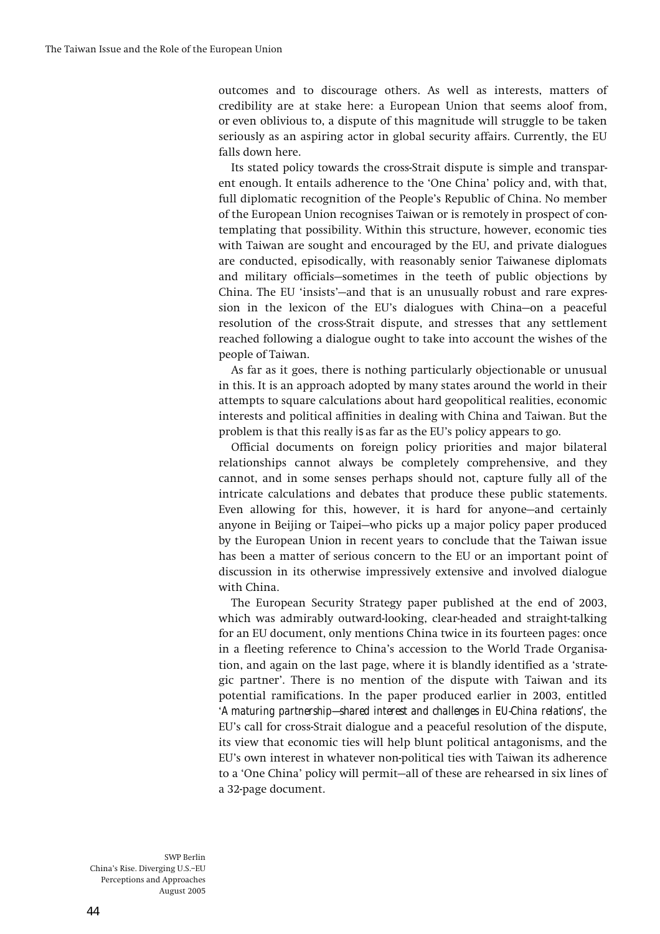**outcomes and to discourage others. As well as interests, matters of credibility are at stake here: a European Union that seems aloof from, or even oblivious to, a dispute of this magnitude will struggle to be taken seriously as an aspiring actor in global security affairs. Currently, the EU falls down here.** 

**Its stated policy towards the cross-Strait dispute is simple and transpar**ent enough. It entails adherence to the 'One China' policy and, with that, **full diplomatic recognition of the Peopleís Republic of China. No member of the European Union recognises Taiwan or is remotely in prospect of contemplating that possibility. Within this structure, however, economic ties with Taiwan are sought and encouraged by the EU, and private dialogues are conducted, episodically, with reasonably senior Taiwanese diplomats**  and military officials–sometimes in the teeth of public objections by China. The EU 'insists'—and that is an unusually robust and rare expression in the lexicon of the EU's dialogues with China-on a peaceful **resolution of the cross-Strait dispute, and stresses that any settlement reached following a dialogue ought to take into account the wishes of the people of Taiwan.** 

**As far as it goes, there is nothing particularly objectionable or unusual in this. It is an approach adopted by many states around the world in their attempts to square calculations about hard geopolitical realities, economic interests and political affinities in dealing with China and Taiwan. But the problem is that this really** *is* **as far as the EUís policy appears to go.** 

**Official documents on foreign policy priorities and major bilateral relationships cannot always be completely comprehensive, and they cannot, and in some senses perhaps should not, capture fully all of the intricate calculations and debates that produce these public statements.**  Even allowing for this, however, it is hard for anyone–and certainly anyone in Beijing or Taipei–who picks up a major policy paper produced **by the European Union in recent years to conclude that the Taiwan issue has been a matter of serious concern to the EU or an important point of discussion in its otherwise impressively extensive and involved dialogue with China.** 

**The European Security Strategy paper published at the end of 2003, which was admirably outward-looking, clear-headed and straight-talking for an EU document, only mentions China twice in its fourteen pages: once in a fleeting reference to Chinaís accession to the World Trade Organisation, and again on the last page, where it is blandly identified as a ëstrategic partnerí. There is no mention of the dispute with Taiwan and its potential ramifications. In the paper produced earlier in 2003, entitled ë***A maturing partnership—shared interest and challenges in EU-China relations'***, the EUís call for cross-Strait dialogue and a peaceful resolution of the dispute, its view that economic ties will help blunt political antagonisms, and the EUís own interest in whatever non-political ties with Taiwan its adherence**  to a 'One China' policy will permit—all of these are rehearsed in six lines of **a 32-page document.**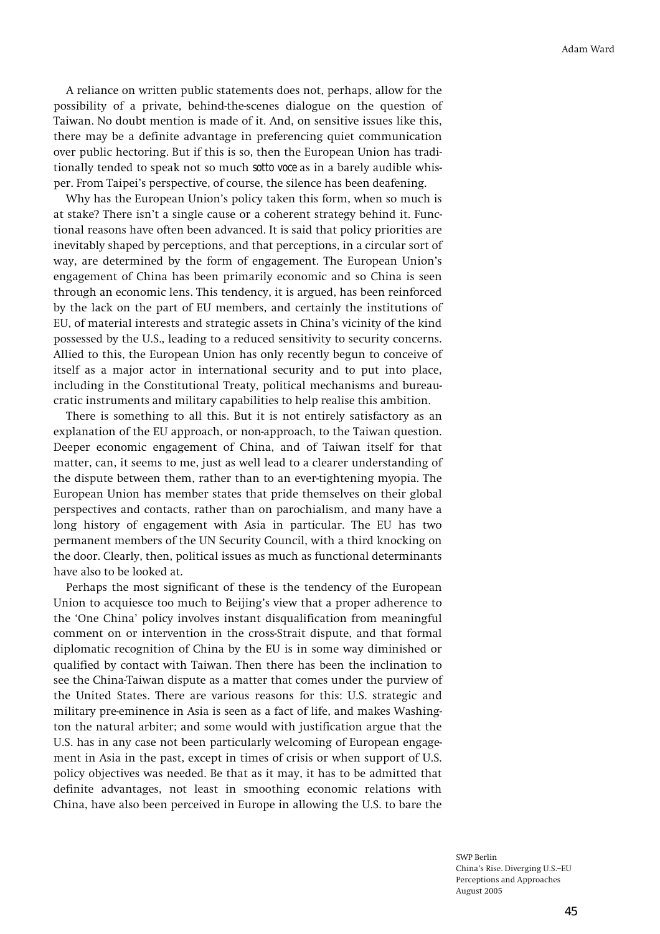**A reliance on written public statements does not, perhaps, allow for the possibility of a private, behind-the-scenes dialogue on the question of Taiwan. No doubt mention is made of it. And, on sensitive issues like this, there may be a definite advantage in preferencing quiet communication over public hectoring. But if this is so, then the European Union has traditionally tended to speak not so much** *sotto voce* **as in a barely audible whisper. From Taipeiís perspective, of course, the silence has been deafening.** 

Why has the European Union's policy taken this form, when so much is at stake? There isn't a single cause or a coherent strategy behind it. Func**tional reasons have often been advanced. It is said that policy priorities are inevitably shaped by perceptions, and that perceptions, in a circular sort of way, are determined by the form of engagement. The European Unionís engagement of China has been primarily economic and so China is seen through an economic lens. This tendency, it is argued, has been reinforced by the lack on the part of EU members, and certainly the institutions of EU, of material interests and strategic assets in Chinaís vicinity of the kind possessed by the U.S., leading to a reduced sensitivity to security concerns. Allied to this, the European Union has only recently begun to conceive of itself as a major actor in international security and to put into place, including in the Constitutional Treaty, political mechanisms and bureaucratic instruments and military capabilities to help realise this ambition.** 

**There is something to all this. But it is not entirely satisfactory as an explanation of the EU approach, or non-approach, to the Taiwan question. Deeper economic engagement of China, and of Taiwan itself for that matter, can, it seems to me, just as well lead to a clearer understanding of the dispute between them, rather than to an ever-tightening myopia. The European Union has member states that pride themselves on their global perspectives and contacts, rather than on parochialism, and many have a long history of engagement with Asia in particular. The EU has two permanent members of the UN Security Council, with a third knocking on the door. Clearly, then, political issues as much as functional determinants have also to be looked at.** 

**Perhaps the most significant of these is the tendency of the European**  Union to acquiesce too much to Beijing's view that a proper adherence to **the ëOne Chinaí policy involves instant disqualification from meaningful comment on or intervention in the cross-Strait dispute, and that formal diplomatic recognition of China by the EU is in some way diminished or qualified by contact with Taiwan. Then there has been the inclination to see the China-Taiwan dispute as a matter that comes under the purview of the United States. There are various reasons for this: U.S. strategic and military pre-eminence in Asia is seen as a fact of life, and makes Washington the natural arbiter; and some would with justification argue that the U.S. has in any case not been particularly welcoming of European engagement in Asia in the past, except in times of crisis or when support of U.S. policy objectives was needed. Be that as it may, it has to be admitted that definite advantages, not least in smoothing economic relations with China, have also been perceived in Europe in allowing the U.S. to bare the**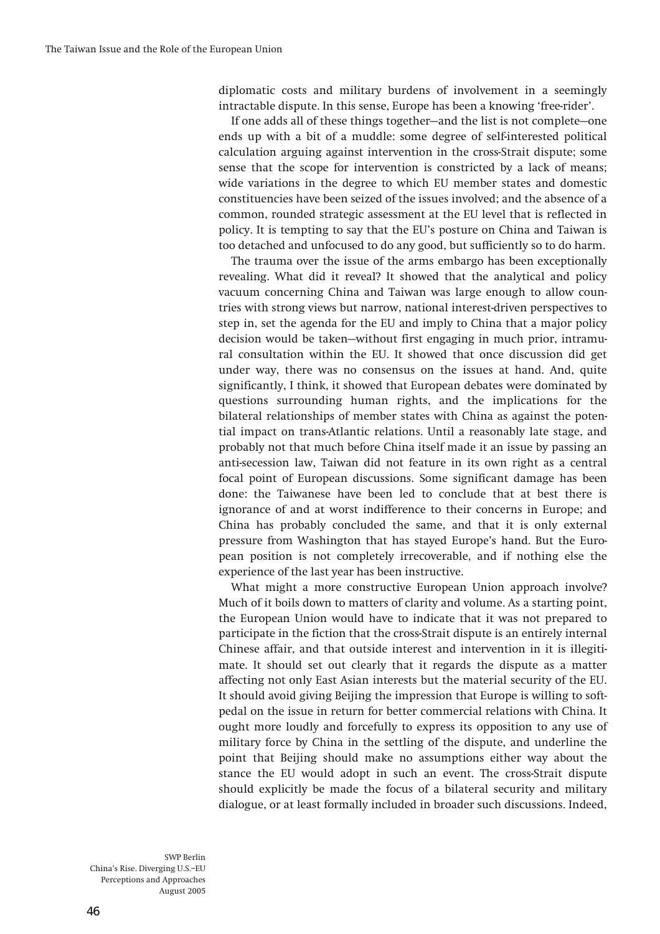**diplomatic costs and military burdens of involvement in a seemingly intractable dispute. In this sense, Europe has been a knowing ëfree-riderí.** 

If one adds all of these things together—and the list is not complete—one **ends up with a bit of a muddle: some degree of self-interested political calculation arguing against intervention in the cross-Strait dispute; some sense that the scope for intervention is constricted by a lack of means; wide variations in the degree to which EU member states and domestic constituencies have been seized of the issues involved; and the absence of a common, rounded strategic assessment at the EU level that is reflected in policy. It is tempting to say that the EUís posture on China and Taiwan is too detached and unfocused to do any good, but sufficiently so to do harm.** 

**The trauma over the issue of the arms embargo has been exceptionally revealing. What did it reveal? It showed that the analytical and policy vacuum concerning China and Taiwan was large enough to allow countries with strong views but narrow, national interest-driven perspectives to step in, set the agenda for the EU and imply to China that a major policy**  decision would be taken–without first engaging in much prior, intramu**ral consultation within the EU. It showed that once discussion did get under way, there was no consensus on the issues at hand. And, quite significantly, I think, it showed that European debates were dominated by questions surrounding human rights, and the implications for the bilateral relationships of member states with China as against the potential impact on trans-Atlantic relations. Until a reasonably late stage, and probably not that much before China itself made it an issue by passing an anti-secession law, Taiwan did not feature in its own right as a central focal point of European discussions. Some significant damage has been done: the Taiwanese have been led to conclude that at best there is ignorance of and at worst indifference to their concerns in Europe; and China has probably concluded the same, and that it is only external pressure from Washington that has stayed Europeís hand. But the European position is not completely irrecoverable, and if nothing else the experience of the last year has been instructive.** 

**What might a more constructive European Union approach involve? Much of it boils down to matters of clarity and volume. As a starting point, the European Union would have to indicate that it was not prepared to participate in the fiction that the cross-Strait dispute is an entirely internal Chinese affair, and that outside interest and intervention in it is illegitimate. It should set out clearly that it regards the dispute as a matter affecting not only East Asian interests but the material security of the EU. It should avoid giving Beijing the impression that Europe is willing to softpedal on the issue in return for better commercial relations with China. It ought more loudly and forcefully to express its opposition to any use of military force by China in the settling of the dispute, and underline the point that Beijing should make no assumptions either way about the stance the EU would adopt in such an event. The cross-Strait dispute should explicitly be made the focus of a bilateral security and military dialogue, or at least formally included in broader such discussions. Indeed,**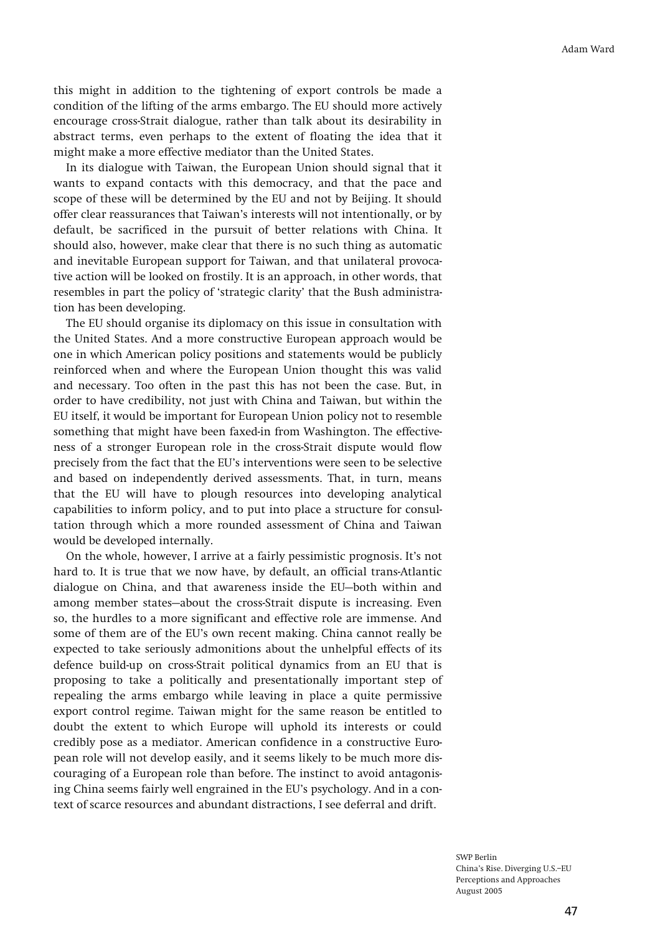**this might in addition to the tightening of export controls be made a condition of the lifting of the arms embargo. The EU should more actively encourage cross-Strait dialogue, rather than talk about its desirability in abstract terms, even perhaps to the extent of floating the idea that it might make a more effective mediator than the United States.** 

**In its dialogue with Taiwan, the European Union should signal that it wants to expand contacts with this democracy, and that the pace and scope of these will be determined by the EU and not by Beijing. It should offer clear reassurances that Taiwanís interests will not intentionally, or by default, be sacrificed in the pursuit of better relations with China. It should also, however, make clear that there is no such thing as automatic and inevitable European support for Taiwan, and that unilateral provocative action will be looked on frostily. It is an approach, in other words, that**  resembles in part the policy of 'strategic clarity' that the Bush administra**tion has been developing.** 

**The EU should organise its diplomacy on this issue in consultation with the United States. And a more constructive European approach would be one in which American policy positions and statements would be publicly reinforced when and where the European Union thought this was valid and necessary. Too often in the past this has not been the case. But, in order to have credibility, not just with China and Taiwan, but within the EU itself, it would be important for European Union policy not to resemble something that might have been faxed-in from Washington. The effectiveness of a stronger European role in the cross-Strait dispute would flow precisely from the fact that the EUís interventions were seen to be selective and based on independently derived assessments. That, in turn, means that the EU will have to plough resources into developing analytical capabilities to inform policy, and to put into place a structure for consultation through which a more rounded assessment of China and Taiwan would be developed internally.** 

On the whole, however, I arrive at a fairly pessimistic prognosis. It's not **hard to. It is true that we now have, by default, an official trans-Atlantic**  dialogue on China, and that awareness inside the EU-both within and among member states-about the cross-Strait dispute is increasing. Even **so, the hurdles to a more significant and effective role are immense. And some of them are of the EUís own recent making. China cannot really be expected to take seriously admonitions about the unhelpful effects of its defence build-up on cross-Strait political dynamics from an EU that is proposing to take a politically and presentationally important step of repealing the arms embargo while leaving in place a quite permissive export control regime. Taiwan might for the same reason be entitled to doubt the extent to which Europe will uphold its interests or could credibly pose as a mediator. American confidence in a constructive European role will not develop easily, and it seems likely to be much more discouraging of a European role than before. The instinct to avoid antagonis**ing China seems fairly well engrained in the EU's psychology. And in a con**text of scarce resources and abundant distractions, I see deferral and drift.**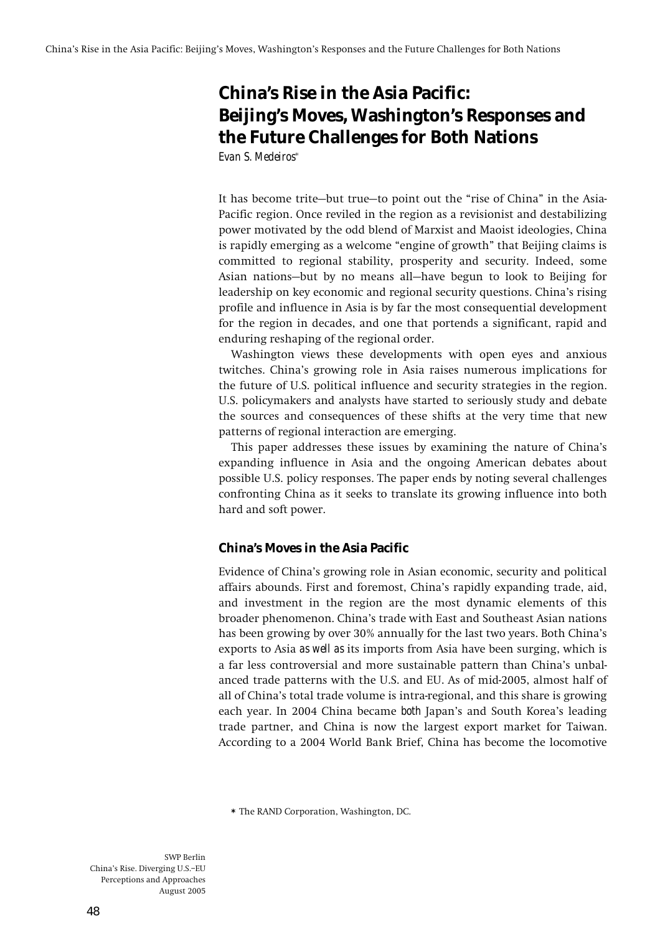# **China's Rise in the Asia Pacific: Beijing's Moves, Washington's Responses and the Future Challenges for Both Nations**  *Evan S. Medeiros***\***

It has become trite-but true-to point out the "rise of China" in the Asia-**Pacific region. Once reviled in the region as a revisionist and destabilizing power motivated by the odd blend of Marxist and Maoist ideologies, China**  is rapidly emerging as a welcome "engine of growth" that Beijing claims is **committed to regional stability, prosperity and security. Indeed, some**  Asian nations-but by no means all-have begun to look to Beijing for **leadership on key economic and regional security questions. Chinaís rising profile and influence in Asia is by far the most consequential development for the region in decades, and one that portends a significant, rapid and enduring reshaping of the regional order.** 

**Washington views these developments with open eyes and anxious twitches. Chinaís growing role in Asia raises numerous implications for the future of U.S. political influence and security strategies in the region. U.S. policymakers and analysts have started to seriously study and debate the sources and consequences of these shifts at the very time that new patterns of regional interaction are emerging.** 

**This paper addresses these issues by examining the nature of Chinaís expanding influence in Asia and the ongoing American debates about possible U.S. policy responses. The paper ends by noting several challenges confronting China as it seeks to translate its growing influence into both hard and soft power.** 

# **China's Moves in the Asia Pacific**

**Evidence of Chinaís growing role in Asian economic, security and political affairs abounds. First and foremost, Chinaís rapidly expanding trade, aid, and investment in the region are the most dynamic elements of this broader phenomenon. Chinaís trade with East and Southeast Asian nations has been growing by over 30% annually for the last two years. Both Chinaís exports to Asia** *as well as* **its imports from Asia have been surging, which is a far less controversial and more sustainable pattern than Chinaís unbalanced trade patterns with the U.S. and EU. As of mid-2005, almost half of all of Chinaís total trade volume is intra-regional, and this share is growing each year. In 2004 China became** *both* **Japanís and South Koreaís leading trade partner, and China is now the largest export market for Taiwan. According to a 2004 World Bank Brief, China has become the locomotive** 

**\* The RAND Corporation, Washington, DC.**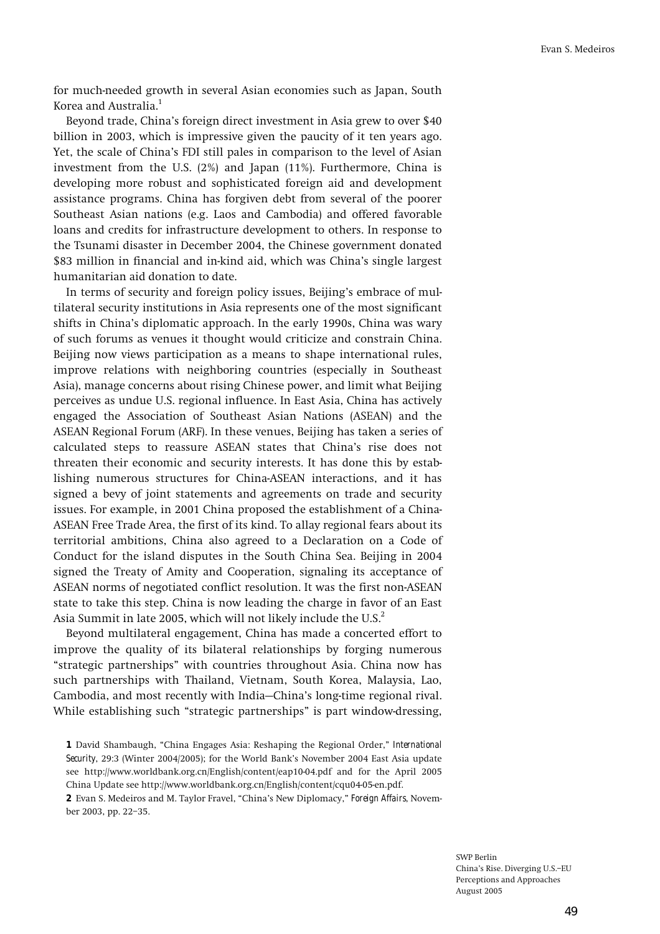**for much-needed growth in several Asian economies such as Japan, South Korea and Australia.<sup>1</sup>**

**Beyond trade, Chinaís foreign direct investment in Asia grew to over \$40 billion in 2003, which is impressive given the paucity of it ten years ago. Yet, the scale of Chinaís FDI still pales in comparison to the level of Asian investment from the U.S. (2%) and Japan (11%). Furthermore, China is developing more robust and sophisticated foreign aid and development assistance programs. China has forgiven debt from several of the poorer Southeast Asian nations (e.g. Laos and Cambodia) and offered favorable loans and credits for infrastructure development to others. In response to the Tsunami disaster in December 2004, the Chinese government donated \$83 million in financial and in-kind aid, which was Chinaís single largest humanitarian aid donation to date.** 

In terms of security and foreign policy issues, Beijing's embrace of mul**tilateral security institutions in Asia represents one of the most significant shifts in Chinaís diplomatic approach. In the early 1990s, China was wary of such forums as venues it thought would criticize and constrain China. Beijing now views participation as a means to shape international rules, improve relations with neighboring countries (especially in Southeast Asia), manage concerns about rising Chinese power, and limit what Beijing perceives as undue U.S. regional influence. In East Asia, China has actively engaged the Association of Southeast Asian Nations (ASEAN) and the ASEAN Regional Forum (ARF). In these venues, Beijing has taken a series of calculated steps to reassure ASEAN states that Chinaís rise does not threaten their economic and security interests. It has done this by establishing numerous structures for China-ASEAN interactions, and it has signed a bevy of joint statements and agreements on trade and security issues. For example, in 2001 China proposed the establishment of a China-ASEAN Free Trade Area, the first of its kind. To allay regional fears about its territorial ambitions, China also agreed to a Declaration on a Code of Conduct for the island disputes in the South China Sea. Beijing in 2004 signed the Treaty of Amity and Cooperation, signaling its acceptance of ASEAN norms of negotiated conflict resolution. It was the first non-ASEAN state to take this step. China is now leading the charge in favor of an East Asia Summit in late 2005, which will not likely include the U.S.2**

**Beyond multilateral engagement, China has made a concerted effort to improve the quality of its bilateral relationships by forging numerous ìstrategic partnershipsî with countries throughout Asia. China now has such partnerships with Thailand, Vietnam, South Korea, Malaysia, Lao,**  Cambodia, and most recently with India–China's long-time regional rival. While establishing such "strategic partnerships" is part window-dressing,

2 Evan S. Medeiros and M. Taylor Fravel, "China's New Diplomacy," **Foreign Affairs**, November 2003, pp. 22-35.

**<sup>1</sup>** David Shambaugh, "China Engages Asia: Reshaping the Regional Order," **International Security**, 29:3 (Winter 2004/2005); for the World Bank's November 2004 East Asia update **see http://www.worldbank.org.cn/English/content/eap10-04.pdf and for the April 2005 China Update see http://www.worldbank.org.cn/English/content/cqu04-05-en.pdf.**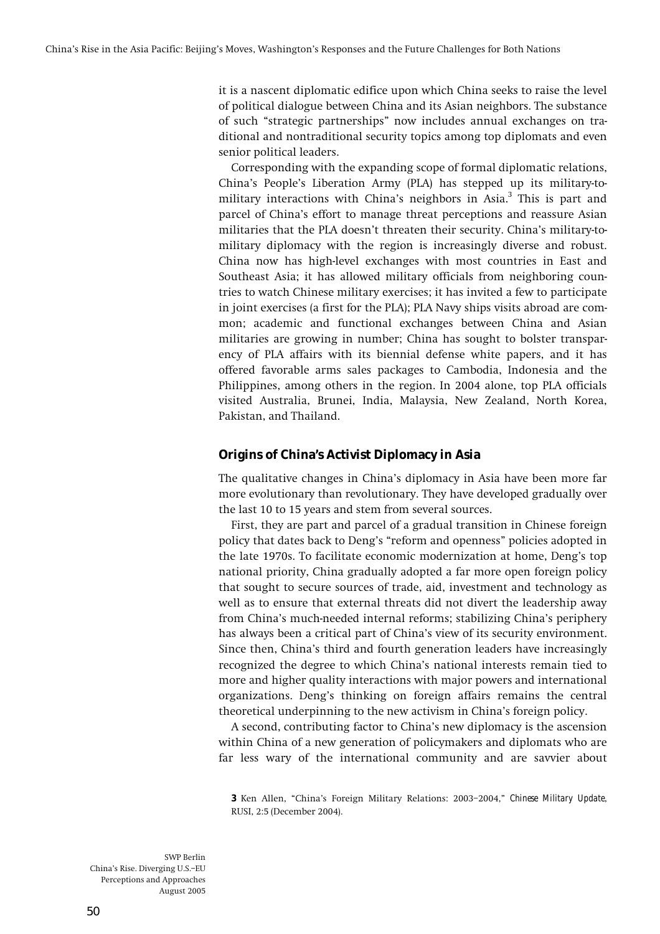**it is a nascent diplomatic edifice upon which China seeks to raise the level of political dialogue between China and its Asian neighbors. The substance of such ìstrategic partnershipsî now includes annual exchanges on traditional and nontraditional security topics among top diplomats and even senior political leaders.** 

**Corresponding with the expanding scope of formal diplomatic relations,**  China's People's Liberation Army (PLA) has stepped up its military-to**military interactions with Chinaís neighbors in Asia.3 This is part and parcel of Chinaís effort to manage threat perceptions and reassure Asian militaries that the PLA doesnít threaten their security. Chinaís military-tomilitary diplomacy with the region is increasingly diverse and robust. China now has high-level exchanges with most countries in East and Southeast Asia; it has allowed military officials from neighboring countries to watch Chinese military exercises; it has invited a few to participate in joint exercises (a first for the PLA); PLA Navy ships visits abroad are common; academic and functional exchanges between China and Asian militaries are growing in number; China has sought to bolster transparency of PLA affairs with its biennial defense white papers, and it has offered favorable arms sales packages to Cambodia, Indonesia and the Philippines, among others in the region. In 2004 alone, top PLA officials visited Australia, Brunei, India, Malaysia, New Zealand, North Korea, Pakistan, and Thailand.** 

# **Origins of China's Activist Diplomacy in Asia**

**The qualitative changes in Chinaís diplomacy in Asia have been more far more evolutionary than revolutionary. They have developed gradually over the last 10 to 15 years and stem from several sources.** 

**First, they are part and parcel of a gradual transition in Chinese foreign**  policy that dates back to Deng's "reform and openness" policies adopted in **the late 1970s. To facilitate economic modernization at home, Dengís top national priority, China gradually adopted a far more open foreign policy that sought to secure sources of trade, aid, investment and technology as well as to ensure that external threats did not divert the leadership away from Chinaís much-needed internal reforms; stabilizing Chinaís periphery has always been a critical part of Chinaís view of its security environment. Since then, Chinaís third and fourth generation leaders have increasingly recognized the degree to which Chinaís national interests remain tied to more and higher quality interactions with major powers and international organizations. Dengís thinking on foreign affairs remains the central theoretical underpinning to the new activism in Chinaís foreign policy.** 

**A second, contributing factor to Chinaís new diplomacy is the ascension within China of a new generation of policymakers and diplomats who are far less wary of the international community and are savvier about** 

**<sup>3</sup>** Ken Allen, "China's Foreign Military Relations: 2003-2004," *Chinese Military Update*, **RUSI, 2:5 (December 2004).**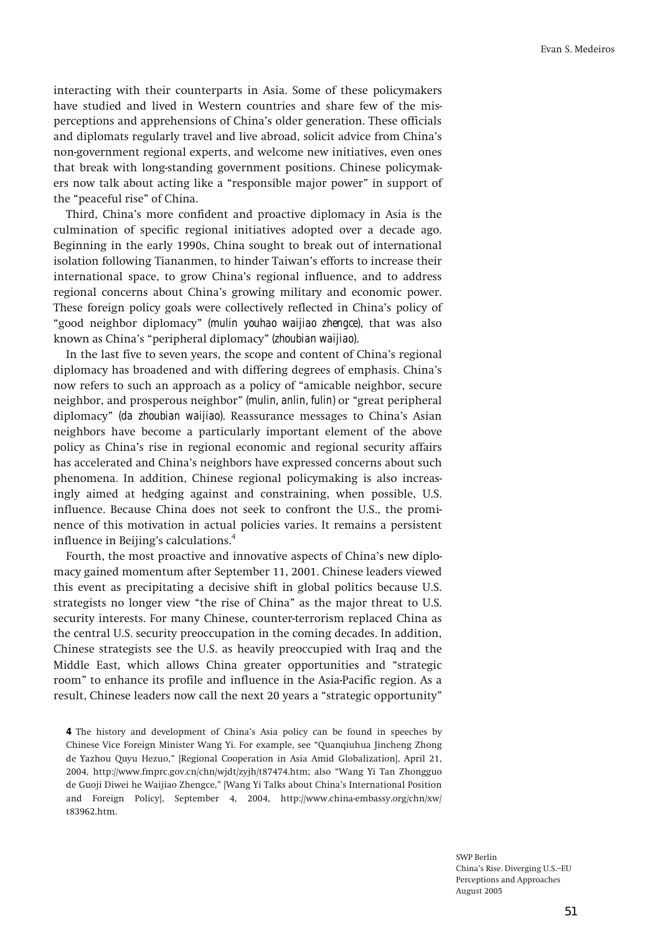**interacting with their counterparts in Asia. Some of these policymakers have studied and lived in Western countries and share few of the misperceptions and apprehensions of Chinaís older generation. These officials and diplomats regularly travel and live abroad, solicit advice from Chinaís non-government regional experts, and welcome new initiatives, even ones that break with long-standing government positions. Chinese policymak**ers now talk about acting like a "responsible major power" in support of the "peaceful rise" of China.

**Third, Chinaís more confident and proactive diplomacy in Asia is the culmination of specific regional initiatives adopted over a decade ago. Beginning in the early 1990s, China sought to break out of international**  isolation following Tiananmen, to hinder Taiwan's efforts to increase their **international space, to grow Chinaís regional influence, and to address regional concerns about Chinaís growing military and economic power. These foreign policy goals were collectively reflected in Chinaís policy of ìgood neighbor diplomacyî** *(mulin youhao waijiao zhengce)***, that was also**  known as China's "peripheral diplomacy" *(zhoubian waijiao)*.

In the last five to seven years, the scope and content of China's regional **diplomacy has broadened and with differing degrees of emphasis. Chinaís**  now refers to such an approach as a policy of "amicable neighbor, secure **neighbor, and prosperous neighbor**" *(mulin, anlin, fulin)* or "great peripheral **diplomacyî** *(da zhoubian waijiao)***. Reassurance messages to Chinaís Asian neighbors have become a particularly important element of the above policy as Chinaís rise in regional economic and regional security affairs has accelerated and Chinaís neighbors have expressed concerns about such phenomena. In addition, Chinese regional policymaking is also increasingly aimed at hedging against and constraining, when possible, U.S. influence. Because China does not seek to confront the U.S., the prominence of this motivation in actual policies varies. It remains a persistent**  influence in Beijing's calculations.<sup>4</sup>

Fourth, the most proactive and innovative aspects of China's new diplo**macy gained momentum after September 11, 2001. Chinese leaders viewed this event as precipitating a decisive shift in global politics because U.S.**  strategists no longer view "the rise of China" as the major threat to U.S. **security interests. For many Chinese, counter-terrorism replaced China as the central U.S. security preoccupation in the coming decades. In addition, Chinese strategists see the U.S. as heavily preoccupied with Iraq and the**  Middle East, which allows China greater opportunities and "strategic **roomî to enhance its profile and influence in the Asia-Pacific region. As a**  result, Chinese leaders now call the next 20 years a "strategic opportunity"

**4 The history and development of Chinaís Asia policy can be found in speeches by**  Chinese Vice Foreign Minister Wang Yi. For example, see "Quanqiuhua Jincheng Zhong **de Yazhou Quyu Hezuo,î [Regional Cooperation in Asia Amid Globalization], April 21, 2004, http://www.fmprc.gov.cn/chn/wjdt/zyjh/t87474.htm; also ìWang Yi Tan Zhongguo de Guoji Diwei he Waijiao Zhengce,î [Wang Yi Talks about Chinaís International Position and Foreign Policy], September 4, 2004, http://www.china-embassy.org/chn/xw/ t83962.htm.**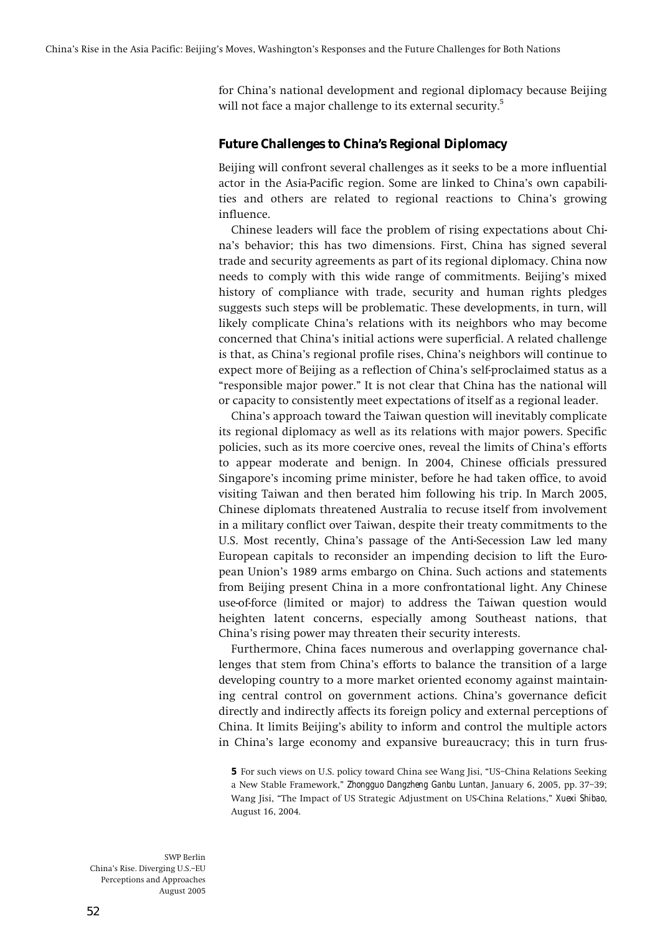**for Chinaís national development and regional diplomacy because Beijing will not face a major challenge to its external security.5**

### **Future Challenges to China's Regional Diplomacy**

**Beijing will confront several challenges as it seeks to be a more influential actor in the Asia-Pacific region. Some are linked to Chinaís own capabilities and others are related to regional reactions to Chinaís growing influence.** 

**Chinese leaders will face the problem of rising expectations about Chinaís behavior; this has two dimensions. First, China has signed several trade and security agreements as part of its regional diplomacy. China now needs to comply with this wide range of commitments. Beijingís mixed history of compliance with trade, security and human rights pledges suggests such steps will be problematic. These developments, in turn, will likely complicate Chinaís relations with its neighbors who may become concerned that Chinaís initial actions were superficial. A related challenge is that, as Chinaís regional profile rises, Chinaís neighbors will continue to expect more of Beijing as a reflection of Chinaís self-proclaimed status as a ìresponsible major power.î It is not clear that China has the national will or capacity to consistently meet expectations of itself as a regional leader.** 

**Chinaís approach toward the Taiwan question will inevitably complicate its regional diplomacy as well as its relations with major powers. Specific policies, such as its more coercive ones, reveal the limits of Chinaís efforts to appear moderate and benign. In 2004, Chinese officials pressured**  Singapore's incoming prime minister, before he had taken office, to avoid **visiting Taiwan and then berated him following his trip. In March 2005, Chinese diplomats threatened Australia to recuse itself from involvement in a military conflict over Taiwan, despite their treaty commitments to the U.S. Most recently, Chinaís passage of the Anti-Secession Law led many European capitals to reconsider an impending decision to lift the European Unionís 1989 arms embargo on China. Such actions and statements from Beijing present China in a more confrontational light. Any Chinese use-of-force (limited or major) to address the Taiwan question would heighten latent concerns, especially among Southeast nations, that Chinaís rising power may threaten their security interests.** 

**Furthermore, China faces numerous and overlapping governance challenges that stem from Chinaís efforts to balance the transition of a large developing country to a more market oriented economy against maintaining central control on government actions. Chinaís governance deficit directly and indirectly affects its foreign policy and external perceptions of China. It limits Beijingís ability to inform and control the multiple actors in Chinaís large economy and expansive bureaucracy; this in turn frus-**

**5** For such views on U.S. policy toward China see Wang Jisi, "US-China Relations Seeking a New Stable Framework," *Zhongguo Dangzheng Ganbu Luntan*, January 6, 2005, pp. 37-39; Wang Jisi, "The Impact of US Strategic Adjustment on US-China Relations," *Xuexi Shibao*, **August 16, 2004.**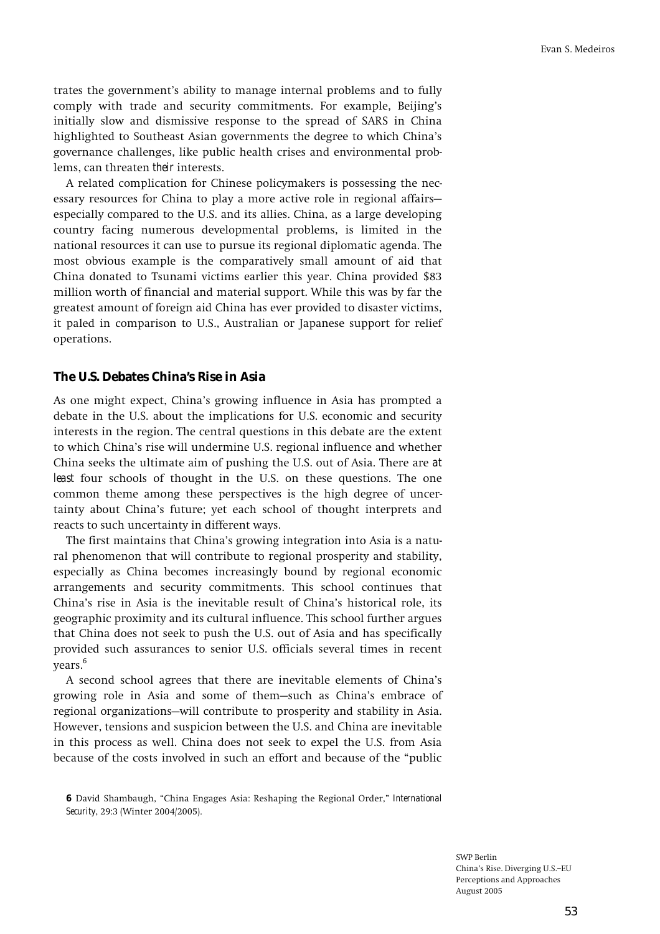trates the government's ability to manage internal problems and to fully comply with trade and security commitments. For example, Beijing's **initially slow and dismissive response to the spread of SARS in China highlighted to Southeast Asian governments the degree to which Chinaís governance challenges, like public health crises and environmental problems, can threaten** *their* **interests.** 

**A related complication for Chinese policymakers is possessing the nec**essary resources for China to play a more active role in regional affairs– **especially compared to the U.S. and its allies. China, as a large developing country facing numerous developmental problems, is limited in the national resources it can use to pursue its regional diplomatic agenda. The most obvious example is the comparatively small amount of aid that China donated to Tsunami victims earlier this year. China provided \$83 million worth of financial and material support. While this was by far the greatest amount of foreign aid China has ever provided to disaster victims, it paled in comparison to U.S., Australian or Japanese support for relief operations.** 

### **The U.S. Debates China's Rise in Asia**

**As one might expect, Chinaís growing influence in Asia has prompted a debate in the U.S. about the implications for U.S. economic and security interests in the region. The central questions in this debate are the extent to which Chinaís rise will undermine U.S. regional influence and whether China seeks the ultimate aim of pushing the U.S. out of Asia. There are** *at least* **four schools of thought in the U.S. on these questions. The one common theme among these perspectives is the high degree of uncertainty about Chinaís future; yet each school of thought interprets and reacts to such uncertainty in different ways.** 

**The first maintains that Chinaís growing integration into Asia is a natural phenomenon that will contribute to regional prosperity and stability, especially as China becomes increasingly bound by regional economic arrangements and security commitments. This school continues that Chinaís rise in Asia is the inevitable result of Chinaís historical role, its geographic proximity and its cultural influence. This school further argues that China does not seek to push the U.S. out of Asia and has specifically provided such assurances to senior U.S. officials several times in recent years.6**

**A second school agrees that there are inevitable elements of Chinaís**  growing role in Asia and some of them–such as China's embrace of regional organizations–will contribute to prosperity and stability in Asia. **However, tensions and suspicion between the U.S. and China are inevitable in this process as well. China does not seek to expel the U.S. from Asia**  because of the costs involved in such an effort and because of the "public

**<sup>6</sup>** David Shambaugh, "China Engages Asia: Reshaping the Regional Order," *International Security***, 29:3 (Winter 2004/2005).**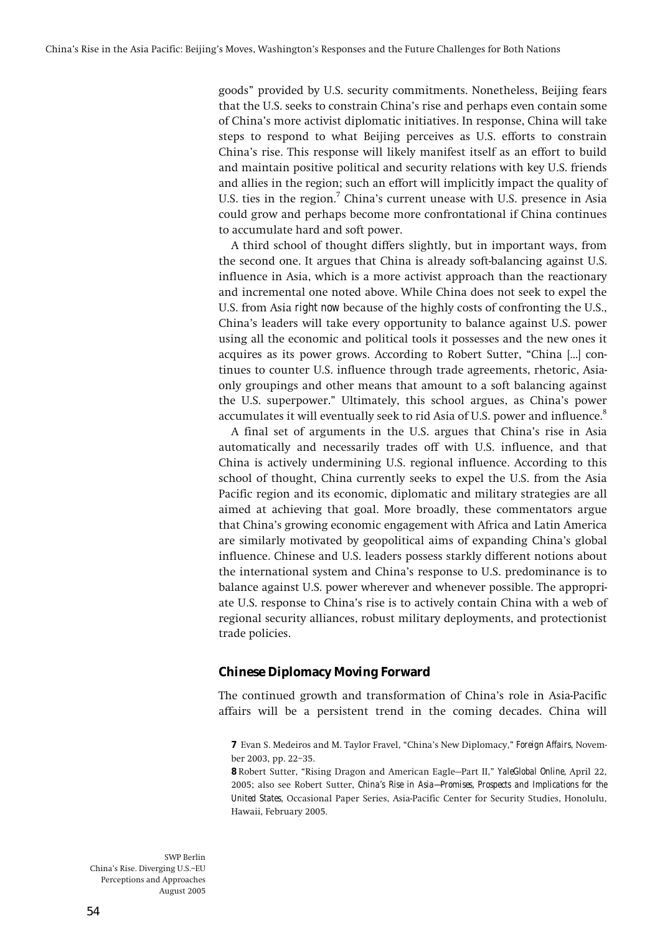**goodsî provided by U.S. security commitments. Nonetheless, Beijing fears that the U.S. seeks to constrain Chinaís rise and perhaps even contain some of Chinaís more activist diplomatic initiatives. In response, China will take steps to respond to what Beijing perceives as U.S. efforts to constrain Chinaís rise. This response will likely manifest itself as an effort to build and maintain positive political and security relations with key U.S. friends and allies in the region; such an effort will implicitly impact the quality of U.S. ties in the region.7 Chinaís current unease with U.S. presence in Asia could grow and perhaps become more confrontational if China continues to accumulate hard and soft power.** 

**A third school of thought differs slightly, but in important ways, from the second one. It argues that China is already soft-balancing against U.S. influence in Asia, which is a more activist approach than the reactionary and incremental one noted above. While China does not seek to expel the U.S. from Asia** *right now* **because of the highly costs of confronting the U.S., Chinaís leaders will take every opportunity to balance against U.S. power using all the economic and political tools it possesses and the new ones it**  acquires as its power grows. According to Robert Sutter, "China [...] con**tinues to counter U.S. influence through trade agreements, rhetoric, Asiaonly groupings and other means that amount to a soft balancing against the U.S. superpower.î Ultimately, this school argues, as Chinaís power accumulates it will eventually seek to rid Asia of U.S. power and influence.8**

**A final set of arguments in the U.S. argues that Chinaís rise in Asia automatically and necessarily trades off with U.S. influence, and that China is actively undermining U.S. regional influence. According to this school of thought, China currently seeks to expel the U.S. from the Asia Pacific region and its economic, diplomatic and military strategies are all aimed at achieving that goal. More broadly, these commentators argue that Chinaís growing economic engagement with Africa and Latin America are similarly motivated by geopolitical aims of expanding Chinaís global influence. Chinese and U.S. leaders possess starkly different notions about the international system and Chinaís response to U.S. predominance is to balance against U.S. power wherever and whenever possible. The appropriate U.S. response to Chinaís rise is to actively contain China with a web of regional security alliances, robust military deployments, and protectionist trade policies.** 

# **Chinese Diplomacy Moving Forward**

**The continued growth and transformation of Chinaís role in Asia-Pacific affairs will be a persistent trend in the coming decades. China will** 

**8** Robert Sutter, "Rising Dragon and American Eagle–Part II," *YaleGlobal Online*, April 22, **2005; also see Robert Sutter,** *China's Rise in Asia—Promises, Prospects and Implications for the United States***, Occasional Paper Series, Asia-Pacific Center for Security Studies, Honolulu, Hawaii, February 2005.** 

**<sup>7</sup>** Evan S. Medeiros and M. Taylor Fravel, "China's New Diplomacy," **Foreign Affairs**, November 2003, pp. 22-35.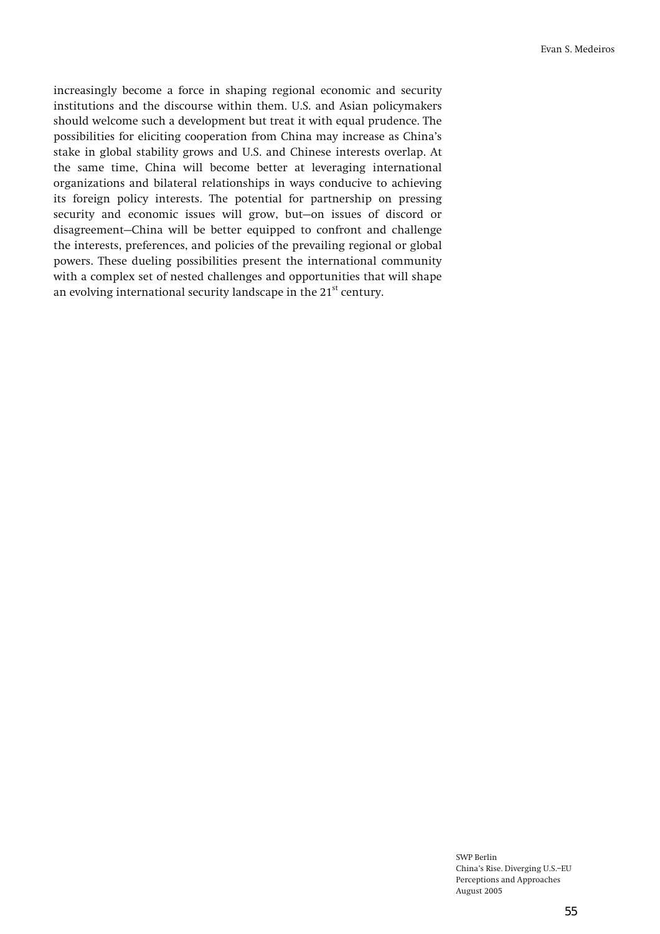**increasingly become a force in shaping regional economic and security institutions and the discourse within them. U.S. and Asian policymakers should welcome such a development but treat it with equal prudence. The possibilities for eliciting cooperation from China may increase as Chinaís stake in global stability grows and U.S. and Chinese interests overlap. At the same time, China will become better at leveraging international organizations and bilateral relationships in ways conducive to achieving its foreign policy interests. The potential for partnership on pressing**  security and economic issues will grow, but-on issues of discord or disagreement–China will be better equipped to confront and challenge **the interests, preferences, and policies of the prevailing regional or global powers. These dueling possibilities present the international community with a complex set of nested challenges and opportunities that will shape an evolving international security landscape in the 21st century.**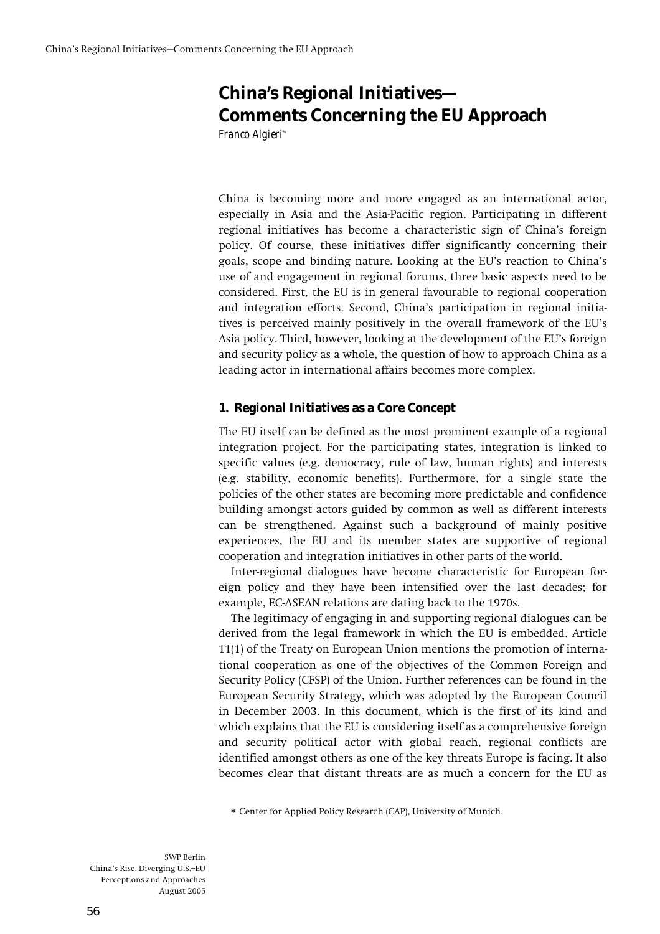# **China's Regional Initiatives— Comments Concerning the EU Approach**  *Franco Algieri***\***

**China is becoming more and more engaged as an international actor, especially in Asia and the Asia-Pacific region. Participating in different regional initiatives has become a characteristic sign of Chinaís foreign policy. Of course, these initiatives differ significantly concerning their goals, scope and binding nature. Looking at the EUís reaction to Chinaís use of and engagement in regional forums, three basic aspects need to be considered. First, the EU is in general favourable to regional cooperation and integration efforts. Second, Chinaís participation in regional initia**tives is perceived mainly positively in the overall framework of the EU's Asia policy. Third, however, looking at the development of the EU's foreign **and security policy as a whole, the question of how to approach China as a leading actor in international affairs becomes more complex.** 

# **1. Regional Initiatives as a Core Concept**

**The EU itself can be defined as the most prominent example of a regional integration project. For the participating states, integration is linked to specific values (e.g. democracy, rule of law, human rights) and interests (e.g. stability, economic benefits). Furthermore, for a single state the policies of the other states are becoming more predictable and confidence building amongst actors guided by common as well as different interests can be strengthened. Against such a background of mainly positive experiences, the EU and its member states are supportive of regional cooperation and integration initiatives in other parts of the world.** 

**Inter-regional dialogues have become characteristic for European foreign policy and they have been intensified over the last decades; for example, EC-ASEAN relations are dating back to the 1970s.** 

**The legitimacy of engaging in and supporting regional dialogues can be derived from the legal framework in which the EU is embedded. Article 11(1) of the Treaty on European Union mentions the promotion of international cooperation as one of the objectives of the Common Foreign and Security Policy (CFSP) of the Union. Further references can be found in the European Security Strategy, which was adopted by the European Council in December 2003. In this document, which is the first of its kind and which explains that the EU is considering itself as a comprehensive foreign and security political actor with global reach, regional conflicts are identified amongst others as one of the key threats Europe is facing. It also becomes clear that distant threats are as much a concern for the EU as** 

**\* Center for Applied Policy Research (CAP), University of Munich.**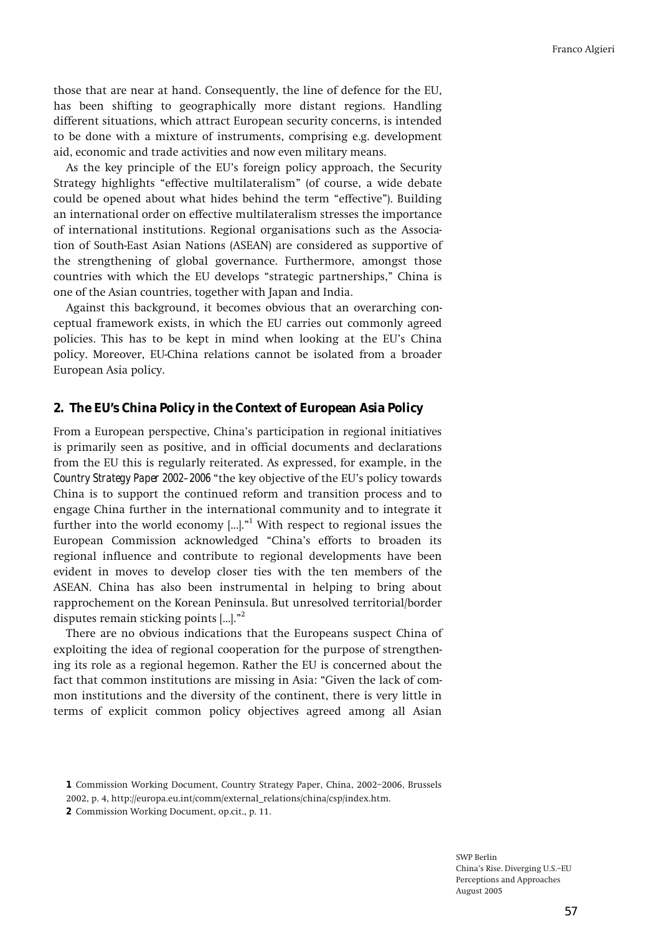**those that are near at hand. Consequently, the line of defence for the EU, has been shifting to geographically more distant regions. Handling different situations, which attract European security concerns, is intended to be done with a mixture of instruments, comprising e.g. development aid, economic and trade activities and now even military means.** 

**As the key principle of the EUís foreign policy approach, the Security**  Strategy highlights "effective multilateralism" (of course, a wide debate could be opened about what hides behind the term "effective"). Building **an international order on effective multilateralism stresses the importance of international institutions. Regional organisations such as the Association of South-East Asian Nations (ASEAN) are considered as supportive of the strengthening of global governance. Furthermore, amongst those**  countries with which the EU develops "strategic partnerships," China is **one of the Asian countries, together with Japan and India.** 

**Against this background, it becomes obvious that an overarching conceptual framework exists, in which the EU carries out commonly agreed policies. This has to be kept in mind when looking at the EUís China policy. Moreover, EU-China relations cannot be isolated from a broader European Asia policy.** 

### **2. The EU's China Policy in the Context of European Asia Policy**

**From a European perspective, Chinaís participation in regional initiatives is primarily seen as positive, and in official documents and declarations from the EU this is regularly reiterated. As expressed, for example, in the**  *Country Strategy Paper 2002–2006* **"the key objective of the EU's policy towards China is to support the continued reform and transition process and to engage China further in the international community and to integrate it**  further into the world economy [...]."<sup>1</sup> With respect to regional issues the European Commission acknowledged "China's efforts to broaden its **regional influence and contribute to regional developments have been evident in moves to develop closer ties with the ten members of the ASEAN. China has also been instrumental in helping to bring about rapprochement on the Korean Peninsula. But unresolved territorial/border**  disputes remain sticking points [...].<sup>n2</sup>

**There are no obvious indications that the Europeans suspect China of exploiting the idea of regional cooperation for the purpose of strengthening its role as a regional hegemon. Rather the EU is concerned about the**  fact that common institutions are missing in Asia: "Given the lack of com**mon institutions and the diversity of the continent, there is very little in terms of explicit common policy objectives agreed among all Asian** 

**<sup>1</sup>** Commission Working Document, Country Strategy Paper, China, 2002-2006, Brussels **2002, p. 4, http://europa.eu.int/comm/external\_relations/china/csp/index.htm.** 

**<sup>2</sup> Commission Working Document, op.cit., p. 11.**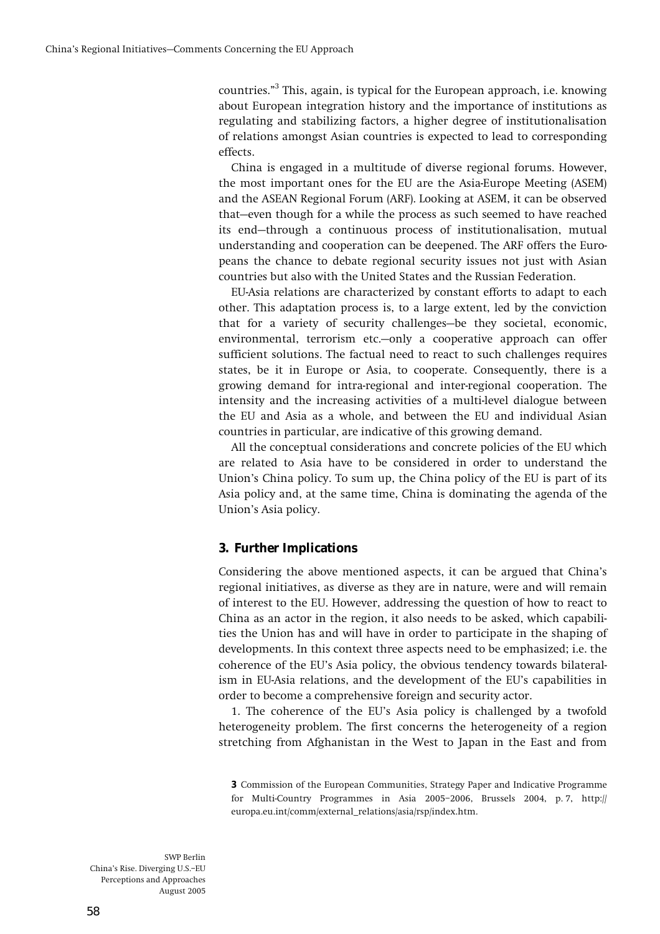**countries.î3 This, again, is typical for the European approach, i.e. knowing about European integration history and the importance of institutions as regulating and stabilizing factors, a higher degree of institutionalisation of relations amongst Asian countries is expected to lead to corresponding effects.** 

**China is engaged in a multitude of diverse regional forums. However, the most important ones for the EU are the Asia-Europe Meeting (ASEM) and the ASEAN Regional Forum (ARF). Looking at ASEM, it can be observed**  that–even though for a while the process as such seemed to have reached its end–through a continuous process of institutionalisation, mutual **understanding and cooperation can be deepened. The ARF offers the Europeans the chance to debate regional security issues not just with Asian countries but also with the United States and the Russian Federation.** 

**EU-Asia relations are characterized by constant efforts to adapt to each other. This adaptation process is, to a large extent, led by the conviction**  that for a variety of security challenges-be they societal, economic, environmental, terrorism etc.—only a cooperative approach can offer **sufficient solutions. The factual need to react to such challenges requires states, be it in Europe or Asia, to cooperate. Consequently, there is a growing demand for intra-regional and inter-regional cooperation. The intensity and the increasing activities of a multi-level dialogue between the EU and Asia as a whole, and between the EU and individual Asian countries in particular, are indicative of this growing demand.** 

**All the conceptual considerations and concrete policies of the EU which are related to Asia have to be considered in order to understand the**  Union's China policy. To sum up, the China policy of the EU is part of its **Asia policy and, at the same time, China is dominating the agenda of the**  Union's Asia policy.

# **3. Further Implications**

**Considering the above mentioned aspects, it can be argued that Chinaís regional initiatives, as diverse as they are in nature, were and will remain of interest to the EU. However, addressing the question of how to react to China as an actor in the region, it also needs to be asked, which capabilities the Union has and will have in order to participate in the shaping of developments. In this context three aspects need to be emphasized; i.e. the**  coherence of the EU's Asia policy, the obvious tendency towards bilateral**ism in EU-Asia relations, and the development of the EUís capabilities in order to become a comprehensive foreign and security actor.** 

**1. The coherence of the EUís Asia policy is challenged by a twofold heterogeneity problem. The first concerns the heterogeneity of a region stretching from Afghanistan in the West to Japan in the East and from** 

**<sup>3</sup> Commission of the European Communities, Strategy Paper and Indicative Programme**  for Multi-Country Programmes in Asia 2005-2006, Brussels 2004, p. 7, http:// **europa.eu.int/comm/external\_relations/asia/rsp/index.htm.**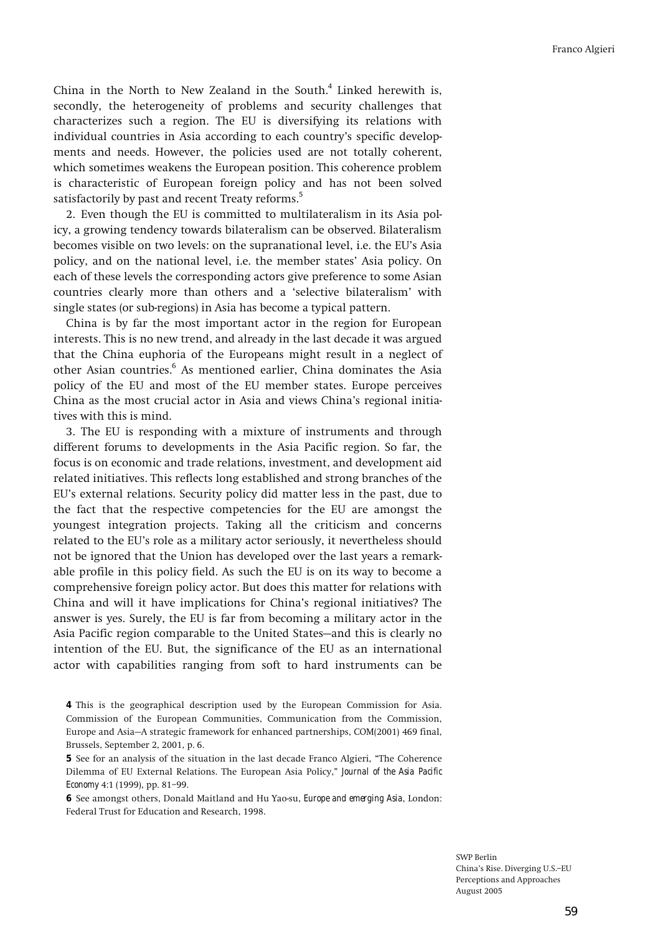**China in the North to New Zealand in the South.**<sup>4</sup>  **Linked herewith is, secondly, the heterogeneity of problems and security challenges that characterizes such a region. The EU is diversifying its relations with**  individual countries in Asia according to each country's specific develop**ments and needs. However, the policies used are not totally coherent, which sometimes weakens the European position. This coherence problem is characteristic of European foreign policy and has not been solved satisfactorily by past and recent Treaty reforms.5**

**2. Even though the EU is committed to multilateralism in its Asia policy, a growing tendency towards bilateralism can be observed. Bilateralism becomes visible on two levels: on the supranational level, i.e. the EUís Asia policy, and on the national level, i.e. the member statesí Asia policy. On each of these levels the corresponding actors give preference to some Asian countries clearly more than others and a ëselective bilateralismí with single states (or sub-regions) in Asia has become a typical pattern.** 

**China is by far the most important actor in the region for European interests. This is no new trend, and already in the last decade it was argued that the China euphoria of the Europeans might result in a neglect of other Asian countries.6 As mentioned earlier, China dominates the Asia policy of the EU and most of the EU member states. Europe perceives China as the most crucial actor in Asia and views Chinaís regional initiatives with this is mind.** 

**3. The EU is responding with a mixture of instruments and through different forums to developments in the Asia Pacific region. So far, the focus is on economic and trade relations, investment, and development aid related initiatives. This reflects long established and strong branches of the EUís external relations. Security policy did matter less in the past, due to the fact that the respective competencies for the EU are amongst the youngest integration projects. Taking all the criticism and concerns**  related to the EU's role as a military actor seriously, it nevertheless should **not be ignored that the Union has developed over the last years a remarkable profile in this policy field. As such the EU is on its way to become a comprehensive foreign policy actor. But does this matter for relations with China and will it have implications for Chinaís regional initiatives? The answer is yes. Surely, the EU is far from becoming a military actor in the**  Asia Pacific region comparable to the United States-and this is clearly no **intention of the EU. But, the significance of the EU as an international actor with capabilities ranging from soft to hard instruments can be** 

**<sup>4</sup> This is the geographical description used by the European Commission for Asia. Commission of the European Communities, Communication from the Commission,**  Europe and Asia–A strategic framework for enhanced partnerships, COM(2001) 469 final, **Brussels, September 2, 2001, p. 6.** 

**<sup>5</sup>** See for an analysis of the situation in the last decade Franco Algieri, "The Coherence Dilemma of EU External Relations. The European Asia Policy," *Journal of the Asia Pacific Economy*<sub>4:1</sub> (1999), pp. 81-99.

**<sup>6</sup> See amongst others, Donald Maitland and Hu Yao-su,** *Europe and emerging Asia***, London: Federal Trust for Education and Research, 1998.**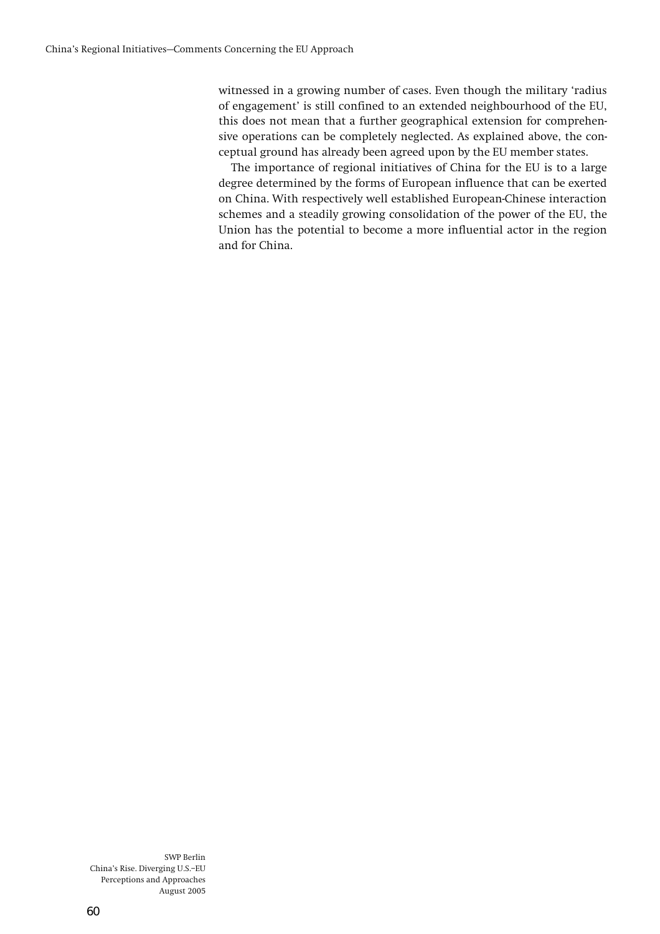**witnessed in a growing number of cases. Even though the military ëradius**  of engagement' is still confined to an extended neighbourhood of the EU, **this does not mean that a further geographical extension for comprehensive operations can be completely neglected. As explained above, the conceptual ground has already been agreed upon by the EU member states.** 

**The importance of regional initiatives of China for the EU is to a large degree determined by the forms of European influence that can be exerted on China. With respectively well established European-Chinese interaction schemes and a steadily growing consolidation of the power of the EU, the Union has the potential to become a more influential actor in the region and for China.**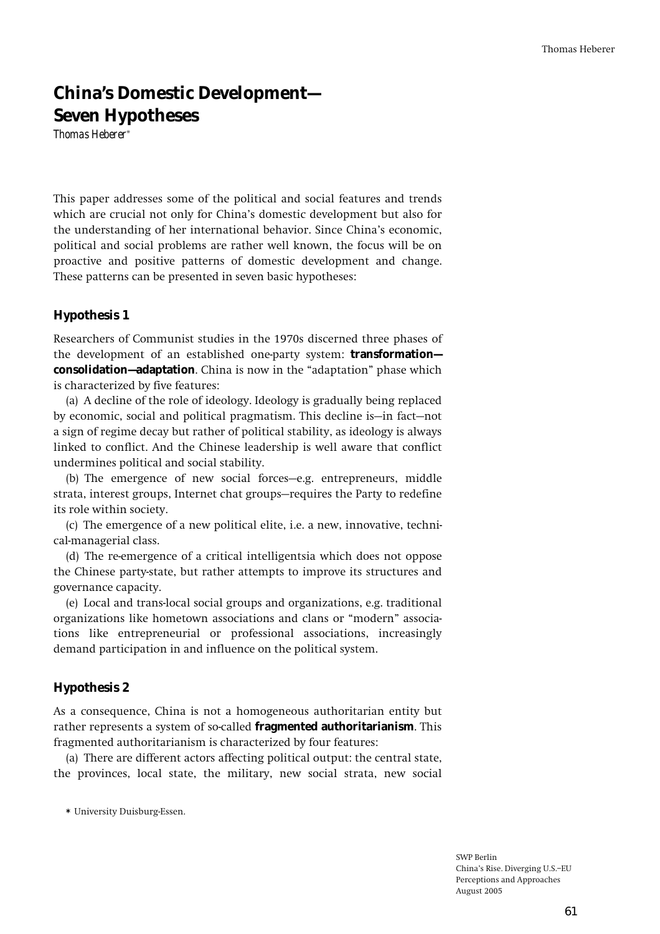# **China's Domestic Development— Seven Hypotheses**

*Thomas Heberer***\*** 

**This paper addresses some of the political and social features and trends**  which are crucial not only for China's domestic development but also for **the understanding of her international behavior. Since Chinaís economic, political and social problems are rather well known, the focus will be on proactive and positive patterns of domestic development and change. These patterns can be presented in seven basic hypotheses:** 

# **Hypothesis 1**

**Researchers of Communist studies in the 1970s discerned three phases of the development of an established one-party system: transformation consolidation-adaptation**. China is now in the "adaptation" phase which **is characterized by five features:** 

**(a) A decline of the role of ideology. Ideology is gradually being replaced**  by economic, social and political pragmatism. This decline is—in fact—not **a sign of regime decay but rather of political stability, as ideology is always linked to conflict. And the Chinese leadership is well aware that conflict undermines political and social stability.** 

(b) The emergence of new social forces-e.g. entrepreneurs, middle strata, interest groups, Internet chat groups–requires the Party to redefine **its role within society.** 

**(c) The emergence of a new political elite, i.e. a new, innovative, technical-managerial class.** 

**(d) The re-emergence of a critical intelligentsia which does not oppose the Chinese party-state, but rather attempts to improve its structures and governance capacity.** 

**(e) Local and trans-local social groups and organizations, e.g. traditional organizations like hometown associations and clans or ìmodernî associations like entrepreneurial or professional associations, increasingly demand participation in and influence on the political system.** 

# **Hypothesis 2**

**As a consequence, China is not a homogeneous authoritarian entity but rather represents a system of so-called fragmented authoritarianism. This fragmented authoritarianism is characterized by four features:** 

**(a) There are different actors affecting political output: the central state, the provinces, local state, the military, new social strata, new social** 

**\* University Duisburg-Essen.**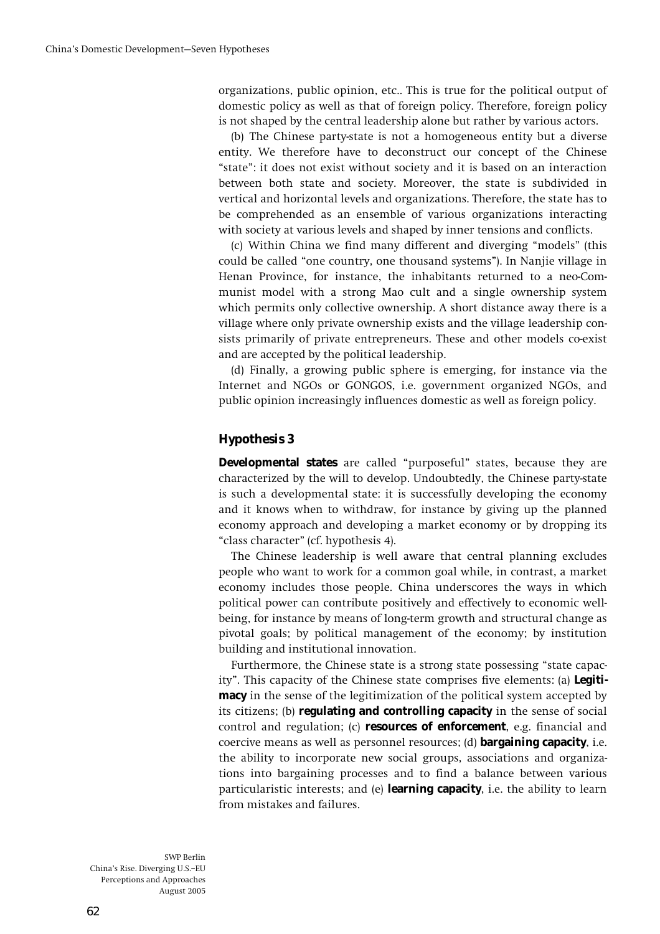**organizations, public opinion, etc.. This is true for the political output of domestic policy as well as that of foreign policy. Therefore, foreign policy is not shaped by the central leadership alone but rather by various actors.** 

**(b) The Chinese party-state is not a homogeneous entity but a diverse entity. We therefore have to deconstruct our concept of the Chinese ìstateî: it does not exist without society and it is based on an interaction between both state and society. Moreover, the state is subdivided in vertical and horizontal levels and organizations. Therefore, the state has to be comprehended as an ensemble of various organizations interacting with society at various levels and shaped by inner tensions and conflicts.** 

**(c)** Within China we find many different and diverging "models" (this could be called "one country, one thousand systems"). In Nanjie village in **Henan Province, for instance, the inhabitants returned to a neo-Communist model with a strong Mao cult and a single ownership system which permits only collective ownership. A short distance away there is a village where only private ownership exists and the village leadership consists primarily of private entrepreneurs. These and other models co-exist and are accepted by the political leadership.** 

**(d) Finally, a growing public sphere is emerging, for instance via the Internet and NGOs or GONGOS, i.e. government organized NGOs, and public opinion increasingly influences domestic as well as foreign policy.** 

# **Hypothesis 3**

**Developmental states** are called "purposeful" states, because they are **characterized by the will to develop. Undoubtedly, the Chinese party-state is such a developmental state: it is successfully developing the economy and it knows when to withdraw, for instance by giving up the planned economy approach and developing a market economy or by dropping its ìclass characterî (cf. hypothesis 4).** 

**The Chinese leadership is well aware that central planning excludes people who want to work for a common goal while, in contrast, a market economy includes those people. China underscores the ways in which political power can contribute positively and effectively to economic wellbeing, for instance by means of long-term growth and structural change as pivotal goals; by political management of the economy; by institution building and institutional innovation.** 

Furthermore, the Chinese state is a strong state possessing "state capac**ityî. This capacity of the Chinese state comprises five elements: (a) Legitimacy in the sense of the legitimization of the political system accepted by its citizens; (b) regulating and controlling capacity in the sense of social control and regulation; (c) resources of enforcement, e.g. financial and coercive means as well as personnel resources; (d) bargaining capacity, i.e. the ability to incorporate new social groups, associations and organizations into bargaining processes and to find a balance between various particularistic interests; and (e) learning capacity, i.e. the ability to learn from mistakes and failures.**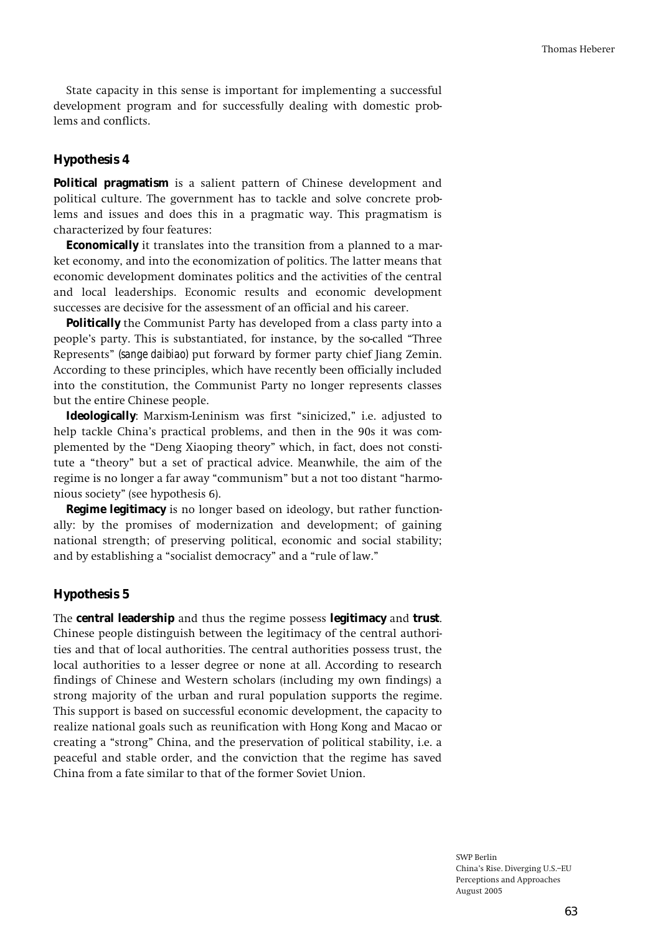**State capacity in this sense is important for implementing a successful development program and for successfully dealing with domestic problems and conflicts.** 

### **Hypothesis 4**

**Political pragmatism is a salient pattern of Chinese development and political culture. The government has to tackle and solve concrete problems and issues and does this in a pragmatic way. This pragmatism is characterized by four features:** 

**Economically it translates into the transition from a planned to a market economy, and into the economization of politics. The latter means that economic development dominates politics and the activities of the central and local leaderships. Economic results and economic development successes are decisive for the assessment of an official and his career.** 

**Politically the Communist Party has developed from a class party into a people's party. This is substantiated, for instance, by the so-called "Three Representsî** *(sange daibiao)* **put forward by former party chief Jiang Zemin. According to these principles, which have recently been officially included into the constitution, the Communist Party no longer represents classes but the entire Chinese people.** 

**Ideologically**: Marxism-Leninism was first "sinicized," i.e. adjusted to **help tackle Chinaís practical problems, and then in the 90s it was com**plemented by the "Deng Xiaoping theory" which, in fact, does not constitute a "theory" but a set of practical advice. Meanwhile, the aim of the regime is no longer a far away "communism" but a not too distant "harmo**nious societyî (see hypothesis 6).** 

**Regime legitimacy is no longer based on ideology, but rather functionally: by the promises of modernization and development; of gaining national strength; of preserving political, economic and social stability;**  and by establishing a "socialist democracy" and a "rule of law."

#### **Hypothesis 5**

**The central leadership and thus the regime possess legitimacy and trust. Chinese people distinguish between the legitimacy of the central authorities and that of local authorities. The central authorities possess trust, the local authorities to a lesser degree or none at all. According to research findings of Chinese and Western scholars (including my own findings) a strong majority of the urban and rural population supports the regime. This support is based on successful economic development, the capacity to realize national goals such as reunification with Hong Kong and Macao or**  creating a "strong" China, and the preservation of political stability, i.e. a **peaceful and stable order, and the conviction that the regime has saved China from a fate similar to that of the former Soviet Union.**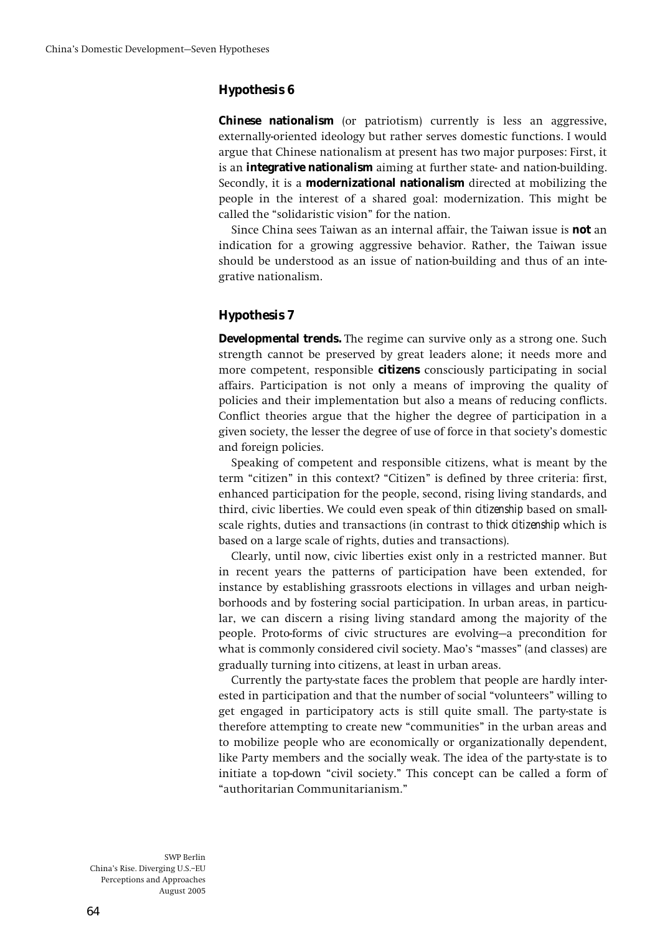### **Hypothesis 6**

**Chinese nationalism (or patriotism) currently is less an aggressive, externally-oriented ideology but rather serves domestic functions. I would argue that Chinese nationalism at present has two major purposes: First, it is an integrative nationalism aiming at further state- and nation-building. Secondly, it is a modernizational nationalism directed at mobilizing the people in the interest of a shared goal: modernization. This might be**  called the "solidaristic vision" for the nation.

**Since China sees Taiwan as an internal affair, the Taiwan issue is not an indication for a growing aggressive behavior. Rather, the Taiwan issue should be understood as an issue of nation-building and thus of an integrative nationalism.** 

# **Hypothesis 7**

**Developmental trends. The regime can survive only as a strong one. Such strength cannot be preserved by great leaders alone; it needs more and more competent, responsible citizens consciously participating in social affairs. Participation is not only a means of improving the quality of policies and their implementation but also a means of reducing conflicts. Conflict theories argue that the higher the degree of participation in a given society, the lesser the degree of use of force in that societyís domestic and foreign policies.** 

**Speaking of competent and responsible citizens, what is meant by the**  term "citizen" in this context? "Citizen" is defined by three criteria: first, **enhanced participation for the people, second, rising living standards, and third, civic liberties. We could even speak of** *thin citizenship* **based on smallscale rights, duties and transactions (in contrast to** *thick citizenship* **which is based on a large scale of rights, duties and transactions).** 

**Clearly, until now, civic liberties exist only in a restricted manner. But in recent years the patterns of participation have been extended, for instance by establishing grassroots elections in villages and urban neighborhoods and by fostering social participation. In urban areas, in particular, we can discern a rising living standard among the majority of the**  people. Proto-forms of civic structures are evolving-a precondition for what is commonly considered civil society. Mao's "masses" (and classes) are **gradually turning into citizens, at least in urban areas.** 

**Currently the party-state faces the problem that people are hardly inter**ested in participation and that the number of social "volunteers" willing to **get engaged in participatory acts is still quite small. The party-state is**  therefore attempting to create new "communities" in the urban areas and **to mobilize people who are economically or organizationally dependent, like Party members and the socially weak. The idea of the party-state is to**  initiate a top-down "civil society." This concept can be called a form of **ìauthoritarian Communitarianism.î**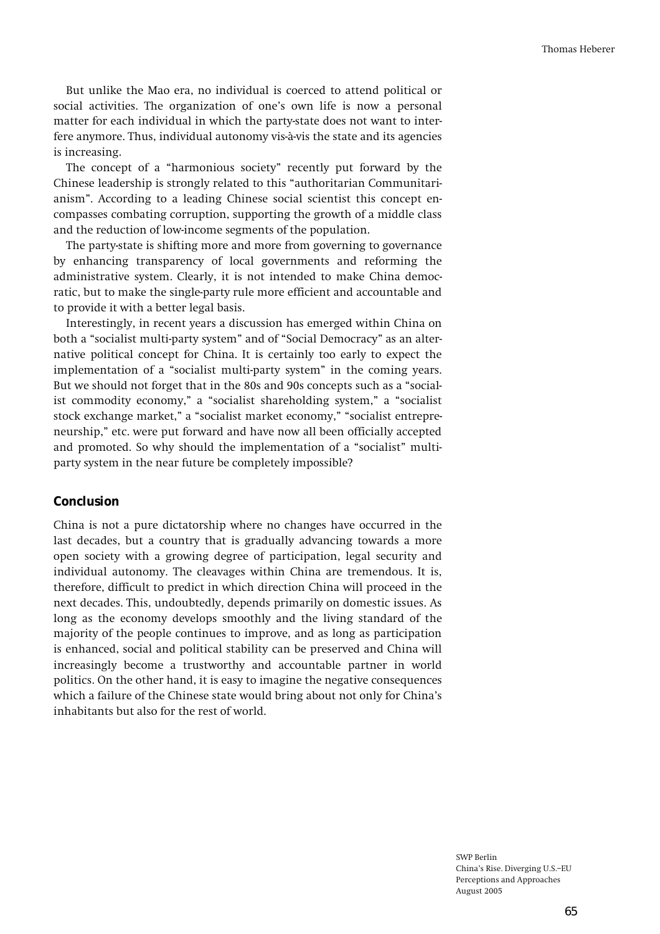**But unlike the Mao era, no individual is coerced to attend political or**  social activities. The organization of one's own life is now a personal **matter for each individual in which the party-state does not want to inter**fere anymore. Thus, individual autonomy vis-à-vis the state and its agencies **is increasing.** 

The concept of a "harmonious society" recently put forward by the Chinese leadership is strongly related to this "authoritarian Communitari**anismî. According to a leading Chinese social scientist this concept encompasses combating corruption, supporting the growth of a middle class and the reduction of low-income segments of the population.** 

**The party-state is shifting more and more from governing to governance by enhancing transparency of local governments and reforming the administrative system. Clearly, it is not intended to make China democratic, but to make the single-party rule more efficient and accountable and to provide it with a better legal basis.** 

**Interestingly, in recent years a discussion has emerged within China on**  both a "socialist multi-party system" and of "Social Democracy" as an alter**native political concept for China. It is certainly too early to expect the**  implementation of a "socialist multi-party system" in the coming years. But we should not forget that in the 80s and 90s concepts such as a "socialist commodity economy," a "socialist shareholding system," a "socialist stock exchange market," a "socialist market economy," "socialist entrepre**neurship,î etc. were put forward and have now all been officially accepted**  and promoted. So why should the implementation of a "socialist" multi**party system in the near future be completely impossible?** 

### **Conclusion**

**China is not a pure dictatorship where no changes have occurred in the last decades, but a country that is gradually advancing towards a more open society with a growing degree of participation, legal security and individual autonomy. The cleavages within China are tremendous. It is, therefore, difficult to predict in which direction China will proceed in the next decades. This, undoubtedly, depends primarily on domestic issues. As long as the economy develops smoothly and the living standard of the majority of the people continues to improve, and as long as participation is enhanced, social and political stability can be preserved and China will increasingly become a trustworthy and accountable partner in world politics. On the other hand, it is easy to imagine the negative consequences which a failure of the Chinese state would bring about not only for Chinaís inhabitants but also for the rest of world.**